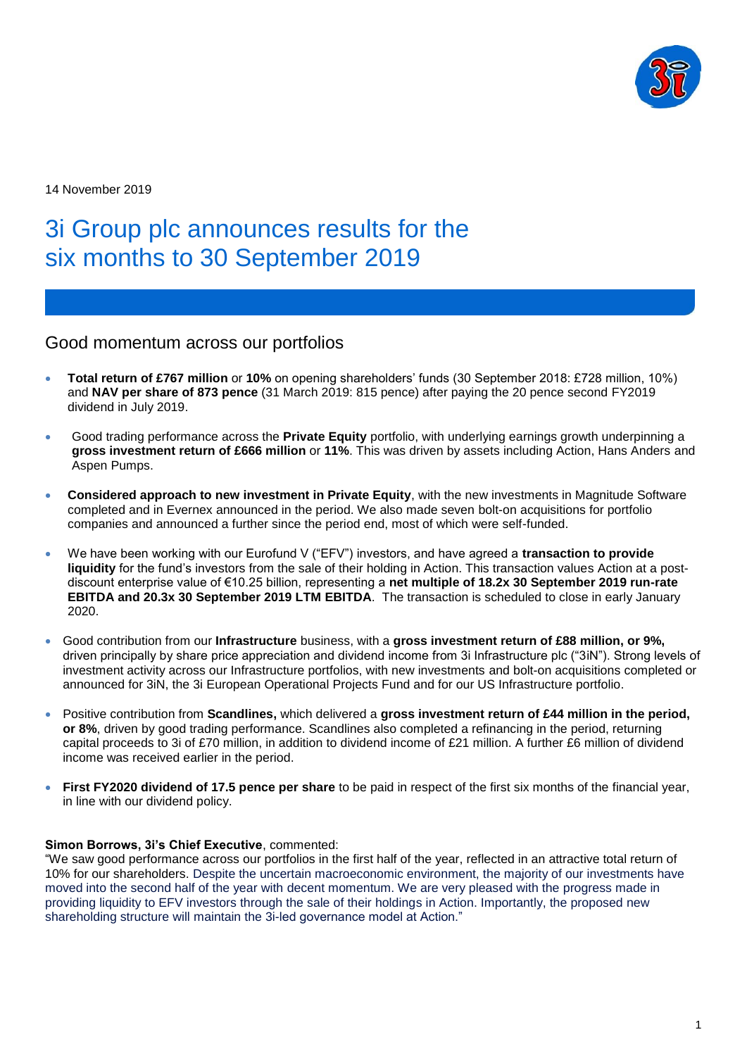

14 November 2019

# 3i Group plc announces results for the six months to 30 September 2019

Good momentum across our portfolios

- **Total return of £767 million** or **10%** on opening shareholders' funds (30 September 2018: £728 million, 10%) and **NAV per share of 873 pence** (31 March 2019: 815 pence) after paying the 20 pence second FY2019 dividend in July 2019.
- Good trading performance across the **Private Equity** portfolio, with underlying earnings growth underpinning a **gross investment return of £666 million** or **11%**. This was driven by assets including Action, Hans Anders and Aspen Pumps.
- **Considered approach to new investment in Private Equity**, with the new investments in Magnitude Software completed and in Evernex announced in the period. We also made seven bolt-on acquisitions for portfolio companies and announced a further since the period end, most of which were self-funded.
- We have been working with our Eurofund V ("EFV") investors, and have agreed a **transaction to provide liquidity** for the fund's investors from the sale of their holding in Action. This transaction values Action at a postdiscount enterprise value of €10.25 billion, representing a **net multiple of 18.2x 30 September 2019 run-rate EBITDA and 20.3x 30 September 2019 LTM EBITDA**. The transaction is scheduled to close in early January 2020.
- Good contribution from our **Infrastructure** business, with a **gross investment return of £88 million, or 9%,** driven principally by share price appreciation and dividend income from 3i Infrastructure plc ("3iN"). Strong levels of investment activity across our Infrastructure portfolios, with new investments and bolt-on acquisitions completed or announced for 3iN, the 3i European Operational Projects Fund and for our US Infrastructure portfolio.
- Positive contribution from **Scandlines,** which delivered a **gross investment return of £44 million in the period, or 8%**, driven by good trading performance. Scandlines also completed a refinancing in the period, returning capital proceeds to 3i of £70 million, in addition to dividend income of £21 million. A further £6 million of dividend income was received earlier in the period.
- **First FY2020 dividend of 17.5 pence per share** to be paid in respect of the first six months of the financial year, in line with our dividend policy.

## **Simon Borrows, 3i's Chief Executive**, commented:

"We saw good performance across our portfolios in the first half of the year, reflected in an attractive total return of 10% for our shareholders. Despite the uncertain macroeconomic environment, the majority of our investments have moved into the second half of the year with decent momentum. We are very pleased with the progress made in providing liquidity to EFV investors through the sale of their holdings in Action. Importantly, the proposed new shareholding structure will maintain the 3i-led governance model at Action."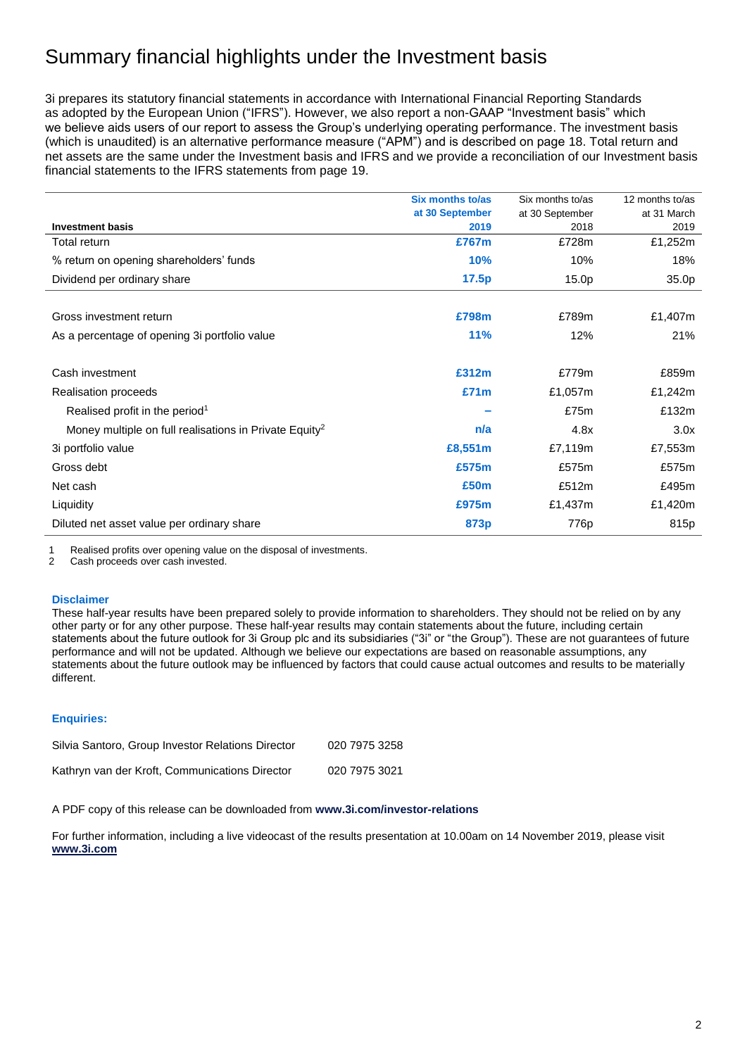# Summary financial highlights under the Investment basis

3i prepares its statutory financial statements in accordance with International Financial Reporting Standards as adopted by the European Union ("IFRS"). However, we also report a non-GAAP "Investment basis" which we believe aids users of our report to assess the Group's underlying operating performance. The investment basis (which is unaudited) is an alternative performance measure ("APM") and is described on page 18. Total return and net assets are the same under the Investment basis and IFRS and we provide a reconciliation of our Investment basis financial statements to the IFRS statements from page 19.

|                                                                    | Six months to/as | Six months to/as  | 12 months to/as |
|--------------------------------------------------------------------|------------------|-------------------|-----------------|
|                                                                    | at 30 September  | at 30 September   | at 31 March     |
| <b>Investment basis</b>                                            | 2019             | 2018              | 2019            |
| Total return                                                       | £767m            | £728m             | £1,252m         |
| % return on opening shareholders' funds                            | 10%              | 10%               | 18%             |
| Dividend per ordinary share                                        | 17.5p            | 15.0 <sub>p</sub> | 35.0p           |
|                                                                    |                  |                   |                 |
| Gross investment return                                            | £798m            | £789m             | £1,407m         |
| As a percentage of opening 3 portfolio value                       | 11%              | 12%               | 21%             |
|                                                                    |                  |                   |                 |
| Cash investment                                                    | £312m            | £779m             | £859m           |
| Realisation proceeds                                               | £71m             | £1,057m           | £1,242m         |
| Realised profit in the period <sup>1</sup>                         |                  | £75m              | £132m           |
| Money multiple on full realisations in Private Equity <sup>2</sup> | n/a              | 4.8x              | 3.0x            |
| 3i portfolio value                                                 | £8,551m          | £7,119m           | £7,553m         |
| Gross debt                                                         | £575m            | £575m             | £575m           |
| Net cash                                                           | £50 <sub>m</sub> | £512m             | £495m           |
| Liquidity                                                          | £975m            | £1,437m           | £1,420m         |
| Diluted net asset value per ordinary share                         | 873p             | 776p              | 815p            |

1 Realised profits over opening value on the disposal of investments.

2 Cash proceeds over cash invested.

#### **Disclaimer**

These half-year results have been prepared solely to provide information to shareholders. They should not be relied on by any other party or for any other purpose. These half-year results may contain statements about the future, including certain statements about the future outlook for 3i Group plc and its subsidiaries ("3i" or "the Group"). These are not guarantees of future performance and will not be updated. Although we believe our expectations are based on reasonable assumptions, any statements about the future outlook may be influenced by factors that could cause actual outcomes and results to be materially different.

#### **Enquiries:**

| Silvia Santoro, Group Investor Relations Director | 020 7975 3258 |
|---------------------------------------------------|---------------|
| Kathryn van der Kroft, Communications Director    | 020 7975 3021 |

A PDF copy of this release can be downloaded from **[www.3i.com/investor-relations](http://www.3i.com/investor-relations)**

For further information, including a live videocast of the results presentation at 10.00am on 14 November 2019, please visit **[www.3i.com](http://www.3i.com/)**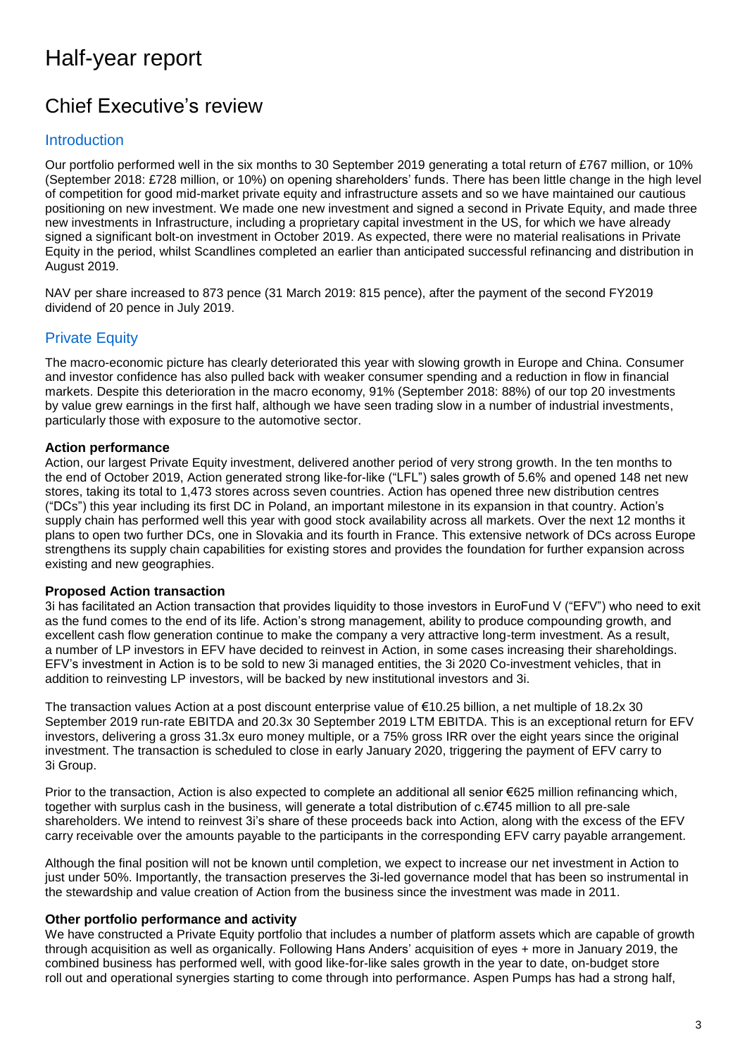# Half-year report

# Chief Executive's review

## **Introduction**

Our portfolio performed well in the six months to 30 September 2019 generating a total return of £767 million, or 10% (September 2018: £728 million, or 10%) on opening shareholders' funds. There has been little change in the high level of competition for good mid-market private equity and infrastructure assets and so we have maintained our cautious positioning on new investment. We made one new investment and signed a second in Private Equity, and made three new investments in Infrastructure, including a proprietary capital investment in the US, for which we have already signed a significant bolt-on investment in October 2019. As expected, there were no material realisations in Private Equity in the period, whilst Scandlines completed an earlier than anticipated successful refinancing and distribution in August 2019.

NAV per share increased to 873 pence (31 March 2019: 815 pence), after the payment of the second FY2019 dividend of 20 pence in July 2019.

## Private Equity

The macro-economic picture has clearly deteriorated this year with slowing growth in Europe and China. Consumer and investor confidence has also pulled back with weaker consumer spending and a reduction in flow in financial markets. Despite this deterioration in the macro economy, 91% (September 2018: 88%) of our top 20 investments by value grew earnings in the first half, although we have seen trading slow in a number of industrial investments, particularly those with exposure to the automotive sector.

## **Action performance**

Action, our largest Private Equity investment, delivered another period of very strong growth. In the ten months to the end of October 2019, Action generated strong like-for-like ("LFL") sales growth of 5.6% and opened 148 net new stores, taking its total to 1,473 stores across seven countries. Action has opened three new distribution centres ("DCs") this year including its first DC in Poland, an important milestone in its expansion in that country. Action's supply chain has performed well this year with good stock availability across all markets. Over the next 12 months it plans to open two further DCs, one in Slovakia and its fourth in France. This extensive network of DCs across Europe strengthens its supply chain capabilities for existing stores and provides the foundation for further expansion across existing and new geographies.

## **Proposed Action transaction**

3i has facilitated an Action transaction that provides liquidity to those investors in EuroFund V ("EFV") who need to exit as the fund comes to the end of its life. Action's strong management, ability to produce compounding growth, and excellent cash flow generation continue to make the company a very attractive long-term investment. As a result, a number of LP investors in EFV have decided to reinvest in Action, in some cases increasing their shareholdings. EFV's investment in Action is to be sold to new 3i managed entities, the 3i 2020 Co-investment vehicles, that in addition to reinvesting LP investors, will be backed by new institutional investors and 3i.

The transaction values Action at a post discount enterprise value of €10.25 billion, a net multiple of 18.2x 30 September 2019 run-rate EBITDA and 20.3x 30 September 2019 LTM EBITDA. This is an exceptional return for EFV investors, delivering a gross 31.3x euro money multiple, or a 75% gross IRR over the eight years since the original investment. The transaction is scheduled to close in early January 2020, triggering the payment of EFV carry to 3i Group.

Prior to the transaction, Action is also expected to complete an additional all senior €625 million refinancing which, together with surplus cash in the business, will generate a total distribution of c.€745 million to all pre-sale shareholders. We intend to reinvest 3i's share of these proceeds back into Action, along with the excess of the EFV carry receivable over the amounts payable to the participants in the corresponding EFV carry payable arrangement.

Although the final position will not be known until completion, we expect to increase our net investment in Action to just under 50%. Importantly, the transaction preserves the 3i-led governance model that has been so instrumental in the stewardship and value creation of Action from the business since the investment was made in 2011.

## **Other portfolio performance and activity**

We have constructed a Private Equity portfolio that includes a number of platform assets which are capable of growth through acquisition as well as organically. Following Hans Anders' acquisition of eyes + more in January 2019, the combined business has performed well, with good like-for-like sales growth in the year to date, on-budget store roll out and operational synergies starting to come through into performance. Aspen Pumps has had a strong half,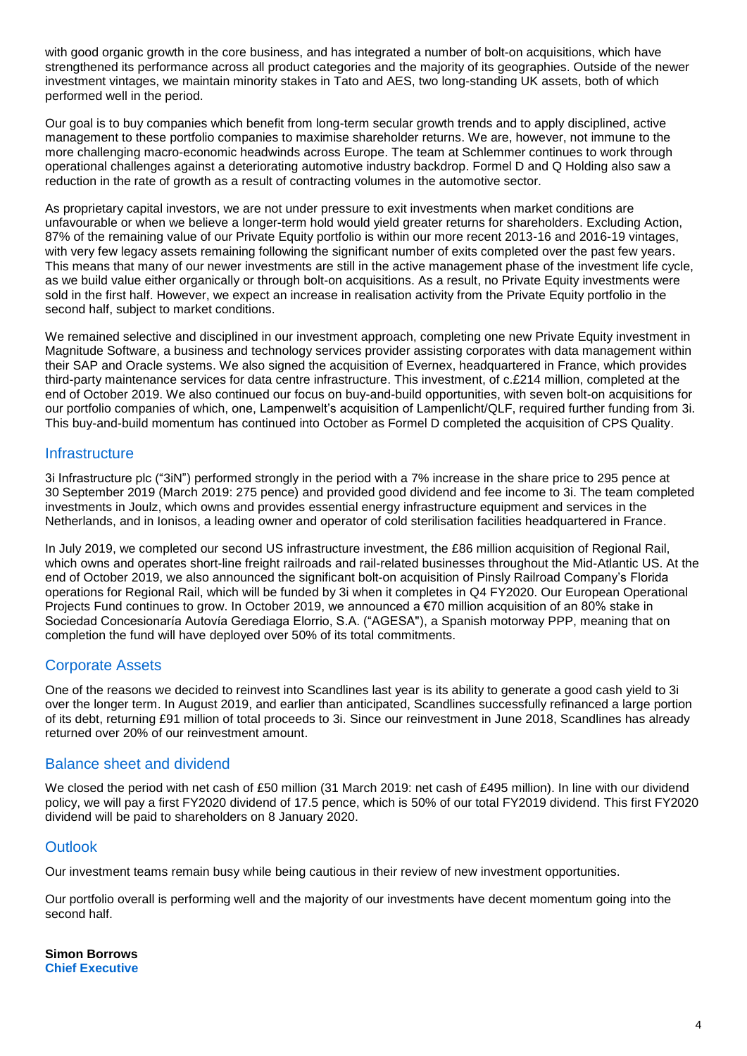with good organic growth in the core business, and has integrated a number of bolt-on acquisitions, which have strengthened its performance across all product categories and the majority of its geographies. Outside of the newer investment vintages, we maintain minority stakes in Tato and AES, two long-standing UK assets, both of which performed well in the period.

Our goal is to buy companies which benefit from long-term secular growth trends and to apply disciplined, active management to these portfolio companies to maximise shareholder returns. We are, however, not immune to the more challenging macro-economic headwinds across Europe. The team at Schlemmer continues to work through operational challenges against a deteriorating automotive industry backdrop. Formel D and Q Holding also saw a reduction in the rate of growth as a result of contracting volumes in the automotive sector.

As proprietary capital investors, we are not under pressure to exit investments when market conditions are unfavourable or when we believe a longer-term hold would yield greater returns for shareholders. Excluding Action, 87% of the remaining value of our Private Equity portfolio is within our more recent 2013-16 and 2016-19 vintages, with very few legacy assets remaining following the significant number of exits completed over the past few years. This means that many of our newer investments are still in the active management phase of the investment life cycle, as we build value either organically or through bolt-on acquisitions. As a result, no Private Equity investments were sold in the first half. However, we expect an increase in realisation activity from the Private Equity portfolio in the second half, subject to market conditions.

We remained selective and disciplined in our investment approach, completing one new Private Equity investment in Magnitude Software, a business and technology services provider assisting corporates with data management within their SAP and Oracle systems. We also signed the acquisition of Evernex, headquartered in France, which provides third-party maintenance services for data centre infrastructure. This investment, of c.£214 million, completed at the end of October 2019. We also continued our focus on buy-and-build opportunities, with seven bolt-on acquisitions for our portfolio companies of which, one, Lampenwelt's acquisition of Lampenlicht/QLF, required further funding from 3i. This buy-and-build momentum has continued into October as Formel D completed the acquisition of CPS Quality.

## **Infrastructure**

3i Infrastructure plc ("3iN") performed strongly in the period with a 7% increase in the share price to 295 pence at 30 September 2019 (March 2019: 275 pence) and provided good dividend and fee income to 3i. The team completed investments in Joulz, which owns and provides essential energy infrastructure equipment and services in the Netherlands, and in Ionisos, a leading owner and operator of cold sterilisation facilities headquartered in France.

In July 2019, we completed our second US infrastructure investment, the £86 million acquisition of Regional Rail, which owns and operates short-line freight railroads and rail-related businesses throughout the Mid-Atlantic US. At the end of October 2019, we also announced the significant bolt-on acquisition of Pinsly Railroad Company's Florida operations for Regional Rail, which will be funded by 3i when it completes in Q4 FY2020. Our European Operational Projects Fund continues to grow. In October 2019, we announced a €70 million acquisition of an 80% stake in Sociedad Concesionaría Autovía Gerediaga Elorrio, S.A. ("AGESA"), a Spanish motorway PPP, meaning that on completion the fund will have deployed over 50% of its total commitments.

## Corporate Assets

One of the reasons we decided to reinvest into Scandlines last year is its ability to generate a good cash yield to 3i over the longer term. In August 2019, and earlier than anticipated, Scandlines successfully refinanced a large portion of its debt, returning £91 million of total proceeds to 3i. Since our reinvestment in June 2018, Scandlines has already returned over 20% of our reinvestment amount.

## Balance sheet and dividend

We closed the period with net cash of £50 million (31 March 2019: net cash of £495 million). In line with our dividend policy, we will pay a first FY2020 dividend of 17.5 pence, which is 50% of our total FY2019 dividend. This first FY2020 dividend will be paid to shareholders on 8 January 2020.

## **Outlook**

Our investment teams remain busy while being cautious in their review of new investment opportunities.

Our portfolio overall is performing well and the majority of our investments have decent momentum going into the second half.

**Simon Borrows Chief Executive**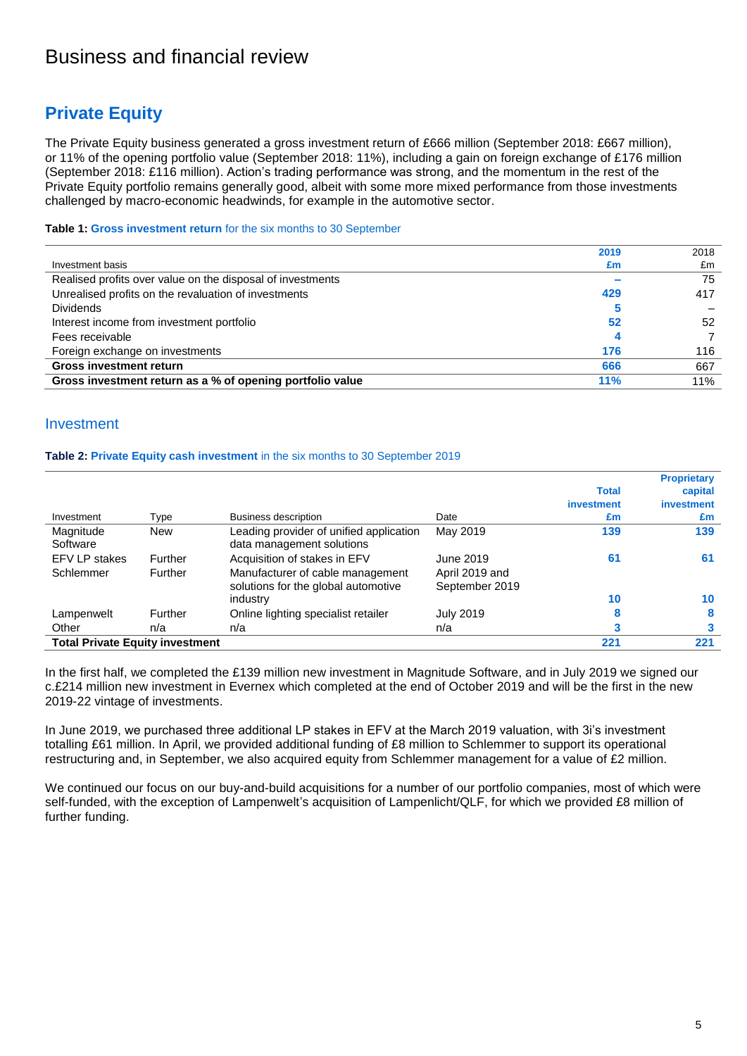## Business and financial review

## **Private Equity**

The Private Equity business generated a gross investment return of £666 million (September 2018: £667 million), or 11% of the opening portfolio value (September 2018: 11%), including a gain on foreign exchange of £176 million (September 2018: £116 million). Action's trading performance was strong, and the momentum in the rest of the Private Equity portfolio remains generally good, albeit with some more mixed performance from those investments challenged by macro-economic headwinds, for example in the automotive sector.

**Table 1: Gross investment return** for the six months to 30 September

|                                                            | 2019 | 2018 |
|------------------------------------------------------------|------|------|
| Investment basis                                           | £m   | £m   |
| Realised profits over value on the disposal of investments |      | 75   |
| Unrealised profits on the revaluation of investments       | 429  | 417  |
| <b>Dividends</b>                                           |      |      |
| Interest income from investment portfolio                  | 52   | 52   |
| Fees receivable                                            |      |      |
| Foreign exchange on investments                            | 176  | 116  |
| <b>Gross investment return</b>                             | 666  | 667  |
| Gross investment return as a % of opening portfolio value  | 11%  | 11%  |

## Investment

#### **Table 2: Private Equity cash investment** in the six months to 30 September 2019

|                                        |            |                                                                      |                  |              | <b>Proprietary</b> |
|----------------------------------------|------------|----------------------------------------------------------------------|------------------|--------------|--------------------|
|                                        |            |                                                                      |                  | <b>Total</b> | capital            |
|                                        |            |                                                                      |                  | investment   | investment         |
| Investment                             | Type       | Business description                                                 | Date             | £m           | £m                 |
| Magnitude<br>Software                  | <b>New</b> | Leading provider of unified application<br>data management solutions | May 2019         | 139          | 139                |
| EFV LP stakes                          | Further    | Acquisition of stakes in EFV                                         | June 2019        | 61           | 61                 |
| Schlemmer                              | Further    | Manufacturer of cable management                                     | April 2019 and   |              |                    |
|                                        |            | solutions for the global automotive                                  | September 2019   |              |                    |
|                                        |            | industry                                                             |                  | 10           | 10                 |
| Lampenwelt                             | Further    | Online lighting specialist retailer                                  | <b>July 2019</b> | 8            | 8                  |
| Other                                  | n/a        | n/a                                                                  | n/a              | 3            |                    |
| <b>Total Private Equity investment</b> |            |                                                                      |                  | 221          | 221                |

In the first half, we completed the £139 million new investment in Magnitude Software, and in July 2019 we signed our c.£214 million new investment in Evernex which completed at the end of October 2019 and will be the first in the new 2019-22 vintage of investments.

In June 2019, we purchased three additional LP stakes in EFV at the March 2019 valuation, with 3i's investment totalling £61 million. In April, we provided additional funding of £8 million to Schlemmer to support its operational restructuring and, in September, we also acquired equity from Schlemmer management for a value of £2 million.

We continued our focus on our buy-and-build acquisitions for a number of our portfolio companies, most of which were self-funded, with the exception of Lampenwelt's acquisition of Lampenlicht/QLF, for which we provided £8 million of further funding.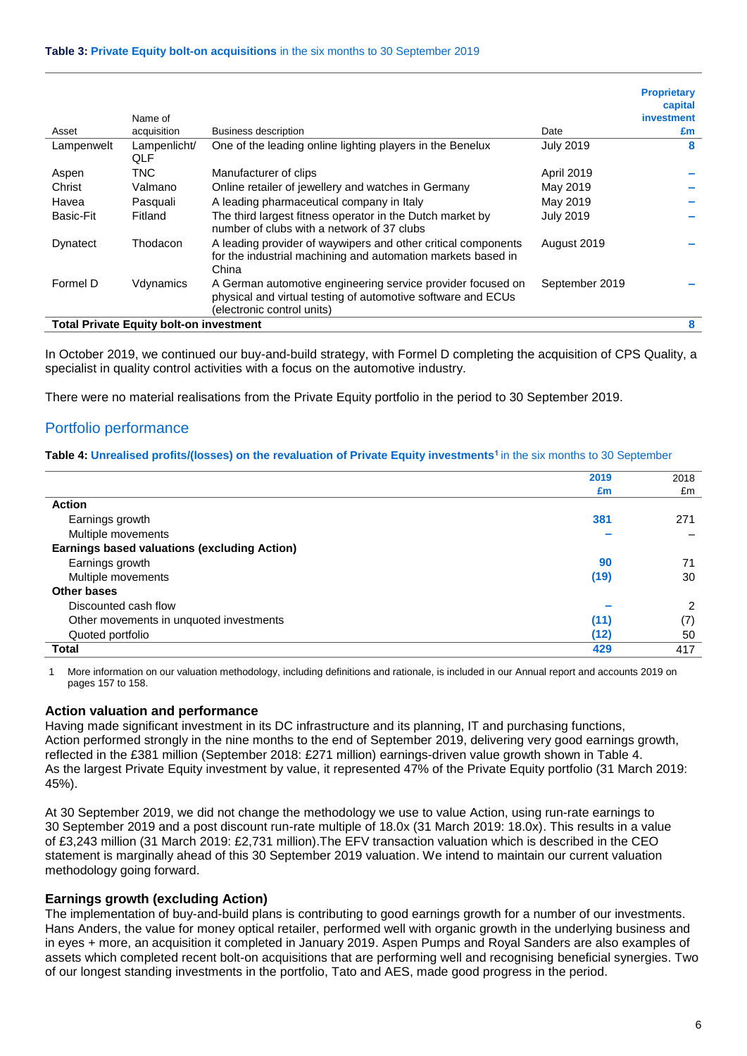#### **Table 3: Private Equity bolt-on acquisitions** in the six months to 30 September 2019

|            |                                                |                                                                                                                                                           |                  | <b>Proprietary</b><br>capital |
|------------|------------------------------------------------|-----------------------------------------------------------------------------------------------------------------------------------------------------------|------------------|-------------------------------|
|            | Name of                                        |                                                                                                                                                           |                  | investment                    |
| Asset      | acquisition                                    | <b>Business description</b>                                                                                                                               | Date             | £m                            |
| Lampenwelt | Lampenlicht/<br>QLF                            | One of the leading online lighting players in the Benelux                                                                                                 | <b>July 2019</b> | 8                             |
| Aspen      | TNC.                                           | Manufacturer of clips                                                                                                                                     | April 2019       |                               |
| Christ     | Valmano                                        | Online retailer of jewellery and watches in Germany                                                                                                       | May 2019         |                               |
| Havea      | Pasquali                                       | A leading pharmaceutical company in Italy                                                                                                                 | May 2019         |                               |
| Basic-Fit  | Fitland                                        | The third largest fitness operator in the Dutch market by<br>number of clubs with a network of 37 clubs                                                   | <b>July 2019</b> |                               |
| Dynatect   | Thodacon                                       | A leading provider of waywipers and other critical components<br>for the industrial machining and automation markets based in<br>China                    | August 2019      |                               |
| Formel D   | Vdynamics                                      | A German automotive engineering service provider focused on<br>physical and virtual testing of automotive software and ECUs<br>(electronic control units) | September 2019   |                               |
|            | <b>Total Private Equity bolt-on investment</b> |                                                                                                                                                           |                  | 8                             |

In October 2019, we continued our buy-and-build strategy, with Formel D completing the acquisition of CPS Quality, a specialist in quality control activities with a focus on the automotive industry.

There were no material realisations from the Private Equity portfolio in the period to 30 September 2019.

## Portfolio performance

#### **Table 4: Unrealised profits/(losses) on the revaluation of Private Equity investments<sup>1</sup>**in the six months to 30 September

|                                                     | 2019 | 2018          |
|-----------------------------------------------------|------|---------------|
|                                                     | £m   | £m            |
| <b>Action</b>                                       |      |               |
| Earnings growth                                     | 381  | 271           |
| Multiple movements                                  |      |               |
| <b>Earnings based valuations (excluding Action)</b> |      |               |
| Earnings growth                                     | 90   | 71            |
| Multiple movements                                  | (19) | 30            |
| Other bases                                         |      |               |
| Discounted cash flow                                |      | $\mathcal{P}$ |
| Other movements in unquoted investments             | (11) | (7)           |
| Quoted portfolio                                    | (12) | 50            |
| <b>Total</b>                                        | 429  | 417           |

1 More information on our valuation methodology, including definitions and rationale, is included in our Annual report and accounts 2019 on pages 157 to 158.

#### **Action valuation and performance**

Having made significant investment in its DC infrastructure and its planning, IT and purchasing functions, Action performed strongly in the nine months to the end of September 2019, delivering very good earnings growth, reflected in the £381 million (September 2018: £271 million) earnings-driven value growth shown in Table 4. As the largest Private Equity investment by value, it represented 47% of the Private Equity portfolio (31 March 2019: 45%).

At 30 September 2019, we did not change the methodology we use to value Action, using run-rate earnings to 30 September 2019 and a post discount run-rate multiple of 18.0x (31 March 2019: 18.0x). This results in a value of £3,243 million (31 March 2019: £2,731 million).The EFV transaction valuation which is described in the CEO statement is marginally ahead of this 30 September 2019 valuation. We intend to maintain our current valuation methodology going forward.

## **Earnings growth (excluding Action)**

The implementation of buy-and-build plans is contributing to good earnings growth for a number of our investments. Hans Anders, the value for money optical retailer, performed well with organic growth in the underlying business and in eyes + more, an acquisition it completed in January 2019. Aspen Pumps and Royal Sanders are also examples of assets which completed recent bolt-on acquisitions that are performing well and recognising beneficial synergies. Two of our longest standing investments in the portfolio, Tato and AES, made good progress in the period.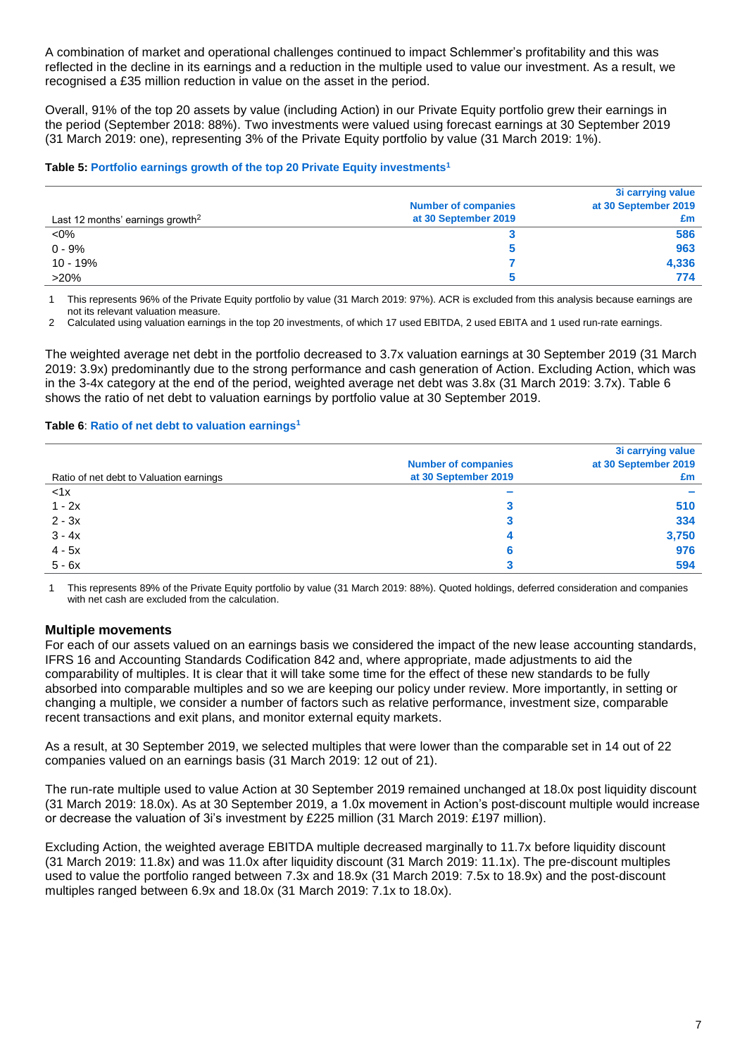A combination of market and operational challenges continued to impact Schlemmer's profitability and this was reflected in the decline in its earnings and a reduction in the multiple used to value our investment. As a result, we recognised a £35 million reduction in value on the asset in the period.

Overall, 91% of the top 20 assets by value (including Action) in our Private Equity portfolio grew their earnings in the period (September 2018: 88%). Two investments were valued using forecast earnings at 30 September 2019 (31 March 2019: one), representing 3% of the Private Equity portfolio by value (31 March 2019: 1%).

### **Table 5: Portfolio earnings growth of the top 20 Private Equity investments<sup>1</sup>**

| Last 12 months' earnings growth <sup>2</sup> | <b>Number of companies</b><br>at 30 September 2019 | 3i carrying value<br>at 30 September 2019<br>£m |
|----------------------------------------------|----------------------------------------------------|-------------------------------------------------|
| $< 0\%$                                      |                                                    | 586                                             |
| $0 - 9%$                                     |                                                    | 963                                             |
| $10 - 19%$                                   |                                                    | 4,336                                           |
| $>20\%$                                      |                                                    | 774                                             |

1 This represents 96% of the Private Equity portfolio by value (31 March 2019: 97%). ACR is excluded from this analysis because earnings are not its relevant valuation measure.

2 Calculated using valuation earnings in the top 20 investments, of which 17 used EBITDA, 2 used EBITA and 1 used run-rate earnings.

The weighted average net debt in the portfolio decreased to 3.7x valuation earnings at 30 September 2019 (31 March 2019: 3.9x) predominantly due to the strong performance and cash generation of Action. Excluding Action, which was in the 3-4x category at the end of the period, weighted average net debt was 3.8x (31 March 2019: 3.7x). Table 6 shows the ratio of net debt to valuation earnings by portfolio value at 30 September 2019.

### **Table 6**: **Ratio of net debt to valuation earnings<sup>1</sup>**

|                                         |                            | 3i carrying value    |
|-----------------------------------------|----------------------------|----------------------|
|                                         | <b>Number of companies</b> | at 30 September 2019 |
| Ratio of net debt to Valuation earnings | at 30 September 2019       | £m                   |
| < 1x                                    | $\sim$                     | $\sim$               |
| $1 - 2x$                                |                            | 510                  |
| $2 - 3x$                                |                            | 334                  |
| $3 - 4x$                                |                            | 3,750                |
| $4 - 5x$                                |                            | 976                  |
| $5 - 6x$                                |                            | 594                  |

1 This represents 89% of the Private Equity portfolio by value (31 March 2019: 88%). Quoted holdings, deferred consideration and companies with net cash are excluded from the calculation.

## **Multiple movements**

For each of our assets valued on an earnings basis we considered the impact of the new lease accounting standards, IFRS 16 and Accounting Standards Codification 842 and, where appropriate, made adjustments to aid the comparability of multiples. It is clear that it will take some time for the effect of these new standards to be fully absorbed into comparable multiples and so we are keeping our policy under review. More importantly, in setting or changing a multiple, we consider a number of factors such as relative performance, investment size, comparable recent transactions and exit plans, and monitor external equity markets.

As a result, at 30 September 2019, we selected multiples that were lower than the comparable set in 14 out of 22 companies valued on an earnings basis (31 March 2019: 12 out of 21).

The run-rate multiple used to value Action at 30 September 2019 remained unchanged at 18.0x post liquidity discount (31 March 2019: 18.0x). As at 30 September 2019, a 1.0x movement in Action's post-discount multiple would increase or decrease the valuation of 3i's investment by £225 million (31 March 2019: £197 million).

Excluding Action, the weighted average EBITDA multiple decreased marginally to 11.7x before liquidity discount (31 March 2019: 11.8x) and was 11.0x after liquidity discount (31 March 2019: 11.1x). The pre-discount multiples used to value the portfolio ranged between 7.3x and 18.9x (31 March 2019: 7.5x to 18.9x) and the post-discount multiples ranged between 6.9x and 18.0x (31 March 2019: 7.1x to 18.0x).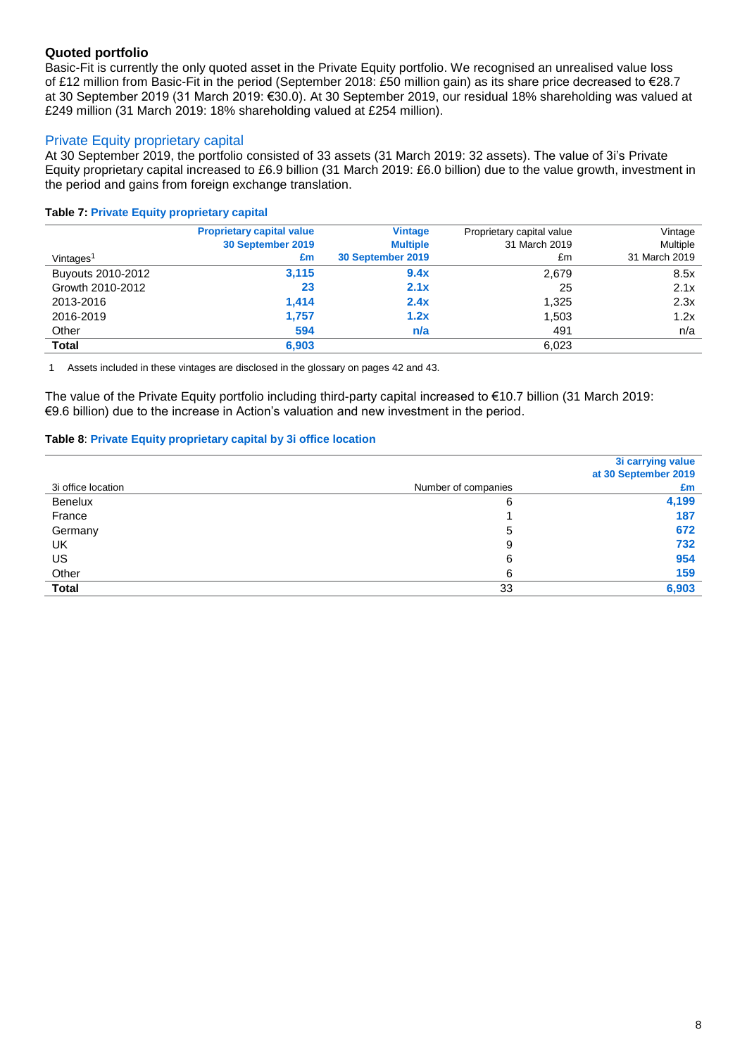## **Quoted portfolio**

Basic-Fit is currently the only quoted asset in the Private Equity portfolio. We recognised an unrealised value loss of £12 million from Basic-Fit in the period (September 2018: £50 million gain) as its share price decreased to €28.7 at 30 September 2019 (31 March 2019: €30.0). At 30 September 2019, our residual 18% shareholding was valued at £249 million (31 March 2019: 18% shareholding valued at £254 million).

## Private Equity proprietary capital

At 30 September 2019, the portfolio consisted of 33 assets (31 March 2019: 32 assets). The value of 3i's Private Equity proprietary capital increased to £6.9 billion (31 March 2019: £6.0 billion) due to the value growth, investment in the period and gains from foreign exchange translation.

### **Table 7: Private Equity proprietary capital**

|                       | <b>Proprietary capital value</b><br>30 September 2019 | <b>Vintage</b><br><b>Multiple</b> | Proprietary capital value<br>31 March 2019 | Vintage<br>Multiple |
|-----------------------|-------------------------------------------------------|-----------------------------------|--------------------------------------------|---------------------|
| Vintages <sup>1</sup> | £m                                                    | 30 September 2019                 | £m                                         | 31 March 2019       |
| Buyouts 2010-2012     | 3,115                                                 | 9.4x                              | 2,679                                      | 8.5x                |
| Growth 2010-2012      | 23                                                    | 2.1x                              | 25                                         | 2.1x                |
| 2013-2016             | 1.414                                                 | 2.4x                              | 1.325                                      | 2.3x                |
| 2016-2019             | 1,757                                                 | 1.2x                              | 1.503                                      | 1.2x                |
| Other                 | 594                                                   | n/a                               | 491                                        | n/a                 |
| <b>Total</b>          | 6,903                                                 |                                   | 6,023                                      |                     |

1 Assets included in these vintages are disclosed in the glossary on pages 42 and 43.

The value of the Private Equity portfolio including third-party capital increased to €10.7 billion (31 March 2019: €9.6 billion) due to the increase in Action's valuation and new investment in the period.

#### **Table 8**: **Private Equity proprietary capital by 3i office location**

|                    |                     | 3i carrying value    |
|--------------------|---------------------|----------------------|
|                    |                     | at 30 September 2019 |
| 3i office location | Number of companies | £m                   |
| Benelux            | 6                   | 4,199                |
| France             |                     | 187                  |
| Germany            | 5                   | 672                  |
| UK                 | 9                   | 732                  |
| US                 | 6                   | 954                  |
| Other              | 6                   | 159                  |
| <b>Total</b>       | 33                  | 6,903                |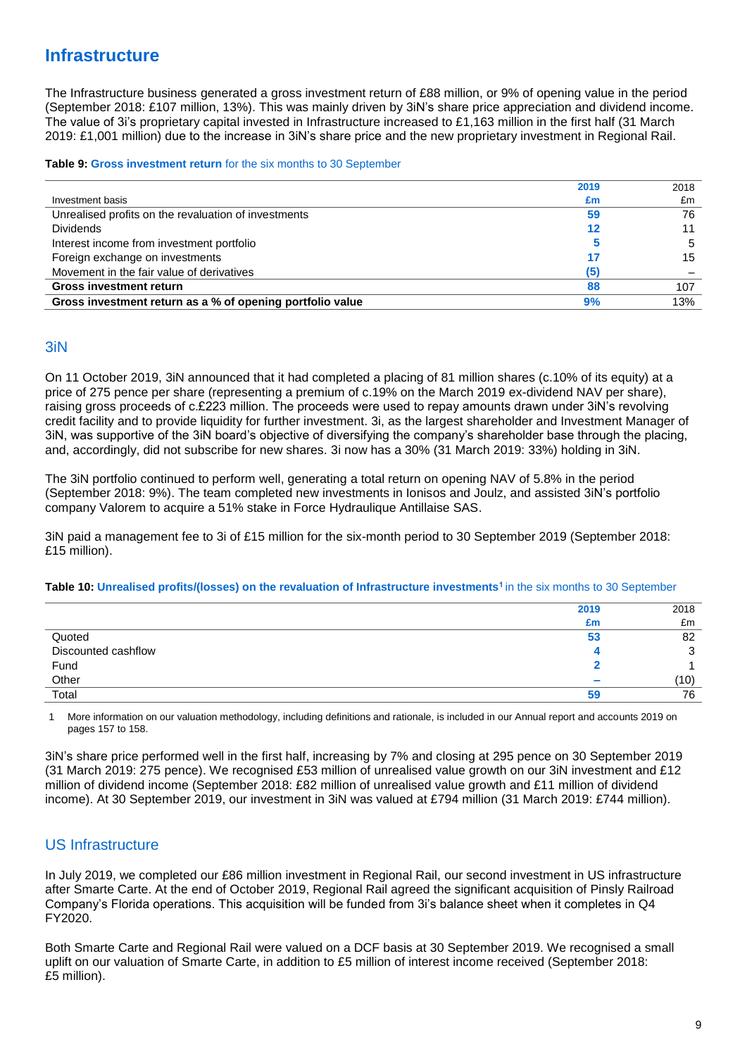## **Infrastructure**

The Infrastructure business generated a gross investment return of £88 million, or 9% of opening value in the period (September 2018: £107 million, 13%). This was mainly driven by 3iN's share price appreciation and dividend income. The value of 3i's proprietary capital invested in Infrastructure increased to £1,163 million in the first half (31 March 2019: £1,001 million) due to the increase in 3iN's share price and the new proprietary investment in Regional Rail.

#### **Table 9: Gross investment return** for the six months to 30 September

|                                                           | 2019 | 2018 |
|-----------------------------------------------------------|------|------|
| Investment basis                                          | £m   | £m   |
| Unrealised profits on the revaluation of investments      | 59   | 76   |
| <b>Dividends</b>                                          | 12   |      |
| Interest income from investment portfolio                 |      | 5    |
| Foreign exchange on investments                           | 17   | 15   |
| Movement in the fair value of derivatives                 | (5)  |      |
| <b>Gross investment return</b>                            | 88   | 107  |
| Gross investment return as a % of opening portfolio value | 9%   | 13%  |

## 3iN

On 11 October 2019, 3iN announced that it had completed a placing of 81 million shares (c.10% of its equity) at a price of 275 pence per share (representing a premium of c.19% on the March 2019 ex-dividend NAV per share), raising gross proceeds of c.£223 million. The proceeds were used to repay amounts drawn under 3iN's revolving credit facility and to provide liquidity for further investment. 3i, as the largest shareholder and Investment Manager of 3iN, was supportive of the 3iN board's objective of diversifying the company's shareholder base through the placing, and, accordingly, did not subscribe for new shares. 3i now has a 30% (31 March 2019: 33%) holding in 3iN.

The 3iN portfolio continued to perform well, generating a total return on opening NAV of 5.8% in the period (September 2018: 9%). The team completed new investments in Ionisos and Joulz, and assisted 3iN's portfolio company Valorem to acquire a 51% stake in Force Hydraulique Antillaise SAS.

3iN paid a management fee to 3i of £15 million for the six-month period to 30 September 2019 (September 2018: £15 million).

#### **Table 10: Unrealised profits/(losses) on the revaluation of Infrastructure investments<sup>1</sup>**in the six months to 30 September

|                     | 2019   | 2018 |
|---------------------|--------|------|
|                     | £m     | £m   |
| Quoted              | 53     | 82   |
| Discounted cashflow |        |      |
|                     |        |      |
| Fund<br>Other       | $\sim$ | (10) |
| Total               | 59     | 76   |

1 More information on our valuation methodology, including definitions and rationale, is included in our Annual report and accounts 2019 on pages 157 to 158.

3iN's share price performed well in the first half, increasing by 7% and closing at 295 pence on 30 September 2019 (31 March 2019: 275 pence). We recognised £53 million of unrealised value growth on our 3iN investment and £12 million of dividend income (September 2018: £82 million of unrealised value growth and £11 million of dividend income). At 30 September 2019, our investment in 3iN was valued at £794 million (31 March 2019: £744 million).

## US Infrastructure

In July 2019, we completed our £86 million investment in Regional Rail, our second investment in US infrastructure after Smarte Carte. At the end of October 2019, Regional Rail agreed the significant acquisition of Pinsly Railroad Company's Florida operations. This acquisition will be funded from 3i's balance sheet when it completes in Q4 FY2020.

Both Smarte Carte and Regional Rail were valued on a DCF basis at 30 September 2019. We recognised a small uplift on our valuation of Smarte Carte, in addition to £5 million of interest income received (September 2018: £5 million).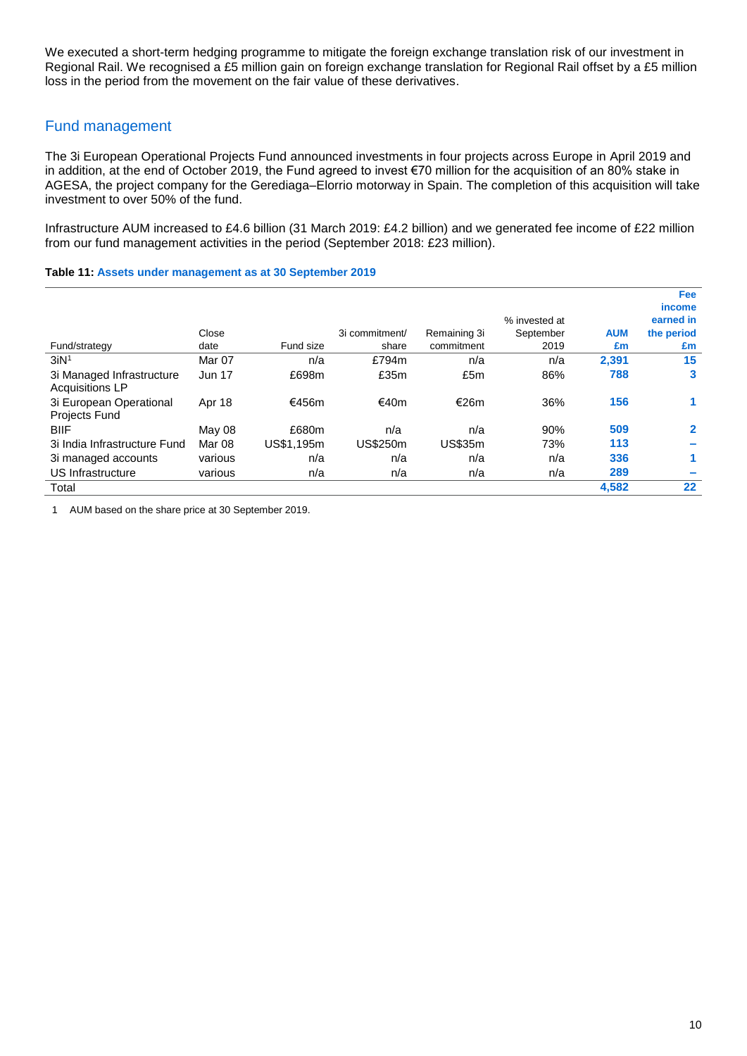We executed a short-term hedging programme to mitigate the foreign exchange translation risk of our investment in Regional Rail. We recognised a £5 million gain on foreign exchange translation for Regional Rail offset by a £5 million loss in the period from the movement on the fair value of these derivatives.

## Fund management

The 3i European Operational Projects Fund announced investments in four projects across Europe in April 2019 and in addition, at the end of October 2019, the Fund agreed to invest €70 million for the acquisition of an 80% stake in AGESA, the project company for the Gerediaga–Elorrio motorway in Spain. The completion of this acquisition will take investment to over 50% of the fund.

Infrastructure AUM increased to £4.6 billion (31 March 2019: £4.2 billion) and we generated fee income of £22 million from our fund management activities in the period (September 2018: £23 million).

**Table 11: Assets under management as at 30 September 2019**

|                                                     |               |            |                |                |               |            | <b>Fee</b>   |
|-----------------------------------------------------|---------------|------------|----------------|----------------|---------------|------------|--------------|
|                                                     |               |            |                |                |               |            | income       |
|                                                     |               |            |                |                | % invested at |            | earned in    |
|                                                     | Close         |            | 3i commitment/ | Remaining 3i   | September     | <b>AUM</b> | the period   |
| Fund/strategy                                       | date          | Fund size  | share          | commitment     | 2019          | £m         | £m           |
| 3iN <sup>1</sup>                                    | Mar 07        | n/a        | £794m          | n/a            | n/a           | 2.391      | 15           |
| 3i Managed Infrastructure<br><b>Acquisitions LP</b> | <b>Jun 17</b> | £698m      | £35m           | £5m            | 86%           | 788        | 3            |
| 3i European Operational<br><b>Projects Fund</b>     | Apr 18        | €456m      | €40m           | €26m           | 36%           | 156        |              |
| <b>BIIF</b>                                         | May 08        | £680m      | n/a            | n/a            | 90%           | 509        | $\mathbf{2}$ |
| 3i India Infrastructure Fund                        | Mar 08        | US\$1,195m | US\$250m       | <b>US\$35m</b> | 73%           | 113        |              |
| 3i managed accounts                                 | various       | n/a        | n/a            | n/a            | n/a           | 336        | 1            |
| US Infrastructure                                   | various       | n/a        | n/a            | n/a            | n/a           | 289        |              |
| Total                                               |               |            |                |                |               | 4.582      | $22 \,$      |

1 AUM based on the share price at 30 September 2019.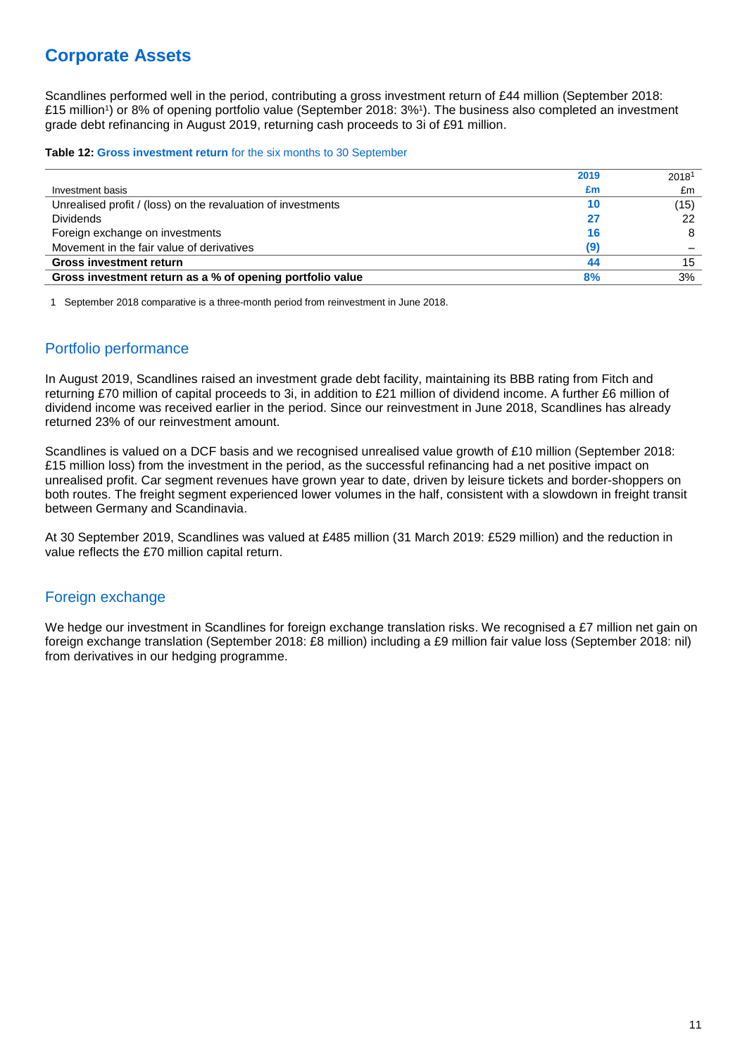## **Corporate Assets**

Scandlines performed well in the period, contributing a gross investment return of £44 million (September 2018: £15 million<sup>1</sup>) or 8% of opening portfolio value (September 2018: 3%<sup>1</sup>). The business also completed an investment grade debt refinancing in August 2019, returning cash proceeds to 3i of £91 million.

#### **Table 12: Gross investment return** for the six months to 30 September

|                                                              | 2019 | 2018 |
|--------------------------------------------------------------|------|------|
| Investment basis                                             | £m   | £m   |
| Unrealised profit / (loss) on the revaluation of investments | 10   | (15) |
| <b>Dividends</b>                                             | 27   | 22   |
| Foreign exchange on investments                              | 16   | 8    |
| Movement in the fair value of derivatives                    | (9)  |      |
| <b>Gross investment return</b>                               | 44   | 15   |
| Gross investment return as a % of opening portfolio value    | 8%   | 3%   |

1 September 2018 comparative is a three-month period from reinvestment in June 2018.

## Portfolio performance

In August 2019, Scandlines raised an investment grade debt facility, maintaining its BBB rating from Fitch and returning £70 million of capital proceeds to 3i, in addition to £21 million of dividend income. A further £6 million of dividend income was received earlier in the period. Since our reinvestment in June 2018, Scandlines has already returned 23% of our reinvestment amount.

Scandlines is valued on a DCF basis and we recognised unrealised value growth of £10 million (September 2018: £15 million loss) from the investment in the period, as the successful refinancing had a net positive impact on unrealised profit. Car segment revenues have grown year to date, driven by leisure tickets and border-shoppers on both routes. The freight segment experienced lower volumes in the half, consistent with a slowdown in freight transit between Germany and Scandinavia.

At 30 September 2019, Scandlines was valued at £485 million (31 March 2019: £529 million) and the reduction in value reflects the £70 million capital return.

## Foreign exchange

We hedge our investment in Scandlines for foreign exchange translation risks. We recognised a £7 million net gain on foreign exchange translation (September 2018: £8 million) including a £9 million fair value loss (September 2018: nil) from derivatives in our hedging programme.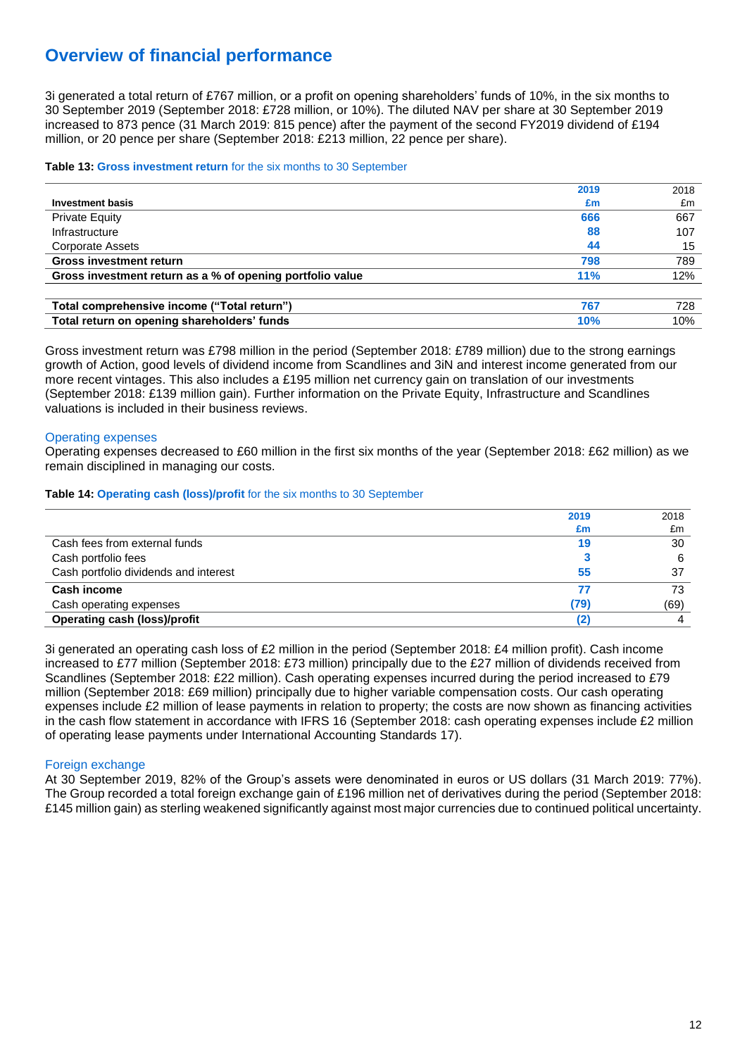## **Overview of financial performance**

3i generated a total return of £767 million, or a profit on opening shareholders' funds of 10%, in the six months to 30 September 2019 (September 2018: £728 million, or 10%). The diluted NAV per share at 30 September 2019 increased to 873 pence (31 March 2019: 815 pence) after the payment of the second FY2019 dividend of £194 million, or 20 pence per share (September 2018: £213 million, 22 pence per share).

#### **Table 13: Gross investment return** for the six months to 30 September

|                                                           | 2019 | 2018 |
|-----------------------------------------------------------|------|------|
| <b>Investment basis</b>                                   | £m   | £m   |
| <b>Private Equity</b>                                     | 666  | 667  |
| Infrastructure                                            | 88   | 107  |
| Corporate Assets                                          | 44   | 15   |
| <b>Gross investment return</b>                            | 798  | 789  |
| Gross investment return as a % of opening portfolio value | 11%  | 12%  |
|                                                           |      |      |
| Total comprehensive income ("Total return")               | 767  | 728  |
| Total return on opening shareholders' funds               | 10%  | 10%  |

Gross investment return was £798 million in the period (September 2018: £789 million) due to the strong earnings growth of Action, good levels of dividend income from Scandlines and 3iN and interest income generated from our more recent vintages. This also includes a £195 million net currency gain on translation of our investments (September 2018: £139 million gain). Further information on the Private Equity, Infrastructure and Scandlines valuations is included in their business reviews.

### Operating expenses

Operating expenses decreased to £60 million in the first six months of the year (September 2018: £62 million) as we remain disciplined in managing our costs.

#### **Table 14: Operating cash (loss)/profit** for the six months to 30 September

|                                       | 2019 | 2018 |
|---------------------------------------|------|------|
|                                       | £m   | £m   |
| Cash fees from external funds         | 19   | 30   |
| Cash portfolio fees                   |      | 6    |
| Cash portfolio dividends and interest | 55   | 37   |
| <b>Cash income</b>                    |      | 73   |
| Cash operating expenses               | (79) | (69) |
| <b>Operating cash (loss)/profit</b>   | 2    |      |

3i generated an operating cash loss of £2 million in the period (September 2018: £4 million profit). Cash income increased to £77 million (September 2018: £73 million) principally due to the £27 million of dividends received from Scandlines (September 2018: £22 million). Cash operating expenses incurred during the period increased to £79 million (September 2018: £69 million) principally due to higher variable compensation costs. Our cash operating expenses include £2 million of lease payments in relation to property; the costs are now shown as financing activities in the cash flow statement in accordance with IFRS 16 (September 2018: cash operating expenses include £2 million of operating lease payments under International Accounting Standards 17).

#### Foreign exchange

At 30 September 2019, 82% of the Group's assets were denominated in euros or US dollars (31 March 2019: 77%). The Group recorded a total foreign exchange gain of £196 million net of derivatives during the period (September 2018: £145 million gain) as sterling weakened significantly against most major currencies due to continued political uncertainty.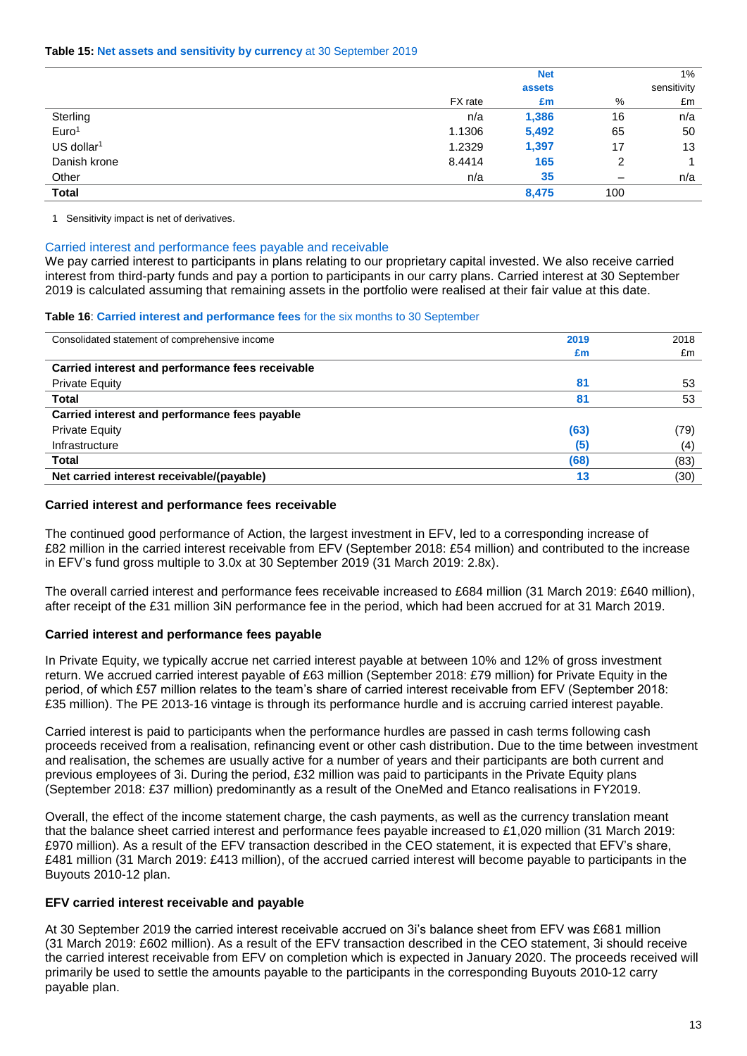|                          |         | <b>Net</b> |     | $1\%$       |
|--------------------------|---------|------------|-----|-------------|
|                          |         | assets     |     | sensitivity |
|                          | FX rate | £m         | %   | £m          |
| Sterling                 | n/a     | 1,386      | 16  | n/a         |
| Euro <sup>1</sup>        | 1.1306  | 5,492      | 65  | 50          |
| $US$ dollar <sup>1</sup> | 1.2329  | 1,397      | 17  | 13          |
| Danish krone             | 8.4414  | 165        | 2   |             |
| Other                    | n/a     | 35         |     | n/a         |
| <b>Total</b>             |         | 8,475      | 100 |             |

1 Sensitivity impact is net of derivatives.

#### Carried interest and performance fees payable and receivable

We pay carried interest to participants in plans relating to our proprietary capital invested. We also receive carried interest from third-party funds and pay a portion to participants in our carry plans. Carried interest at 30 September 2019 is calculated assuming that remaining assets in the portfolio were realised at their fair value at this date.

#### **Table 16**: **Carried interest and performance fees** for the six months to 30 September

| Consolidated statement of comprehensive income   | 2019 | 2018 |
|--------------------------------------------------|------|------|
|                                                  | £m   | £m   |
| Carried interest and performance fees receivable |      |      |
| <b>Private Equity</b>                            | 81   | 53   |
| <b>Total</b>                                     | 81   | 53   |
| Carried interest and performance fees payable    |      |      |
| <b>Private Equity</b>                            | (63) | (79) |
| Infrastructure                                   | (5)  | (4)  |
| <b>Total</b>                                     | (68) | (83) |
| Net carried interest receivable/(payable)        | 13   | (30) |

#### **Carried interest and performance fees receivable**

The continued good performance of Action, the largest investment in EFV, led to a corresponding increase of £82 million in the carried interest receivable from EFV (September 2018: £54 million) and contributed to the increase in EFV's fund gross multiple to 3.0x at 30 September 2019 (31 March 2019: 2.8x).

The overall carried interest and performance fees receivable increased to £684 million (31 March 2019: £640 million), after receipt of the £31 million 3iN performance fee in the period, which had been accrued for at 31 March 2019.

#### **Carried interest and performance fees payable**

In Private Equity, we typically accrue net carried interest payable at between 10% and 12% of gross investment return. We accrued carried interest payable of £63 million (September 2018: £79 million) for Private Equity in the period, of which £57 million relates to the team's share of carried interest receivable from EFV (September 2018: £35 million). The PE 2013-16 vintage is through its performance hurdle and is accruing carried interest payable.

Carried interest is paid to participants when the performance hurdles are passed in cash terms following cash proceeds received from a realisation, refinancing event or other cash distribution. Due to the time between investment and realisation, the schemes are usually active for a number of years and their participants are both current and previous employees of 3i. During the period, £32 million was paid to participants in the Private Equity plans (September 2018: £37 million) predominantly as a result of the OneMed and Etanco realisations in FY2019.

Overall, the effect of the income statement charge, the cash payments, as well as the currency translation meant that the balance sheet carried interest and performance fees payable increased to £1,020 million (31 March 2019: £970 million). As a result of the EFV transaction described in the CEO statement, it is expected that EFV's share, £481 million (31 March 2019: £413 million), of the accrued carried interest will become payable to participants in the Buyouts 2010-12 plan.

#### **EFV carried interest receivable and payable**

At 30 September 2019 the carried interest receivable accrued on 3i's balance sheet from EFV was £681 million (31 March 2019: £602 million). As a result of the EFV transaction described in the CEO statement, 3i should receive the carried interest receivable from EFV on completion which is expected in January 2020. The proceeds received will primarily be used to settle the amounts payable to the participants in the corresponding Buyouts 2010-12 carry payable plan.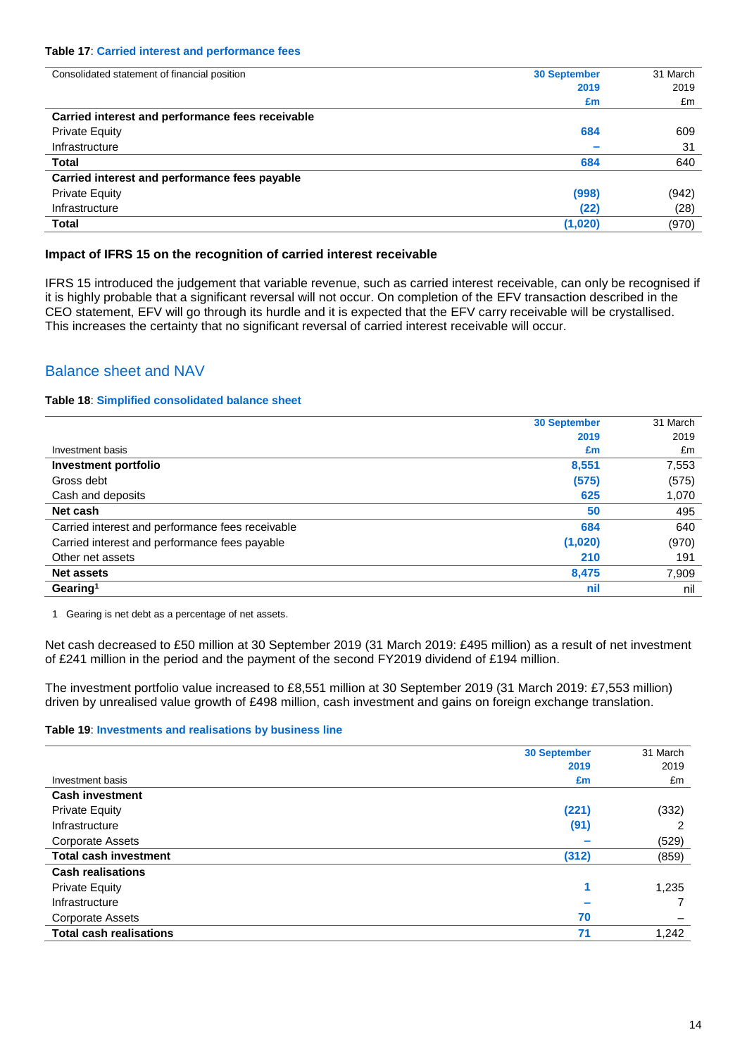#### **Table 17**: **Carried interest and performance fees**

| 31 March                                 |
|------------------------------------------|
| 2019                                     |
| £m                                       |
|                                          |
| 609                                      |
| 31                                       |
| 640                                      |
|                                          |
| (942)                                    |
| (28)                                     |
| (970)                                    |
| <b>30 September</b><br>2019<br>£m<br>684 |

### **Impact of IFRS 15 on the recognition of carried interest receivable**

IFRS 15 introduced the judgement that variable revenue, such as carried interest receivable, can only be recognised if it is highly probable that a significant reversal will not occur. On completion of the EFV transaction described in the CEO statement, EFV will go through its hurdle and it is expected that the EFV carry receivable will be crystallised. This increases the certainty that no significant reversal of carried interest receivable will occur.

## Balance sheet and NAV

#### **Table 18**: **Simplified consolidated balance sheet**

|                                                  | <b>30 September</b> | 31 March |
|--------------------------------------------------|---------------------|----------|
|                                                  | 2019                | 2019     |
| Investment basis                                 | £m                  | £m       |
| <b>Investment portfolio</b>                      | 8,551               | 7,553    |
| Gross debt                                       | (575)               | (575)    |
| Cash and deposits                                | 625                 | 1,070    |
| Net cash                                         | 50                  | 495      |
| Carried interest and performance fees receivable | 684                 | 640      |
| Carried interest and performance fees payable    | (1,020)             | (970)    |
| Other net assets                                 | 210                 | 191      |
| <b>Net assets</b>                                | 8,475               | 7,909    |
| Gearing <sup>1</sup>                             | nil                 | nil      |

1 Gearing is net debt as a percentage of net assets.

Net cash decreased to £50 million at 30 September 2019 (31 March 2019: £495 million) as a result of net investment of £241 million in the period and the payment of the second FY2019 dividend of £194 million.

The investment portfolio value increased to £8,551 million at 30 September 2019 (31 March 2019: £7,553 million) driven by unrealised value growth of £498 million, cash investment and gains on foreign exchange translation.

#### **Table 19**: **Investments and realisations by business line**

| <b>30 September</b>            |       | 31 March |
|--------------------------------|-------|----------|
|                                | 2019  | 2019     |
| Investment basis               | £m    | £m       |
| <b>Cash investment</b>         |       |          |
| <b>Private Equity</b>          | (221) | (332)    |
| Infrastructure                 | (91)  | 2        |
| <b>Corporate Assets</b>        |       | (529)    |
| <b>Total cash investment</b>   | (312) | (859)    |
| <b>Cash realisations</b>       |       |          |
| <b>Private Equity</b>          |       | 1,235    |
| Infrastructure                 |       |          |
| Corporate Assets               | 70    |          |
| <b>Total cash realisations</b> | 71    | 1,242    |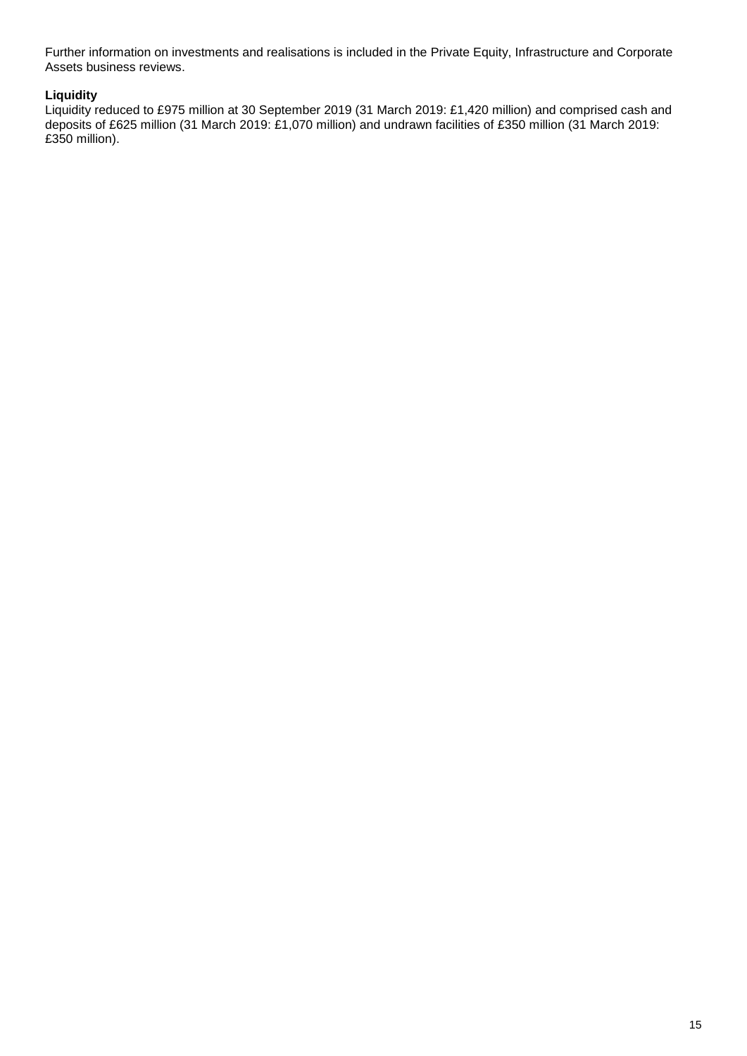Further information on investments and realisations is included in the Private Equity, Infrastructure and Corporate Assets business reviews.

## **Liquidity**

Liquidity reduced to £975 million at 30 September 2019 (31 March 2019: £1,420 million) and comprised cash and deposits of £625 million (31 March 2019: £1,070 million) and undrawn facilities of £350 million (31 March 2019: £350 million).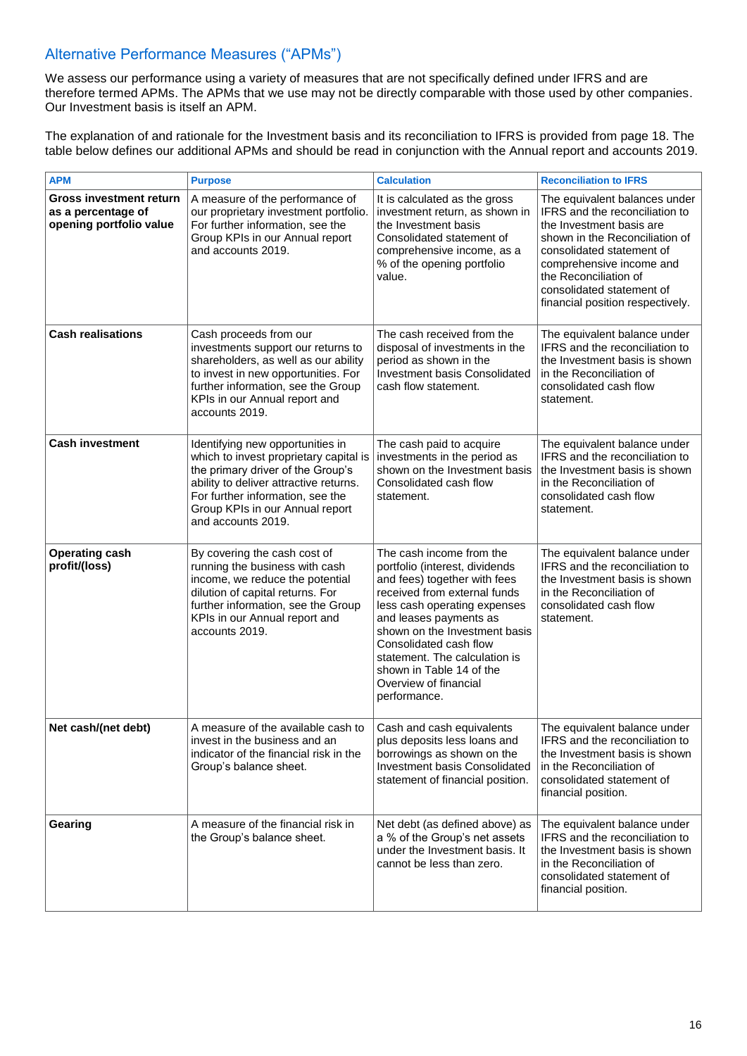## Alternative Performance Measures ("APMs")

We assess our performance using a variety of measures that are not specifically defined under IFRS and are therefore termed APMs. The APMs that we use may not be directly comparable with those used by other companies. Our Investment basis is itself an APM.

The explanation of and rationale for the Investment basis and its reconciliation to IFRS is provided from page 18. The table below defines our additional APMs and should be read in conjunction with the Annual report and accounts 2019.

| <b>APM</b>                                                                      | <b>Purpose</b>                                                                                                                                                                                                                                         | <b>Calculation</b>                                                                                                                                                                                                                                                                                                                                    | <b>Reconciliation to IFRS</b>                                                                                                                                                                                                                                                    |
|---------------------------------------------------------------------------------|--------------------------------------------------------------------------------------------------------------------------------------------------------------------------------------------------------------------------------------------------------|-------------------------------------------------------------------------------------------------------------------------------------------------------------------------------------------------------------------------------------------------------------------------------------------------------------------------------------------------------|----------------------------------------------------------------------------------------------------------------------------------------------------------------------------------------------------------------------------------------------------------------------------------|
| <b>Gross investment return</b><br>as a percentage of<br>opening portfolio value | A measure of the performance of<br>our proprietary investment portfolio.<br>For further information, see the<br>Group KPIs in our Annual report<br>and accounts 2019.                                                                                  | It is calculated as the gross<br>investment return, as shown in<br>the Investment basis<br>Consolidated statement of<br>comprehensive income, as a<br>% of the opening portfolio<br>value.                                                                                                                                                            | The equivalent balances under<br>IFRS and the reconciliation to<br>the Investment basis are<br>shown in the Reconciliation of<br>consolidated statement of<br>comprehensive income and<br>the Reconciliation of<br>consolidated statement of<br>financial position respectively. |
| <b>Cash realisations</b>                                                        | Cash proceeds from our<br>investments support our returns to<br>shareholders, as well as our ability<br>to invest in new opportunities. For<br>further information, see the Group<br>KPIs in our Annual report and<br>accounts 2019.                   | The cash received from the<br>disposal of investments in the<br>period as shown in the<br>Investment basis Consolidated<br>cash flow statement.                                                                                                                                                                                                       | The equivalent balance under<br>IFRS and the reconciliation to<br>the Investment basis is shown<br>in the Reconciliation of<br>consolidated cash flow<br>statement.                                                                                                              |
| <b>Cash investment</b>                                                          | Identifying new opportunities in<br>which to invest proprietary capital is<br>the primary driver of the Group's<br>ability to deliver attractive returns.<br>For further information, see the<br>Group KPIs in our Annual report<br>and accounts 2019. | The cash paid to acquire<br>investments in the period as<br>shown on the Investment basis<br>Consolidated cash flow<br>statement.                                                                                                                                                                                                                     | The equivalent balance under<br>IFRS and the reconciliation to<br>the Investment basis is shown<br>in the Reconciliation of<br>consolidated cash flow<br>statement.                                                                                                              |
| <b>Operating cash</b><br>profit/(loss)                                          | By covering the cash cost of<br>running the business with cash<br>income, we reduce the potential<br>dilution of capital returns. For<br>further information, see the Group<br>KPIs in our Annual report and<br>accounts 2019.                         | The cash income from the<br>portfolio (interest, dividends<br>and fees) together with fees<br>received from external funds<br>less cash operating expenses<br>and leases payments as<br>shown on the Investment basis<br>Consolidated cash flow<br>statement. The calculation is<br>shown in Table 14 of the<br>Overview of financial<br>performance. | The equivalent balance under<br>IFRS and the reconciliation to<br>the Investment basis is shown<br>in the Reconciliation of<br>consolidated cash flow<br>statement.                                                                                                              |
| Net cash/(net debt)                                                             | A measure of the available cash to<br>invest in the business and an<br>indicator of the financial risk in the<br>Group's balance sheet.                                                                                                                | Cash and cash equivalents<br>plus deposits less loans and<br>borrowings as shown on the<br>Investment basis Consolidated<br>statement of financial position.                                                                                                                                                                                          | The equivalent balance under<br>IFRS and the reconciliation to<br>the Investment basis is shown<br>in the Reconciliation of<br>consolidated statement of<br>financial position.                                                                                                  |
| Gearing                                                                         | A measure of the financial risk in<br>the Group's balance sheet.                                                                                                                                                                                       | Net debt (as defined above) as<br>a % of the Group's net assets<br>under the Investment basis. It<br>cannot be less than zero.                                                                                                                                                                                                                        | The equivalent balance under<br>IFRS and the reconciliation to<br>the Investment basis is shown<br>in the Reconciliation of<br>consolidated statement of<br>financial position.                                                                                                  |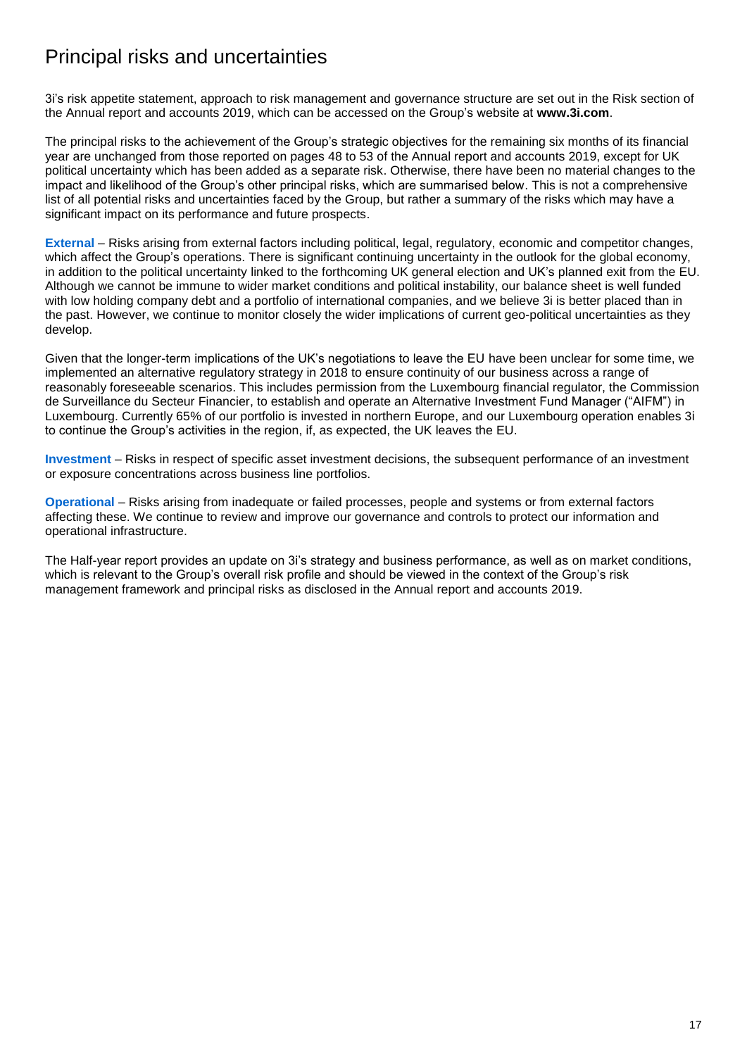# Principal risks and uncertainties

3i's risk appetite statement, approach to risk management and governance structure are set out in the Risk section of the Annual report and accounts 2019, which can be accessed on the Group's website at **www.3i.com**.

The principal risks to the achievement of the Group's strategic objectives for the remaining six months of its financial year are unchanged from those reported on pages 48 to 53 of the Annual report and accounts 2019, except for UK political uncertainty which has been added as a separate risk. Otherwise, there have been no material changes to the impact and likelihood of the Group's other principal risks, which are summarised below. This is not a comprehensive list of all potential risks and uncertainties faced by the Group, but rather a summary of the risks which may have a significant impact on its performance and future prospects.

**External** – Risks arising from external factors including political, legal, regulatory, economic and competitor changes, which affect the Group's operations. There is significant continuing uncertainty in the outlook for the global economy, in addition to the political uncertainty linked to the forthcoming UK general election and UK's planned exit from the EU. Although we cannot be immune to wider market conditions and political instability, our balance sheet is well funded with low holding company debt and a portfolio of international companies, and we believe 3i is better placed than in the past. However, we continue to monitor closely the wider implications of current geo-political uncertainties as they develop.

Given that the longer-term implications of the UK's negotiations to leave the EU have been unclear for some time, we implemented an alternative regulatory strategy in 2018 to ensure continuity of our business across a range of reasonably foreseeable scenarios. This includes permission from the Luxembourg financial regulator, the Commission de Surveillance du Secteur Financier, to establish and operate an Alternative Investment Fund Manager ("AIFM") in Luxembourg. Currently 65% of our portfolio is invested in northern Europe, and our Luxembourg operation enables 3i to continue the Group's activities in the region, if, as expected, the UK leaves the EU.

**Investment** – Risks in respect of specific asset investment decisions, the subsequent performance of an investment or exposure concentrations across business line portfolios.

**Operational** – Risks arising from inadequate or failed processes, people and systems or from external factors affecting these. We continue to review and improve our governance and controls to protect our information and operational infrastructure.

The Half-year report provides an update on 3i's strategy and business performance, as well as on market conditions, which is relevant to the Group's overall risk profile and should be viewed in the context of the Group's risk management framework and principal risks as disclosed in the Annual report and accounts 2019.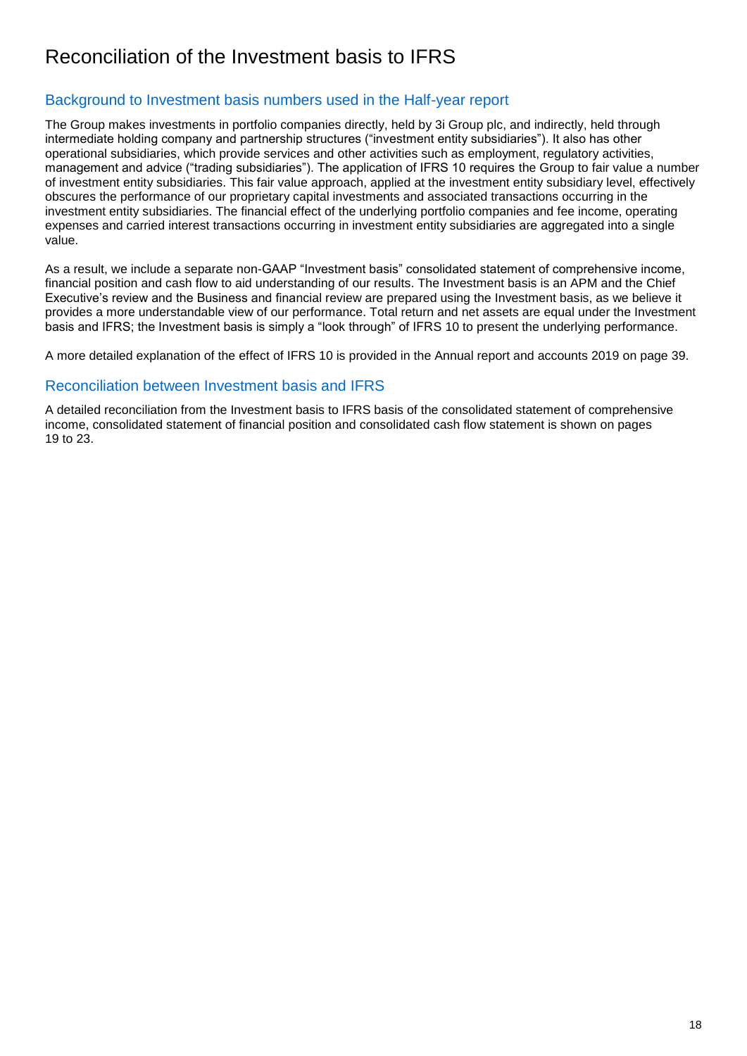# Reconciliation of the Investment basis to IFRS

## Background to Investment basis numbers used in the Half-year report

The Group makes investments in portfolio companies directly, held by 3i Group plc, and indirectly, held through intermediate holding company and partnership structures ("investment entity subsidiaries"). It also has other operational subsidiaries, which provide services and other activities such as employment, regulatory activities, management and advice ("trading subsidiaries"). The application of IFRS 10 requires the Group to fair value a number of investment entity subsidiaries. This fair value approach, applied at the investment entity subsidiary level, effectively obscures the performance of our proprietary capital investments and associated transactions occurring in the investment entity subsidiaries. The financial effect of the underlying portfolio companies and fee income, operating expenses and carried interest transactions occurring in investment entity subsidiaries are aggregated into a single value.

As a result, we include a separate non-GAAP "Investment basis" consolidated statement of comprehensive income, financial position and cash flow to aid understanding of our results. The Investment basis is an APM and the Chief Executive's review and the Business and financial review are prepared using the Investment basis, as we believe it provides a more understandable view of our performance. Total return and net assets are equal under the Investment basis and IFRS; the Investment basis is simply a "look through" of IFRS 10 to present the underlying performance.

A more detailed explanation of the effect of IFRS 10 is provided in the Annual report and accounts 2019 on page 39.

## Reconciliation between Investment basis and IFRS

A detailed reconciliation from the Investment basis to IFRS basis of the consolidated statement of comprehensive income, consolidated statement of financial position and consolidated cash flow statement is shown on pages 19 to 23.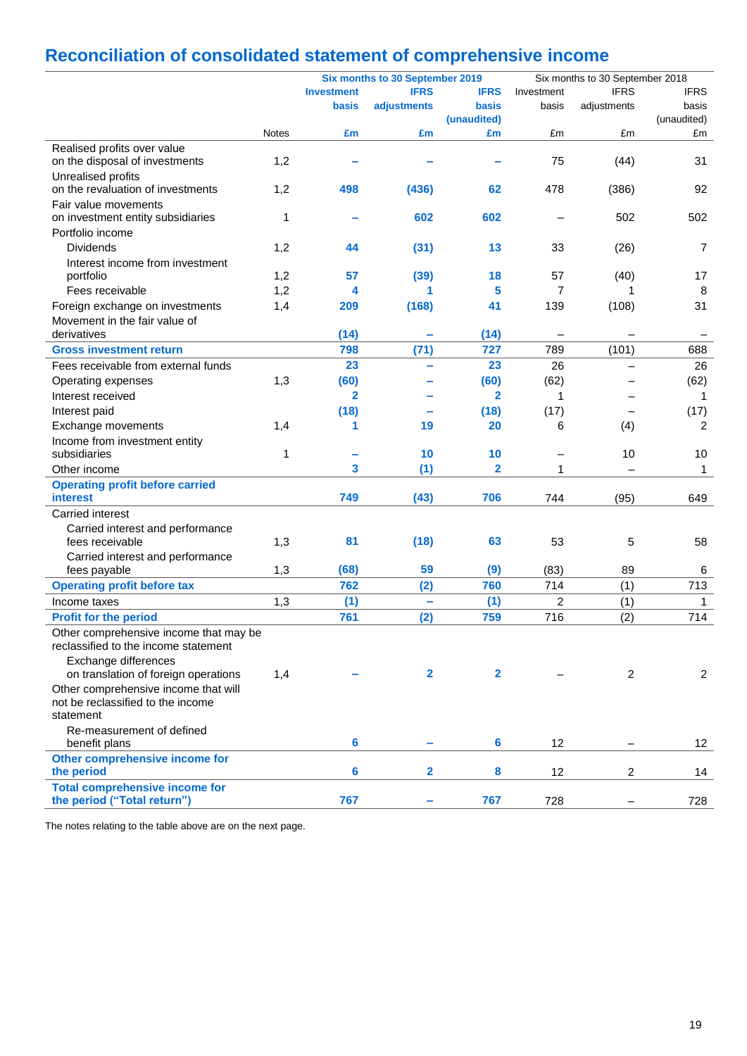# **Reconciliation of consolidated statement of comprehensive income**

|                                                                                |              | Six months to 30 September 2019 |              |                |            | Six months to 30 September 2018 |                |  |
|--------------------------------------------------------------------------------|--------------|---------------------------------|--------------|----------------|------------|---------------------------------|----------------|--|
|                                                                                |              | <b>Investment</b>               | <b>IFRS</b>  | <b>IFRS</b>    | Investment | <b>IFRS</b>                     | <b>IFRS</b>    |  |
|                                                                                |              | <b>basis</b>                    | adjustments  | <b>basis</b>   | basis      | adjustments                     | basis          |  |
|                                                                                |              |                                 |              | (unaudited)    |            |                                 | (unaudited)    |  |
|                                                                                | <b>Notes</b> | £m                              | £m           | £m             | £m         | £m                              | £m             |  |
| Realised profits over value                                                    |              |                                 |              |                |            |                                 |                |  |
| on the disposal of investments                                                 | 1,2          |                                 |              |                | 75         | (44)                            | 31             |  |
| Unrealised profits                                                             |              |                                 |              |                |            |                                 |                |  |
| on the revaluation of investments                                              | 1,2          | 498                             | (436)        | 62             | 478        | (386)                           | 92             |  |
| Fair value movements                                                           |              |                                 |              |                |            |                                 |                |  |
| on investment entity subsidiaries                                              | 1            |                                 | 602          | 602            |            | 502                             | 502            |  |
| Portfolio income                                                               |              |                                 |              |                |            |                                 |                |  |
| <b>Dividends</b>                                                               | 1,2          | 44                              | (31)         | 13             | 33         | (26)                            | 7              |  |
| Interest income from investment                                                |              |                                 |              |                |            |                                 |                |  |
| portfolio                                                                      | 1,2          | 57                              | (39)         | 18             | 57         | (40)                            | 17             |  |
| Fees receivable                                                                | 1,2          | 4                               | 1            | 5              | 7          |                                 | 8              |  |
| Foreign exchange on investments                                                | 1,4          | 209                             | (168)        | 41             | 139        | (108)                           | 31             |  |
| Movement in the fair value of                                                  |              |                                 |              |                |            |                                 |                |  |
| derivatives                                                                    |              | (14)                            |              | (14)           |            |                                 |                |  |
| <b>Gross investment return</b>                                                 |              | 798                             | (71)         | 727            | 789        | (101)                           | 688            |  |
| Fees receivable from external funds                                            |              | 23                              |              | 23             | 26         |                                 | 26             |  |
| Operating expenses                                                             | 1,3          | (60)                            |              | (60)           | (62)       |                                 | (62)           |  |
| Interest received                                                              |              | $\mathbf{2}$                    |              | $\mathbf{2}$   | 1          |                                 | 1              |  |
| Interest paid                                                                  |              | (18)                            |              | (18)           | (17)       |                                 | (17)           |  |
|                                                                                |              | 1                               | 19           | 20             | 6          |                                 | 2              |  |
| Exchange movements                                                             | 1,4          |                                 |              |                |            | (4)                             |                |  |
| Income from investment entity<br>subsidiaries                                  | 1            |                                 | 10           | 10             |            | 10                              | 10             |  |
|                                                                                |              | 3                               |              | $\overline{2}$ |            |                                 |                |  |
| Other income                                                                   |              |                                 | (1)          |                | 1          |                                 | 1              |  |
| <b>Operating profit before carried</b>                                         |              |                                 |              |                |            |                                 |                |  |
| <b>interest</b>                                                                |              | 749                             | (43)         | 706            | 744        | (95)                            | 649            |  |
| Carried interest                                                               |              |                                 |              |                |            |                                 |                |  |
| Carried interest and performance                                               |              |                                 |              |                |            |                                 |                |  |
| fees receivable                                                                | 1,3          | 81                              | (18)         | 63             | 53         | 5                               | 58             |  |
| Carried interest and performance                                               |              |                                 |              |                |            |                                 |                |  |
| fees payable                                                                   | 1,3          | (68)                            | 59           | (9)            | (83)       | 89                              | 6              |  |
| <b>Operating profit before tax</b>                                             |              | 762                             | (2)          | 760            | 714        | (1)                             | 713            |  |
| Income taxes                                                                   | 1,3          | (1)                             | ÷            | (1)            | 2          | (1)                             | $\mathbf{1}$   |  |
| <b>Profit for the period</b>                                                   |              | 761                             | (2)          | 759            | 716        | (2)                             | 714            |  |
| Other comprehensive income that may be<br>reclassified to the income statement |              |                                 |              |                |            |                                 |                |  |
| Exchange differences                                                           |              |                                 |              |                |            |                                 |                |  |
| on translation of foreign operations                                           | 1,4          |                                 | $\mathbf{2}$ | $\mathbf{2}$   |            | $\overline{2}$                  | $\overline{c}$ |  |
| Other comprehensive income that will                                           |              |                                 |              |                |            |                                 |                |  |
| not be reclassified to the income                                              |              |                                 |              |                |            |                                 |                |  |
| statement                                                                      |              |                                 |              |                |            |                                 |                |  |
| Re-measurement of defined                                                      |              |                                 |              |                |            |                                 |                |  |
| benefit plans                                                                  |              | 6                               |              | 6              | 12         |                                 | 12             |  |
| Other comprehensive income for                                                 |              |                                 |              |                |            |                                 |                |  |
| the period                                                                     |              | 6                               | 2            | 8              | 12         | $\overline{c}$                  | 14             |  |
| <b>Total comprehensive income for</b><br>the period ("Total return")           |              | 767                             |              | 767            |            |                                 |                |  |
|                                                                                |              |                                 |              |                | 728        |                                 | 728            |  |

The notes relating to the table above are on the next page.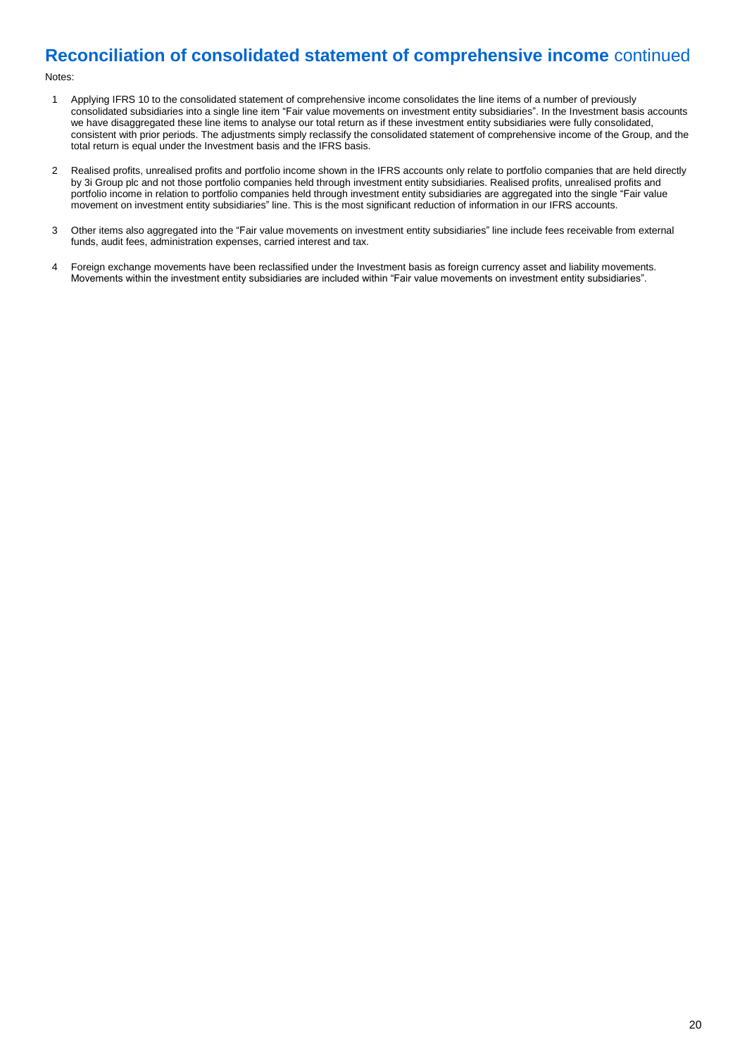## **Reconciliation of consolidated statement of comprehensive income** continued

#### Notes:

- 1 Applying IFRS 10 to the consolidated statement of comprehensive income consolidates the line items of a number of previously consolidated subsidiaries into a single line item "Fair value movements on investment entity subsidiaries". In the Investment basis accounts we have disaggregated these line items to analyse our total return as if these investment entity subsidiaries were fully consolidated, consistent with prior periods. The adjustments simply reclassify the consolidated statement of comprehensive income of the Group, and the total return is equal under the Investment basis and the IFRS basis.
- 2 Realised profits, unrealised profits and portfolio income shown in the IFRS accounts only relate to portfolio companies that are held directly by 3i Group plc and not those portfolio companies held through investment entity subsidiaries. Realised profits, unrealised profits and portfolio income in relation to portfolio companies held through investment entity subsidiaries are aggregated into the single "Fair value movement on investment entity subsidiaries" line. This is the most significant reduction of information in our IFRS accounts.
- 3 Other items also aggregated into the "Fair value movements on investment entity subsidiaries" line include fees receivable from external funds, audit fees, administration expenses, carried interest and tax.
- 4 Foreign exchange movements have been reclassified under the Investment basis as foreign currency asset and liability movements. Movements within the investment entity subsidiaries are included within "Fair value movements on investment entity subsidiaries".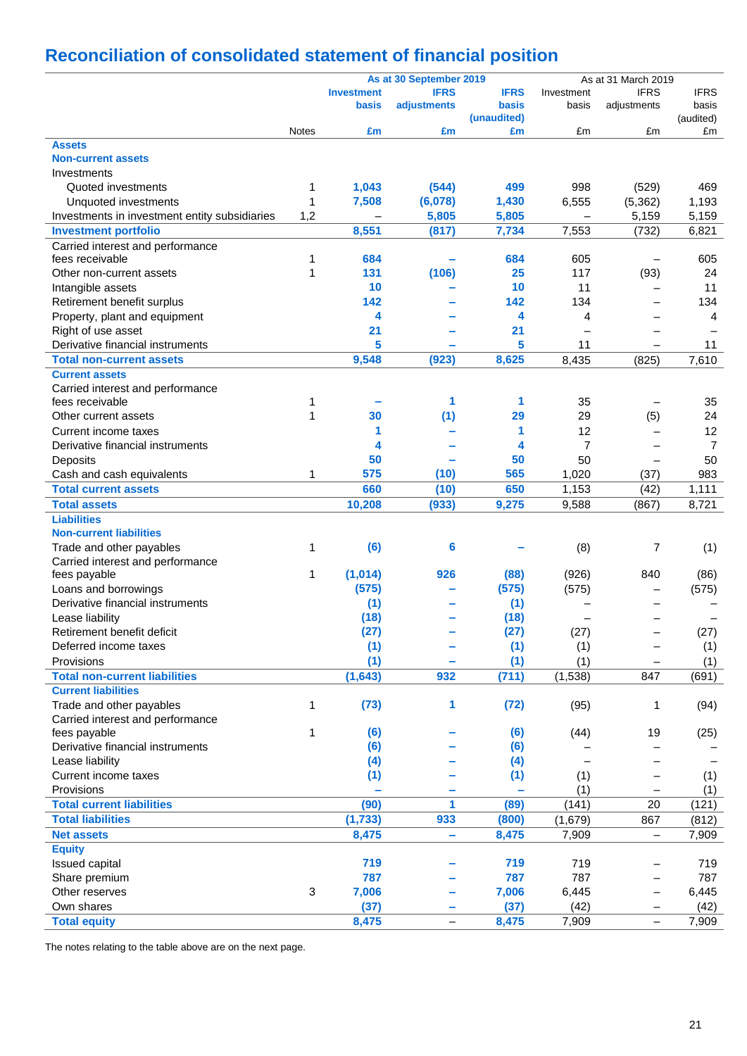# **Reconciliation of consolidated statement of financial position**

|                                               |              |                          | As at 30 September 2019       |             |                | As at 31 March 2019      |                |
|-----------------------------------------------|--------------|--------------------------|-------------------------------|-------------|----------------|--------------------------|----------------|
|                                               |              | <b>Investment</b>        | <b>IFRS</b>                   | <b>IFRS</b> | Investment     | <b>IFRS</b>              | <b>IFRS</b>    |
|                                               |              | basis                    | adjustments                   | basis       | basis          | adjustments              | basis          |
|                                               |              |                          |                               | (unaudited) |                |                          | (audited)      |
|                                               | <b>Notes</b> | £m                       | £m                            | £m          | £m             | £m                       | £m             |
| <b>Assets</b>                                 |              |                          |                               |             |                |                          |                |
| <b>Non-current assets</b>                     |              |                          |                               |             |                |                          |                |
| Investments                                   |              |                          |                               |             |                |                          |                |
| Quoted investments                            | 1            | 1,043                    | (544)                         | 499         | 998            | (529)                    | 469            |
| Unquoted investments                          | 1            | 7,508                    | (6,078)                       | 1,430       | 6,555          | (5, 362)                 | 1,193          |
| Investments in investment entity subsidiaries | 1,2          | $\overline{\phantom{0}}$ | 5,805                         | 5,805       |                | 5,159                    | 5,159          |
| <b>Investment portfolio</b>                   |              | 8,551                    | (817)                         | 7,734       | 7,553          | (732)                    | 6,821          |
| Carried interest and performance              |              |                          |                               |             |                |                          |                |
| fees receivable                               | 1            | 684                      |                               | 684         | 605            |                          | 605            |
| Other non-current assets                      | 1            | 131                      | (106)                         | 25          | 117            | (93)                     | 24             |
| Intangible assets                             |              | 10                       |                               | 10          | 11             |                          | 11             |
| Retirement benefit surplus                    |              | 142                      |                               | 142         | 134            |                          | 134            |
| Property, plant and equipment                 |              | 4                        |                               | 4           | $\overline{4}$ |                          | 4              |
| Right of use asset                            |              | 21                       |                               | 21          |                | $\equiv$                 |                |
| Derivative financial instruments              |              | 5                        |                               | 5           | 11             | $\overline{\phantom{0}}$ | 11             |
| <b>Total non-current assets</b>               |              | 9,548                    | (923)                         | 8,625       | 8,435          | (825)                    | 7,610          |
| <b>Current assets</b>                         |              |                          |                               |             |                |                          |                |
| Carried interest and performance              |              |                          |                               |             |                |                          |                |
| fees receivable                               | 1            |                          | 1                             | 1           | 35             |                          | 35             |
| Other current assets                          | 1            | 30                       | (1)                           | 29          | 29             | (5)                      | 24             |
| Current income taxes                          |              | 1                        |                               | 1           | 12             |                          | 12             |
| Derivative financial instruments              |              | 4                        |                               | 4           | $\overline{7}$ |                          | $\overline{7}$ |
| Deposits                                      |              | 50                       |                               | 50          | 50             |                          | 50             |
| Cash and cash equivalents                     | 1            | 575                      | (10)                          | 565         | 1,020          | (37)                     | 983            |
| <b>Total current assets</b>                   |              | 660                      | (10)                          | 650         | 1,153          | (42)                     | 1,111          |
| <b>Total assets</b>                           |              | 10,208                   | (933)                         | 9,275       | 9,588          | (867)                    | 8,721          |
| <b>Liabilities</b>                            |              |                          |                               |             |                |                          |                |
| <b>Non-current liabilities</b>                |              |                          |                               |             |                |                          |                |
| Trade and other payables                      | 1            | (6)                      | 6                             |             | (8)            | 7                        | (1)            |
| Carried interest and performance              |              |                          |                               |             |                |                          |                |
| fees payable                                  | 1            | (1,014)                  | 926                           | (88)        | (926)          | 840                      | (86)           |
| Loans and borrowings                          |              | (575)                    |                               | (575)       | (575)          |                          | (575)          |
| Derivative financial instruments              |              | (1)                      |                               | (1)         |                |                          |                |
| Lease liability                               |              | (18)                     |                               | (18)        |                |                          |                |
| Retirement benefit deficit                    |              | (27)                     |                               | (27)        | (27)           |                          | (27)           |
| Deferred income taxes                         |              | (1)                      |                               | (1)         | (1)            |                          | (1)            |
| Provisions                                    |              | (1)                      |                               | (1)         | (1)            |                          | (1)            |
| <b>Total non-current liabilities</b>          |              | (1,643)                  | 932                           | (711)       | (1,538)        | 847                      | (691)          |
| <b>Current liabilities</b>                    |              |                          |                               |             |                |                          |                |
| Trade and other payables                      | 1            | (73)                     | 1                             | (72)        | (95)           | 1                        | (94)           |
| Carried interest and performance              |              |                          |                               |             |                |                          |                |
| fees payable                                  | 1            | (6)                      |                               | (6)         | (44)           | 19                       | (25)           |
| Derivative financial instruments              |              | (6)                      |                               | (6)         |                |                          |                |
| Lease liability                               |              | (4)                      |                               | (4)         |                |                          |                |
| Current income taxes                          |              | (1)                      |                               | (1)         | (1)            |                          | (1)            |
| Provisions                                    |              |                          |                               |             | (1)            |                          | (1)            |
| <b>Total current liabilities</b>              |              | (90)                     | 1                             | (89)        | (141)          | 20                       | (121)          |
| <b>Total liabilities</b>                      |              | (1, 733)                 | 933                           | (800)       | (1,679)        | 867                      | (812)          |
| <b>Net assets</b>                             |              | 8,475                    | ÷                             | 8,475       | 7,909          | $\qquad \qquad -$        | 7,909          |
| <b>Equity</b>                                 |              |                          |                               |             |                |                          |                |
| Issued capital                                |              | 719                      |                               | 719         | 719            |                          | 719            |
| Share premium                                 |              | 787                      |                               | 787         | 787            | $\overline{\phantom{0}}$ | 787            |
| Other reserves                                | $\mathbf{3}$ | 7,006                    |                               | 7,006       | 6,445          | $\overline{\phantom{0}}$ | 6,445          |
| Own shares                                    |              | (37)                     |                               | (37)        | (42)           |                          | (42)           |
| <b>Total equity</b>                           |              |                          | -<br>$\overline{\phantom{0}}$ |             | 7,909          | -                        | 7,909          |
|                                               |              | 8,475                    |                               | 8,475       |                | $\overline{\phantom{0}}$ |                |

The notes relating to the table above are on the next page.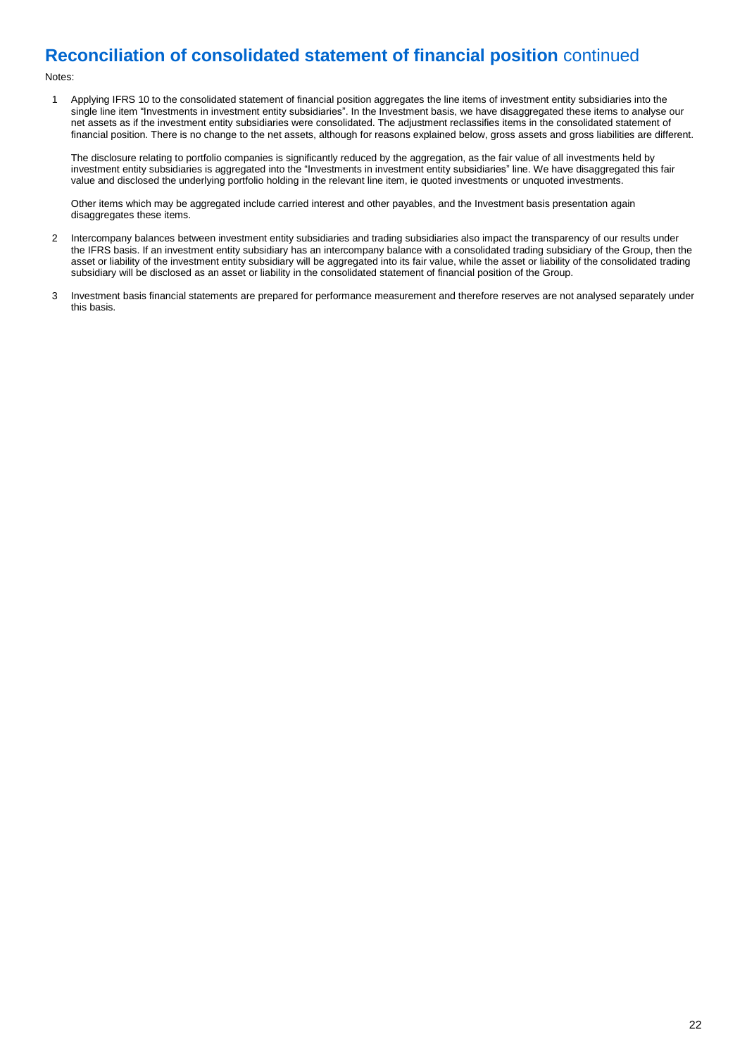## **Reconciliation of consolidated statement of financial position** continued

#### Notes:

1 Applying IFRS 10 to the consolidated statement of financial position aggregates the line items of investment entity subsidiaries into the single line item "Investments in investment entity subsidiaries". In the Investment basis, we have disaggregated these items to analyse our net assets as if the investment entity subsidiaries were consolidated. The adjustment reclassifies items in the consolidated statement of financial position. There is no change to the net assets, although for reasons explained below, gross assets and gross liabilities are different.

The disclosure relating to portfolio companies is significantly reduced by the aggregation, as the fair value of all investments held by investment entity subsidiaries is aggregated into the "Investments in investment entity subsidiaries" line. We have disaggregated this fair value and disclosed the underlying portfolio holding in the relevant line item, ie quoted investments or unquoted investments.

Other items which may be aggregated include carried interest and other payables, and the Investment basis presentation again disaggregates these items.

- 2 Intercompany balances between investment entity subsidiaries and trading subsidiaries also impact the transparency of our results under the IFRS basis. If an investment entity subsidiary has an intercompany balance with a consolidated trading subsidiary of the Group, then the asset or liability of the investment entity subsidiary will be aggregated into its fair value, while the asset or liability of the consolidated trading subsidiary will be disclosed as an asset or liability in the consolidated statement of financial position of the Group.
- 3 Investment basis financial statements are prepared for performance measurement and therefore reserves are not analysed separately under this basis.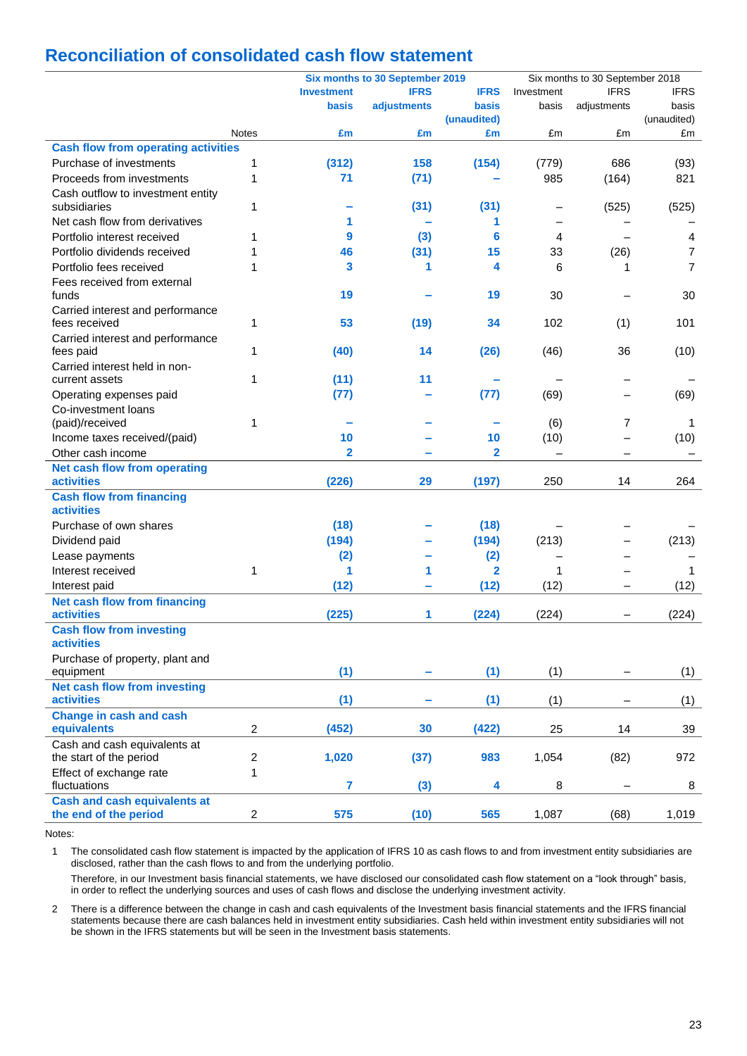## **Reconciliation of consolidated cash flow statement**

|                                            |                |                   | Six months to 30 September 2019 |                         | Six months to 30 September 2018 |             |                |
|--------------------------------------------|----------------|-------------------|---------------------------------|-------------------------|---------------------------------|-------------|----------------|
|                                            |                | <b>Investment</b> | <b>IFRS</b>                     | <b>IFRS</b>             | Investment                      | <b>IFRS</b> | <b>IFRS</b>    |
|                                            |                | basis             | adjustments                     | basis                   | basis                           | adjustments | basis          |
|                                            |                |                   |                                 | (unaudited)             |                                 |             | (unaudited)    |
|                                            | <b>Notes</b>   | £m                | £m                              | £m                      | £m                              | £m          | £m             |
| <b>Cash flow from operating activities</b> |                |                   |                                 |                         |                                 |             |                |
| Purchase of investments                    | 1              | (312)             | 158                             | (154)                   | (779)                           | 686         | (93)           |
| Proceeds from investments                  | 1              | 71                | (71)                            |                         | 985                             | (164)       | 821            |
| Cash outflow to investment entity          |                |                   |                                 |                         |                                 |             |                |
| subsidiaries                               | 1              |                   | (31)                            | (31)                    |                                 | (525)       | (525)          |
| Net cash flow from derivatives             |                | 1                 |                                 | 1                       |                                 |             |                |
| Portfolio interest received                | 1              | 9                 | (3)                             | 6                       | 4                               |             | 4              |
| Portfolio dividends received               | 1              | 46                | (31)                            | 15                      | 33                              | (26)        | 7              |
| Portfolio fees received                    | 1              | 3                 | 1                               | 4                       | 6                               | 1           | $\overline{7}$ |
| Fees received from external                |                |                   |                                 |                         |                                 |             |                |
| funds                                      |                | 19                |                                 | 19                      | 30                              |             | 30             |
| Carried interest and performance           |                |                   |                                 |                         |                                 |             |                |
| fees received                              | 1              | 53                | (19)                            | 34                      | 102                             | (1)         | 101            |
| Carried interest and performance           |                |                   |                                 |                         |                                 |             |                |
| fees paid                                  | 1              | (40)              | 14                              | (26)                    | (46)                            | 36          | (10)           |
| Carried interest held in non-              |                |                   |                                 |                         |                                 |             |                |
| current assets                             | 1              | (11)              | 11                              |                         |                                 |             |                |
| Operating expenses paid                    |                | (77)              |                                 | (77)                    | (69)                            |             | (69)           |
| Co-investment loans                        |                |                   |                                 |                         |                                 |             |                |
| (paid)/received                            | 1              |                   |                                 |                         | (6)                             | 7           | 1              |
| Income taxes received/(paid)               |                | 10                |                                 | 10                      | (10)                            |             | (10)           |
| Other cash income                          |                | $\mathbf{2}$      |                                 | $\overline{\mathbf{2}}$ |                                 |             |                |
| <b>Net cash flow from operating</b>        |                |                   |                                 |                         |                                 |             |                |
| <b>activities</b>                          |                | (226)             | 29                              | (197)                   | 250                             | 14          | 264            |
| <b>Cash flow from financing</b>            |                |                   |                                 |                         |                                 |             |                |
| <b>activities</b>                          |                |                   |                                 |                         |                                 |             |                |
| Purchase of own shares                     |                | (18)              |                                 | (18)                    |                                 |             |                |
| Dividend paid                              |                | (194)             |                                 | (194)                   | (213)                           |             | (213)          |
| Lease payments                             |                | (2)               |                                 | (2)                     |                                 |             |                |
| Interest received                          | 1              | 1                 | 1                               | 2                       | 1                               |             | 1              |
| Interest paid                              |                | (12)              | ÷                               | (12)                    | (12)                            |             | (12)           |
| <b>Net cash flow from financing</b>        |                |                   |                                 |                         |                                 |             |                |
| <b>activities</b>                          |                | (225)             | 1                               | (224)                   | (224)                           |             | (224)          |
| <b>Cash flow from investing</b>            |                |                   |                                 |                         |                                 |             |                |
| <b>activities</b>                          |                |                   |                                 |                         |                                 |             |                |
| Purchase of property, plant and            |                |                   |                                 |                         |                                 |             |                |
| equipment                                  |                | (1)               |                                 | (1)                     | (1)                             |             | (1)            |
| <b>Net cash flow from investing</b>        |                |                   |                                 |                         |                                 |             |                |
| <b>activities</b>                          |                | (1)               |                                 | (1)                     | (1)                             |             | (1)            |
| <b>Change in cash and cash</b>             |                |                   |                                 |                         |                                 |             |                |
| equivalents                                | $\overline{2}$ | (452)             | 30                              | (422)                   | 25                              | 14          | 39             |
| Cash and cash equivalents at               |                |                   |                                 |                         |                                 |             |                |
| the start of the period                    | $\overline{c}$ | 1,020             | (37)                            | 983                     | 1,054                           | (82)        | 972            |
| Effect of exchange rate                    | 1              |                   |                                 |                         |                                 |             |                |
| fluctuations                               |                | $\overline{7}$    | (3)                             | 4                       | 8                               |             | 8              |
| <b>Cash and cash equivalents at</b>        |                |                   |                                 |                         |                                 |             |                |
| the end of the period                      | $\overline{c}$ | 575               | (10)                            | 565                     | 1,087                           | (68)        | 1,019          |
|                                            |                |                   |                                 |                         |                                 |             |                |

Notes:

1 The consolidated cash flow statement is impacted by the application of IFRS 10 as cash flows to and from investment entity subsidiaries are disclosed, rather than the cash flows to and from the underlying portfolio.

Therefore, in our Investment basis financial statements, we have disclosed our consolidated cash flow statement on a "look through" basis, in order to reflect the underlying sources and uses of cash flows and disclose the underlying investment activity.

2 There is a difference between the change in cash and cash equivalents of the Investment basis financial statements and the IFRS financial statements because there are cash balances held in investment entity subsidiaries. Cash held within investment entity subsidiaries will not be shown in the IFRS statements but will be seen in the Investment basis statements.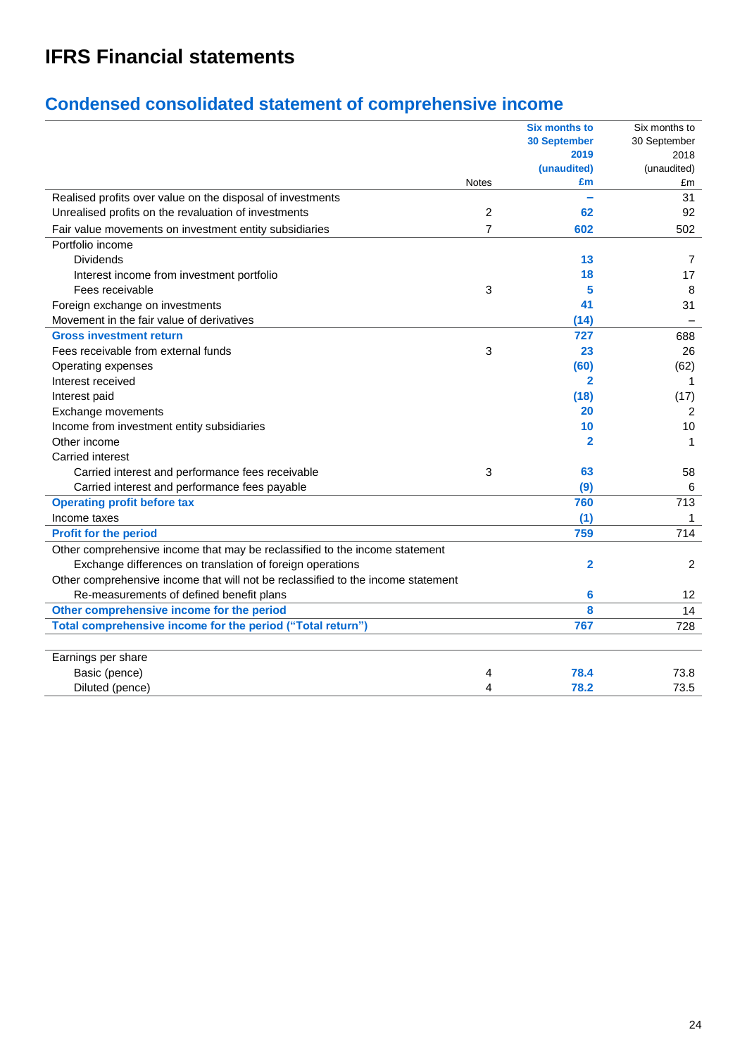# **IFRS Financial statements**

# **Condensed consolidated statement of comprehensive income**

|                                                                                  |              | <b>Six months to</b> | Six months to  |
|----------------------------------------------------------------------------------|--------------|----------------------|----------------|
|                                                                                  |              | <b>30 September</b>  | 30 September   |
|                                                                                  |              | 2019                 | 2018           |
|                                                                                  |              | (unaudited)          | (unaudited)    |
|                                                                                  | <b>Notes</b> | £m                   | £m             |
| Realised profits over value on the disposal of investments                       |              |                      | 31             |
| Unrealised profits on the revaluation of investments                             | 2            | 62                   | 92             |
| Fair value movements on investment entity subsidiaries                           | 7            | 602                  | 502            |
| Portfolio income                                                                 |              |                      |                |
| <b>Dividends</b>                                                                 |              | 13                   | 7              |
| Interest income from investment portfolio                                        |              | 18                   | 17             |
| Fees receivable                                                                  | 3            | 5                    | 8              |
| Foreign exchange on investments                                                  |              | 41                   | 31             |
| Movement in the fair value of derivatives                                        |              | (14)                 |                |
| <b>Gross investment return</b>                                                   |              | 727                  | 688            |
| Fees receivable from external funds                                              | 3            | 23                   | 26             |
| Operating expenses                                                               |              | (60)                 | (62)           |
| Interest received                                                                |              | $\mathbf{2}$         | 1              |
| Interest paid                                                                    |              | (18)                 | (17)           |
| Exchange movements                                                               |              | 20                   | $\overline{2}$ |
| Income from investment entity subsidiaries                                       |              | 10                   | 10             |
| Other income                                                                     |              | 2                    | 1              |
| Carried interest                                                                 |              |                      |                |
| Carried interest and performance fees receivable                                 | 3            | 63                   | 58             |
| Carried interest and performance fees payable                                    |              | (9)                  | 6              |
| <b>Operating profit before tax</b>                                               |              | 760                  | 713            |
| Income taxes                                                                     |              | (1)                  | 1              |
| <b>Profit for the period</b>                                                     |              | 759                  | 714            |
| Other comprehensive income that may be reclassified to the income statement      |              |                      |                |
| Exchange differences on translation of foreign operations                        |              | 2                    | 2              |
| Other comprehensive income that will not be reclassified to the income statement |              |                      |                |
| Re-measurements of defined benefit plans                                         |              | 6                    | 12             |
| Other comprehensive income for the period                                        |              | 8                    | 14             |
| Total comprehensive income for the period ("Total return")                       |              | 767                  | 728            |
|                                                                                  |              |                      |                |
| Earnings per share                                                               |              |                      |                |
| Basic (pence)                                                                    | 4            | 78.4                 | 73.8           |
| Diluted (pence)                                                                  | 4            | 78.2                 | 73.5           |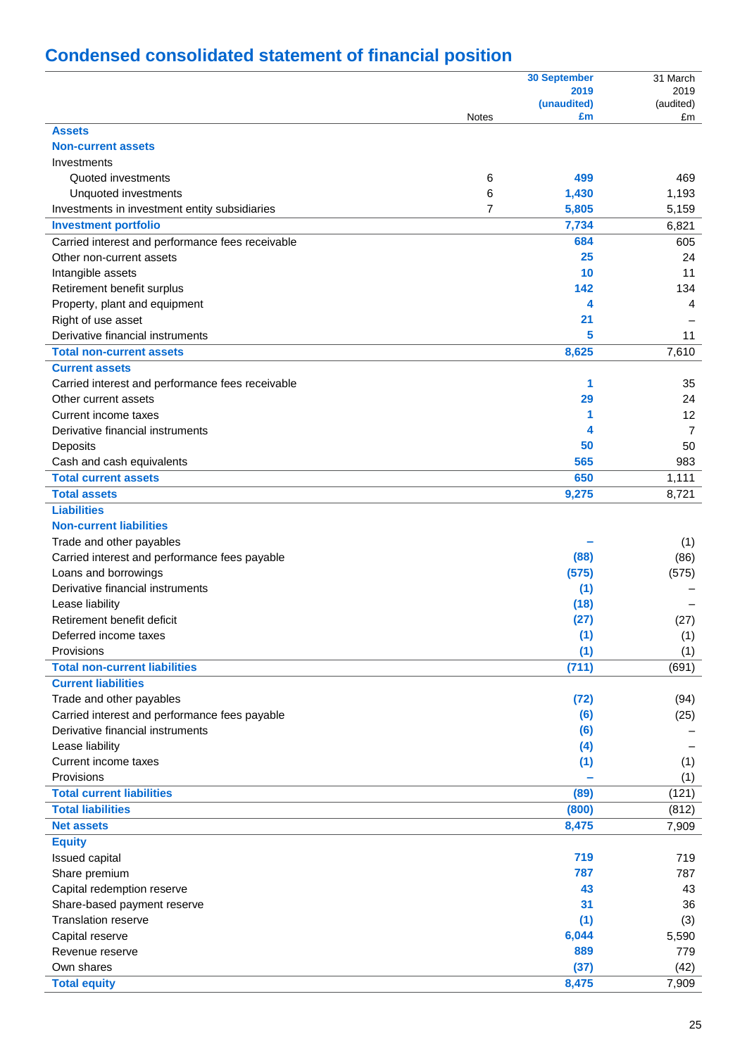# **Condensed consolidated statement of financial position**

|                                                  |              | <b>30 September</b> | 31 March          |
|--------------------------------------------------|--------------|---------------------|-------------------|
|                                                  |              | 2019<br>(unaudited) | 2019<br>(audited) |
|                                                  | <b>Notes</b> | £m                  | £m                |
| <b>Assets</b>                                    |              |                     |                   |
| <b>Non-current assets</b>                        |              |                     |                   |
| Investments                                      |              |                     |                   |
| Quoted investments                               | 6            | 499                 | 469               |
| Unquoted investments                             | 6            | 1,430               | 1,193             |
| Investments in investment entity subsidiaries    | 7            | 5,805               | 5,159             |
| <b>Investment portfolio</b>                      |              | 7,734               | 6,821             |
| Carried interest and performance fees receivable |              | 684                 | 605               |
| Other non-current assets                         |              | 25                  | 24                |
| Intangible assets                                |              | 10                  | 11                |
| Retirement benefit surplus                       |              | 142                 | 134               |
| Property, plant and equipment                    |              | 4                   | 4                 |
| Right of use asset                               |              | 21                  |                   |
| Derivative financial instruments                 |              | 5                   | 11                |
| <b>Total non-current assets</b>                  |              | 8,625               | 7,610             |
| <b>Current assets</b>                            |              |                     |                   |
| Carried interest and performance fees receivable |              | 1                   | 35                |
| Other current assets                             |              | 29                  | 24                |
| Current income taxes                             |              | 1                   | 12                |
| Derivative financial instruments                 |              | 4                   | 7                 |
| Deposits                                         |              | 50                  | 50                |
| Cash and cash equivalents                        |              | 565                 | 983               |
| <b>Total current assets</b>                      |              | 650                 | 1,111             |
| <b>Total assets</b>                              |              | 9,275               | 8,721             |
| <b>Liabilities</b>                               |              |                     |                   |
| <b>Non-current liabilities</b>                   |              |                     |                   |
| Trade and other payables                         |              |                     | (1)               |
| Carried interest and performance fees payable    |              | (88)                | (86)              |
| Loans and borrowings                             |              | (575)               | (575)             |
| Derivative financial instruments                 |              | (1)                 |                   |
| Lease liability                                  |              | (18)                |                   |
| Retirement benefit deficit                       |              | (27)                | (27)              |
| Deferred income taxes                            |              | (1)                 | (1)               |
| Provisions                                       |              | (1)                 | (1)               |
| <b>Total non-current liabilities</b>             |              | (711)               | (691)             |
| <b>Current liabilities</b>                       |              |                     |                   |
| Trade and other payables                         |              | (72)                | (94)              |
| Carried interest and performance fees payable    |              | (6)                 | (25)              |
| Derivative financial instruments                 |              | (6)                 |                   |
| Lease liability                                  |              | (4)                 |                   |
| Current income taxes                             |              | (1)                 | (1)               |
| Provisions                                       |              |                     | (1)               |
| <b>Total current liabilities</b>                 |              | (89)                | (121)             |
| <b>Total liabilities</b>                         |              | (800)               | (812)             |
| <b>Net assets</b>                                |              | 8,475               | 7,909             |
| <b>Equity</b>                                    |              |                     |                   |
| Issued capital                                   |              | 719                 | 719               |
| Share premium                                    |              | 787                 | 787               |
| Capital redemption reserve                       |              | 43                  | 43                |
| Share-based payment reserve                      |              | 31                  | 36                |
| <b>Translation reserve</b>                       |              | (1)                 | (3)               |
| Capital reserve                                  |              | 6,044               | 5,590             |
| Revenue reserve                                  |              | 889                 | 779               |
| Own shares                                       |              | (37)                | (42)              |
| <b>Total equity</b>                              |              | 8,475               | 7,909             |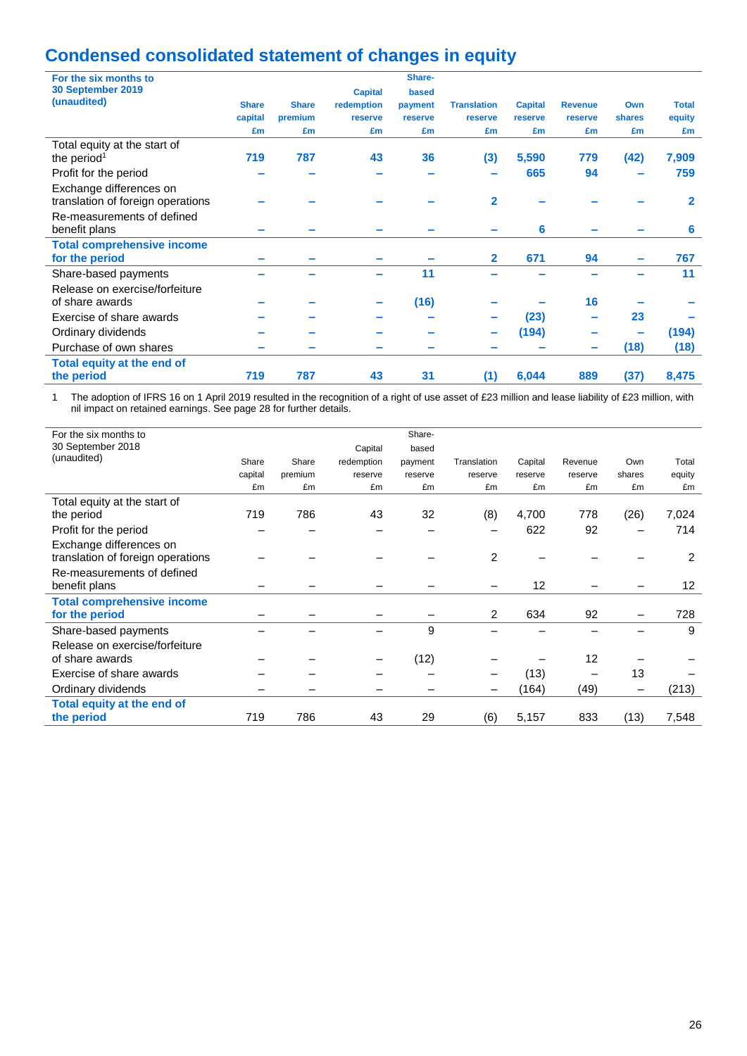# **Condensed consolidated statement of changes in equity**

| For the six months to             |              |              |                | Share-  |                    |                |                          |        |              |
|-----------------------------------|--------------|--------------|----------------|---------|--------------------|----------------|--------------------------|--------|--------------|
| 30 September 2019                 |              |              | <b>Capital</b> | based   |                    |                |                          |        |              |
| (unaudited)                       | <b>Share</b> | <b>Share</b> | redemption     | payment | <b>Translation</b> | <b>Capital</b> | <b>Revenue</b>           | Own    | <b>Total</b> |
|                                   | capital      | premium      | reserve        | reserve | reserve            | reserve        | reserve                  | shares | equity       |
|                                   | £m           | £m           | £m             | £m      | £m                 | £m             | £m                       | £m     | £m           |
| Total equity at the start of      |              |              |                |         |                    |                |                          |        |              |
| the period <sup>1</sup>           | 719          | 787          | 43             | 36      | (3)                | 5,590          | 779                      | (42)   | 7,909        |
| Profit for the period             |              |              |                |         |                    | 665            | 94                       |        | 759          |
| Exchange differences on           |              |              |                |         |                    |                |                          |        |              |
| translation of foreign operations |              |              |                |         | $\mathbf{2}$       |                |                          |        | $\mathbf 2$  |
| Re-measurements of defined        |              |              |                |         |                    |                |                          |        |              |
| benefit plans                     |              |              |                |         |                    | 6              |                          |        | 6            |
| <b>Total comprehensive income</b> |              |              |                |         |                    |                |                          |        |              |
| for the period                    |              |              |                |         | $\mathbf{2}$       | 671            | 94                       |        | 767          |
| Share-based payments              |              |              |                | 11      |                    |                |                          |        | 11           |
| Release on exercise/forfeiture    |              |              |                |         |                    |                |                          |        |              |
| of share awards                   |              |              |                | (16)    |                    |                | 16                       |        |              |
| Exercise of share awards          |              |              |                |         |                    | (23)           | $\overline{\phantom{a}}$ | 23     |              |
| Ordinary dividends                |              |              |                |         |                    | (194)          |                          |        | (194)        |
| Purchase of own shares            |              |              |                |         |                    |                | ÷                        | (18)   | (18)         |
| Total equity at the end of        |              |              |                |         |                    |                |                          |        |              |
| the period                        | 719          | 787          | 43             | 31      | (1)                | 6,044          | 889                      | (37)   | 8,475        |

1 The adoption of IFRS 16 on 1 April 2019 resulted in the recognition of a right of use asset of £23 million and lease liability of £23 million, with nil impact on retained earnings. See page 28 for further details.

| For the six months to             |         |         |            | Share-  |                |         |         |                          |        |
|-----------------------------------|---------|---------|------------|---------|----------------|---------|---------|--------------------------|--------|
| 30 September 2018                 |         |         | Capital    | based   |                |         |         |                          |        |
| (unaudited)                       | Share   | Share   | redemption | payment | Translation    | Capital | Revenue | Own                      | Total  |
|                                   | capital | premium | reserve    | reserve | reserve        | reserve | reserve | shares                   | equity |
|                                   | £m      | £m      | £m         | £m      | £m             | £m      | £m      | £m                       | £m     |
| Total equity at the start of      |         |         |            |         |                |         |         |                          |        |
| the period                        | 719     | 786     | 43         | 32      | (8)            | 4,700   | 778     | (26)                     | 7,024  |
| Profit for the period             |         |         |            |         |                | 622     | 92      |                          | 714    |
| Exchange differences on           |         |         |            |         |                |         |         |                          |        |
| translation of foreign operations |         |         |            |         | $\overline{2}$ |         |         |                          | 2      |
| Re-measurements of defined        |         |         |            |         |                |         |         |                          |        |
| benefit plans                     |         |         |            |         |                | 12      |         |                          | 12     |
| <b>Total comprehensive income</b> |         |         |            |         |                |         |         |                          |        |
| for the period                    |         |         |            |         | 2              | 634     | 92      |                          | 728    |
| Share-based payments              |         |         |            | 9       |                |         |         |                          | 9      |
| Release on exercise/forfeiture    |         |         |            |         |                |         |         |                          |        |
| of share awards                   |         |         |            | (12)    |                |         | 12      |                          |        |
| Exercise of share awards          |         |         |            |         |                | (13)    |         | 13                       |        |
| Ordinary dividends                |         |         |            |         |                | (164)   | (49)    | $\overline{\phantom{0}}$ | (213)  |
| Total equity at the end of        |         |         |            |         |                |         |         |                          |        |
| the period                        | 719     | 786     | 43         | 29      | (6)            | 5,157   | 833     | (13)                     | 7,548  |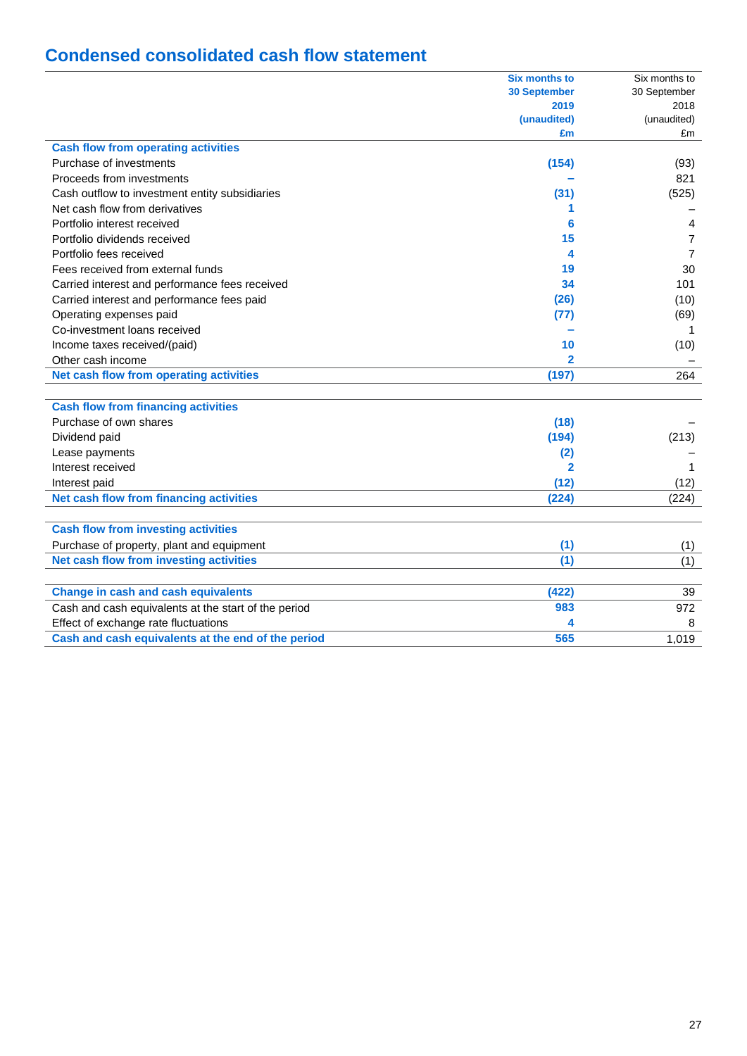# **Condensed consolidated cash flow statement**

|                                                      | <b>Six months to</b>    | Six months to  |
|------------------------------------------------------|-------------------------|----------------|
|                                                      | <b>30 September</b>     | 30 September   |
|                                                      | 2019                    | 2018           |
|                                                      | (unaudited)             | (unaudited)    |
|                                                      | £m                      | £m             |
| <b>Cash flow from operating activities</b>           |                         |                |
| Purchase of investments                              | (154)                   | (93)           |
| Proceeds from investments                            |                         | 821            |
| Cash outflow to investment entity subsidiaries       | (31)                    | (525)          |
| Net cash flow from derivatives                       | 1                       |                |
| Portfolio interest received                          | 6                       | 4              |
| Portfolio dividends received                         | 15                      | 7              |
| Portfolio fees received                              | 4                       | $\overline{7}$ |
| Fees received from external funds                    | 19                      | 30             |
| Carried interest and performance fees received       | 34                      | 101            |
| Carried interest and performance fees paid           | (26)                    | (10)           |
| Operating expenses paid                              | (77)                    | (69)           |
| Co-investment loans received                         |                         | -1             |
| Income taxes received/(paid)                         | 10                      | (10)           |
| Other cash income                                    | $\overline{\mathbf{2}}$ |                |
| Net cash flow from operating activities              | (197)                   | 264            |
|                                                      |                         |                |
| <b>Cash flow from financing activities</b>           |                         |                |
| Purchase of own shares                               | (18)                    |                |
| Dividend paid                                        | (194)                   | (213)          |
| Lease payments                                       | (2)                     |                |
| Interest received                                    | $\overline{2}$          | 1              |
| Interest paid                                        | (12)                    | (12)           |
| Net cash flow from financing activities              | (224)                   | (224)          |
|                                                      |                         |                |
| <b>Cash flow from investing activities</b>           |                         |                |
| Purchase of property, plant and equipment            | (1)                     | (1)            |
| Net cash flow from investing activities              | (1)                     | (1)            |
|                                                      |                         |                |
| <b>Change in cash and cash equivalents</b>           | (422)                   | 39             |
| Cash and cash equivalents at the start of the period | 983                     | 972            |
| Effect of exchange rate fluctuations                 | 4                       | 8              |
| Cash and cash equivalents at the end of the period   | 565                     | 1,019          |
|                                                      |                         |                |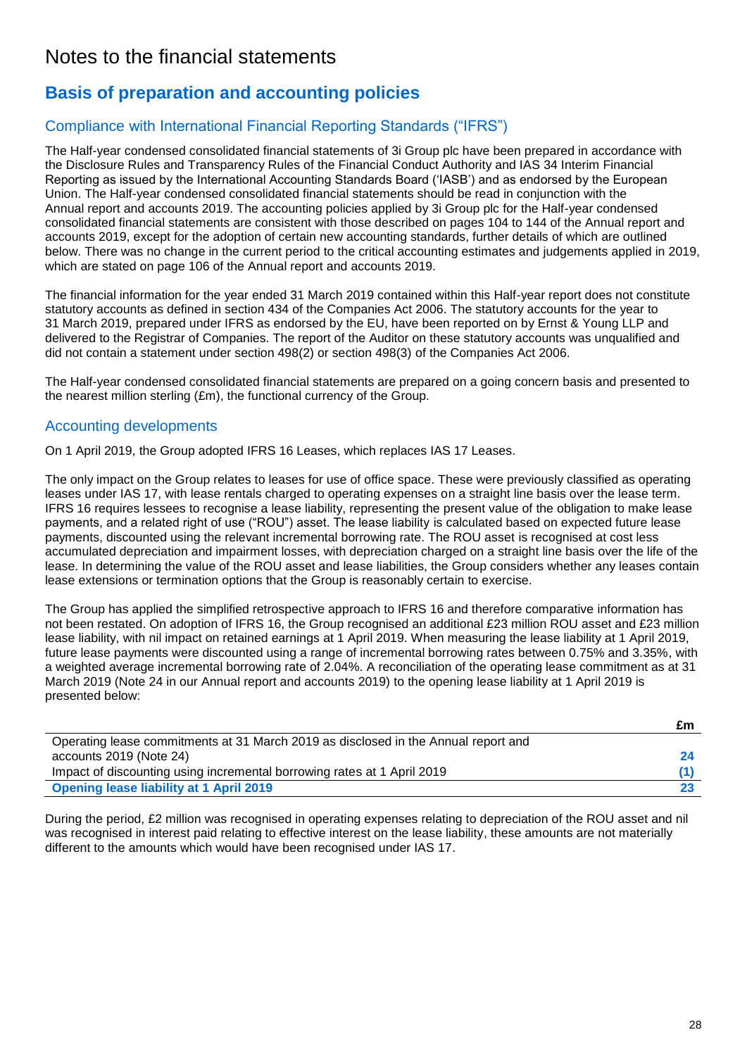# Notes to the financial statements

## **Basis of preparation and accounting policies**

## Compliance with International Financial Reporting Standards ("IFRS")

The Half-year condensed consolidated financial statements of 3i Group plc have been prepared in accordance with the Disclosure Rules and Transparency Rules of the Financial Conduct Authority and IAS 34 Interim Financial Reporting as issued by the International Accounting Standards Board ('IASB') and as endorsed by the European Union. The Half-year condensed consolidated financial statements should be read in conjunction with the Annual report and accounts 2019. The accounting policies applied by 3i Group plc for the Half-year condensed consolidated financial statements are consistent with those described on pages 104 to 144 of the Annual report and accounts 2019, except for the adoption of certain new accounting standards, further details of which are outlined below. There was no change in the current period to the critical accounting estimates and judgements applied in 2019, which are stated on page 106 of the Annual report and accounts 2019.

The financial information for the year ended 31 March 2019 contained within this Half-year report does not constitute statutory accounts as defined in section 434 of the Companies Act 2006. The statutory accounts for the year to 31 March 2019, prepared under IFRS as endorsed by the EU, have been reported on by Ernst & Young LLP and delivered to the Registrar of Companies. The report of the Auditor on these statutory accounts was unqualified and did not contain a statement under section 498(2) or section 498(3) of the Companies Act 2006.

The Half-year condensed consolidated financial statements are prepared on a going concern basis and presented to the nearest million sterling (£m), the functional currency of the Group.

## Accounting developments

On 1 April 2019, the Group adopted IFRS 16 Leases, which replaces IAS 17 Leases.

The only impact on the Group relates to leases for use of office space. These were previously classified as operating leases under IAS 17, with lease rentals charged to operating expenses on a straight line basis over the lease term. IFRS 16 requires lessees to recognise a lease liability, representing the present value of the obligation to make lease payments, and a related right of use ("ROU") asset. The lease liability is calculated based on expected future lease payments, discounted using the relevant incremental borrowing rate. The ROU asset is recognised at cost less accumulated depreciation and impairment losses, with depreciation charged on a straight line basis over the life of the lease. In determining the value of the ROU asset and lease liabilities, the Group considers whether any leases contain lease extensions or termination options that the Group is reasonably certain to exercise.

The Group has applied the simplified retrospective approach to IFRS 16 and therefore comparative information has not been restated. On adoption of IFRS 16, the Group recognised an additional £23 million ROU asset and £23 million lease liability, with nil impact on retained earnings at 1 April 2019. When measuring the lease liability at 1 April 2019, future lease payments were discounted using a range of incremental borrowing rates between 0.75% and 3.35%, with a weighted average incremental borrowing rate of 2.04%. A reconciliation of the operating lease commitment as at 31 March 2019 (Note 24 in our Annual report and accounts 2019) to the opening lease liability at 1 April 2019 is presented below:

|                                                                                    | £m |
|------------------------------------------------------------------------------------|----|
| Operating lease commitments at 31 March 2019 as disclosed in the Annual report and |    |
| accounts 2019 (Note 24)                                                            |    |
| Impact of discounting using incremental borrowing rates at 1 April 2019            |    |
| <b>Opening lease liability at 1 April 2019</b>                                     |    |

During the period, £2 million was recognised in operating expenses relating to depreciation of the ROU asset and nil was recognised in interest paid relating to effective interest on the lease liability, these amounts are not materially different to the amounts which would have been recognised under IAS 17.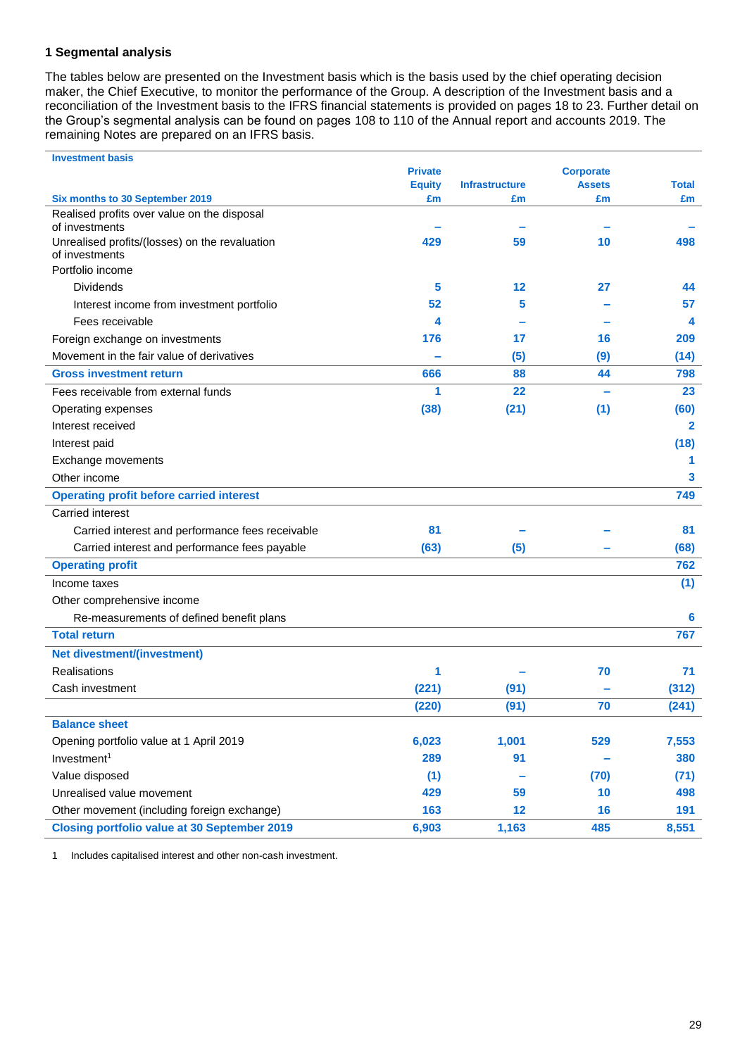## **1 Segmental analysis**

The tables below are presented on the Investment basis which is the basis used by the chief operating decision maker, the Chief Executive, to monitor the performance of the Group. A description of the Investment basis and a reconciliation of the Investment basis to the IFRS financial statements is provided on pages 18 to 23. Further detail on the Group's segmental analysis can be found on pages 108 to 110 of the Annual report and accounts 2019. The remaining Notes are prepared on an IFRS basis.

| <b>Investment basis</b>                                       |                |                       |                  |              |
|---------------------------------------------------------------|----------------|-----------------------|------------------|--------------|
|                                                               | <b>Private</b> |                       | <b>Corporate</b> |              |
|                                                               | <b>Equity</b>  | <b>Infrastructure</b> | <b>Assets</b>    | <b>Total</b> |
| Six months to 30 September 2019                               | £m             | £m                    | £m               | £m           |
| Realised profits over value on the disposal<br>of investments |                |                       |                  |              |
| Unrealised profits/(losses) on the revaluation                | 429            | 59                    | 10               | 498          |
| of investments                                                |                |                       |                  |              |
| Portfolio income                                              |                |                       |                  |              |
| Dividends                                                     | 5              | 12                    | 27               | 44           |
| Interest income from investment portfolio                     | 52             | 5                     |                  | 57           |
| Fees receivable                                               | 4              |                       |                  | 4            |
| Foreign exchange on investments                               | 176            | 17                    | 16               | 209          |
| Movement in the fair value of derivatives                     |                | (5)                   | (9)              | (14)         |
| <b>Gross investment return</b>                                | 666            | 88                    | 44               | 798          |
| Fees receivable from external funds                           | 1              | 22                    |                  | 23           |
| Operating expenses                                            | (38)           | (21)                  | (1)              | (60)         |
| Interest received                                             |                |                       |                  | 2            |
| Interest paid                                                 |                |                       |                  | (18)         |
| Exchange movements                                            |                |                       |                  | 1            |
| Other income                                                  |                |                       |                  | 3            |
| <b>Operating profit before carried interest</b>               |                |                       |                  | 749          |
| Carried interest                                              |                |                       |                  |              |
| Carried interest and performance fees receivable              | 81             |                       |                  | 81           |
| Carried interest and performance fees payable                 | (63)           | (5)                   |                  | (68)         |
| <b>Operating profit</b>                                       |                |                       |                  | 762          |
| Income taxes                                                  |                |                       |                  | (1)          |
| Other comprehensive income                                    |                |                       |                  |              |
| Re-measurements of defined benefit plans                      |                |                       |                  | 6            |
| <b>Total return</b>                                           |                |                       |                  | 767          |
| <b>Net divestment/(investment)</b>                            |                |                       |                  |              |
| Realisations                                                  | 1              |                       | 70               | 71           |
| Cash investment                                               | (221)          | (91)                  |                  | (312)        |
|                                                               | (220)          | (91)                  | 70               | (241)        |
| <b>Balance sheet</b>                                          |                |                       |                  |              |
| Opening portfolio value at 1 April 2019                       | 6,023          | 1,001                 | 529              | 7,553        |
| Investment <sup>1</sup>                                       | 289            | 91                    |                  | 380          |
| Value disposed                                                | (1)            |                       | (70)             | (71)         |
| Unrealised value movement                                     | 429            | 59                    | 10               | 498          |
| Other movement (including foreign exchange)                   | 163            | 12                    | 16               | 191          |
| <b>Closing portfolio value at 30 September 2019</b>           | 6,903          | 1,163                 | 485              | 8,551        |

1 Includes capitalised interest and other non-cash investment.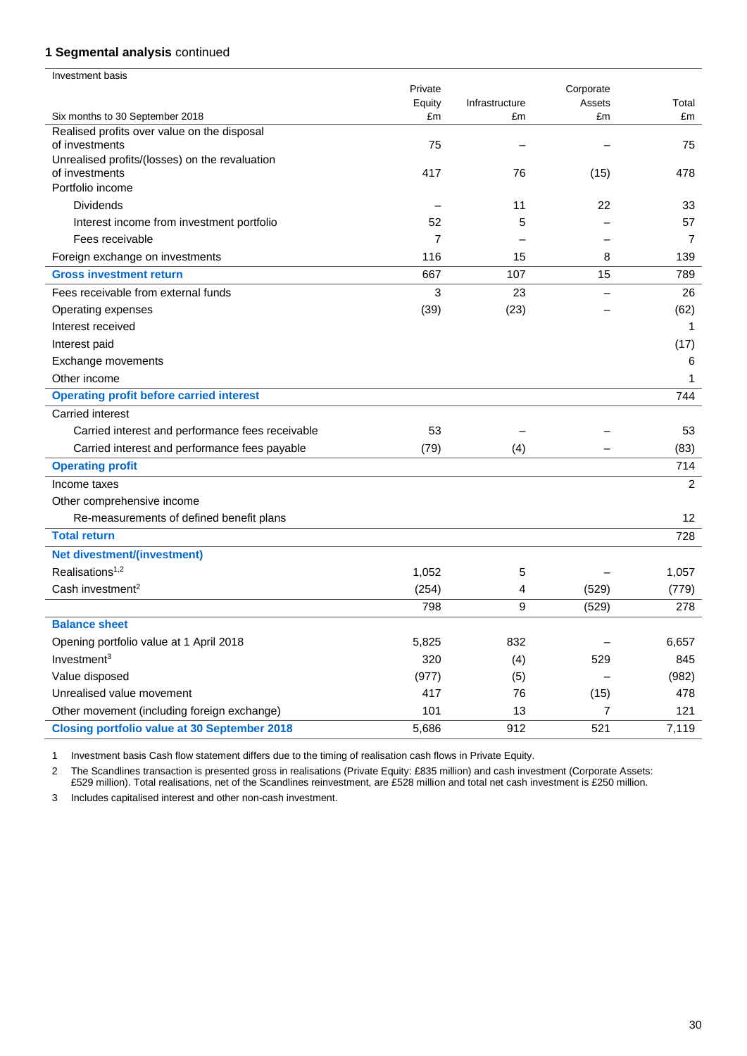## **1 Segmental analysis** continued

| <b>Investment basis</b>                                          |         |                |           |                |
|------------------------------------------------------------------|---------|----------------|-----------|----------------|
|                                                                  | Private |                | Corporate |                |
|                                                                  | Equity  | Infrastructure | Assets    | Total          |
| Six months to 30 September 2018                                  | £m      | £m             | £m        | £m             |
| Realised profits over value on the disposal<br>of investments    | 75      |                |           | 75             |
| Unrealised profits/(losses) on the revaluation<br>of investments | 417     | 76             | (15)      | 478            |
| Portfolio income                                                 |         |                |           |                |
| <b>Dividends</b>                                                 |         | 11             | 22        | 33             |
| Interest income from investment portfolio                        | 52      | 5              |           | 57             |
| Fees receivable                                                  | 7       |                |           | $\overline{7}$ |
| Foreign exchange on investments                                  | 116     | 15             | 8         | 139            |
| <b>Gross investment return</b>                                   | 667     | 107            | 15        | 789            |
| Fees receivable from external funds                              | 3       | 23             |           | 26             |
| Operating expenses                                               | (39)    | (23)           |           | (62)           |
| Interest received                                                |         |                |           | 1              |
| Interest paid                                                    |         |                |           | (17)           |
| Exchange movements                                               |         |                |           | 6              |
| Other income                                                     |         |                |           | 1              |
| <b>Operating profit before carried interest</b>                  |         |                |           | 744            |
| Carried interest                                                 |         |                |           |                |
| Carried interest and performance fees receivable                 | 53      |                |           | 53             |
| Carried interest and performance fees payable                    | (79)    | (4)            |           | (83)           |
| <b>Operating profit</b>                                          |         |                |           | 714            |
| Income taxes                                                     |         |                |           | 2              |
| Other comprehensive income                                       |         |                |           |                |
| Re-measurements of defined benefit plans                         |         |                |           | 12             |
| <b>Total return</b>                                              |         |                |           | 728            |
| <b>Net divestment/(investment)</b>                               |         |                |           |                |
| Realisations <sup>1,2</sup>                                      | 1,052   | 5              |           | 1,057          |
| Cash investment <sup>2</sup>                                     | (254)   | 4              | (529)     | (779)          |
|                                                                  | 798     | 9              | (529)     | 278            |
| <b>Balance sheet</b>                                             |         |                |           |                |
| Opening portfolio value at 1 April 2018                          | 5,825   | 832            |           | 6,657          |
| Investment <sup>3</sup>                                          | 320     | (4)            | 529       | 845            |
| Value disposed                                                   | (977)   | (5)            |           | (982)          |
| Unrealised value movement                                        | 417     | 76             | (15)      | 478            |
| Other movement (including foreign exchange)                      | 101     | 13             | 7         | 121            |
| <b>Closing portfolio value at 30 September 2018</b>              | 5,686   | 912            | 521       | 7,119          |

1 Investment basis Cash flow statement differs due to the timing of realisation cash flows in Private Equity.

2 The Scandlines transaction is presented gross in realisations (Private Equity: £835 million) and cash investment (Corporate Assets: £529 million). Total realisations, net of the Scandlines reinvestment, are £528 million and total net cash investment is £250 million.

3 Includes capitalised interest and other non-cash investment.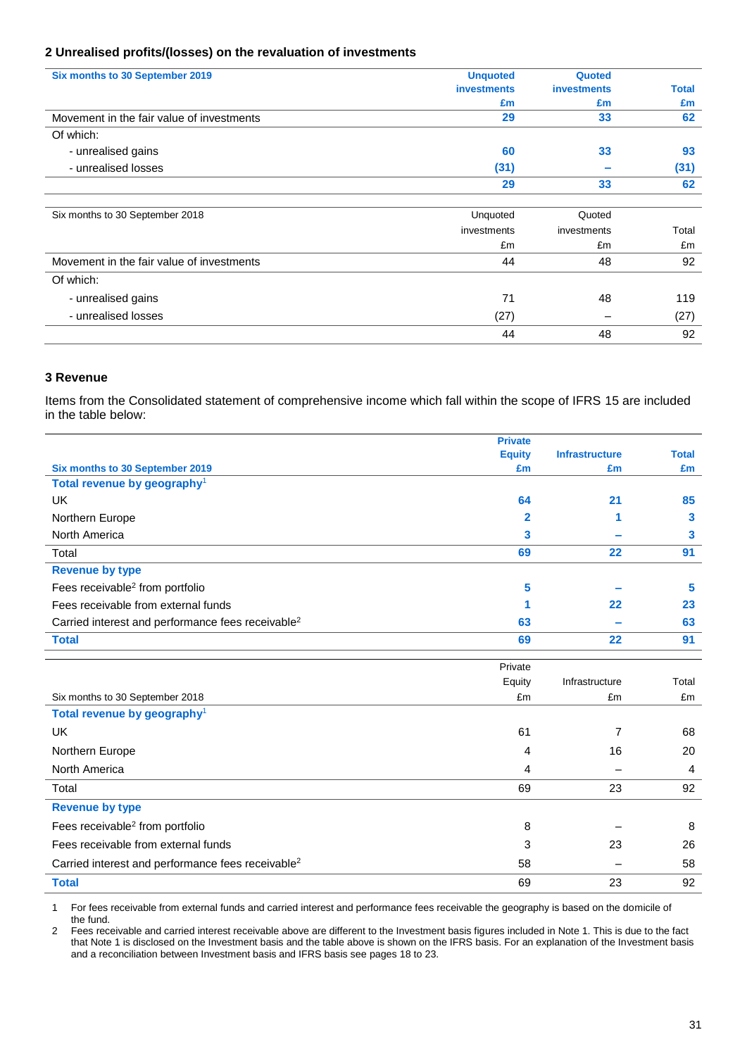## **2 Unrealised profits/(losses) on the revaluation of investments**

| Six months to 30 September 2019           | <b>Unquoted</b>    | Quoted             |       |
|-------------------------------------------|--------------------|--------------------|-------|
|                                           | <b>investments</b> | <b>investments</b> | Total |
|                                           | £m                 | £m                 | £m    |
| Movement in the fair value of investments | 29                 | 33                 | 62    |
| Of which:                                 |                    |                    |       |
| - unrealised gains                        | 60                 | 33                 | 93    |
| - unrealised losses                       | (31)               |                    | (31)  |
|                                           | 29                 | 33                 | 62    |
|                                           |                    |                    |       |
| Six months to 30 September 2018           | Unquoted           | Quoted             |       |
|                                           | investments        | investments        | Total |
|                                           | £m                 | £m                 | £m    |
| Movement in the fair value of investments | 44                 | 48                 | 92    |
| Of which:                                 |                    |                    |       |
| - unrealised gains                        | 71                 | 48                 | 119   |
| - unrealised losses                       | (27)               |                    | (27)  |
|                                           | 44                 | 48                 | 92    |

### **3 Revenue**

Items from the Consolidated statement of comprehensive income which fall within the scope of IFRS 15 are included in the table below:

|                                                               | <b>Private</b> |                          |                |
|---------------------------------------------------------------|----------------|--------------------------|----------------|
|                                                               | <b>Equity</b>  | <b>Infrastructure</b>    | <b>Total</b>   |
| Six months to 30 September 2019                               | £m             | £m                       | £m             |
| Total revenue by geography <sup>1</sup>                       |                |                          |                |
| <b>UK</b>                                                     | 64             | 21                       | 85             |
| Northern Europe                                               | 2              | 1                        | 3              |
| North America                                                 | 3              |                          | 3              |
| Total                                                         | 69             | 22                       | 91             |
| <b>Revenue by type</b>                                        |                |                          |                |
| Fees receivable <sup>2</sup> from portfolio                   | 5              |                          | 5              |
| Fees receivable from external funds                           |                | 22                       | 23             |
| Carried interest and performance fees receivable <sup>2</sup> | 63             |                          | 63             |
| <b>Total</b>                                                  | 69             | 22                       | 91             |
|                                                               | Private        |                          |                |
|                                                               |                |                          |                |
|                                                               | Equity         | Infrastructure           | Total          |
| Six months to 30 September 2018                               | £m             | £m                       | £m             |
| Total revenue by geography <sup>1</sup>                       |                |                          |                |
| <b>UK</b>                                                     | 61             | $\overline{7}$           | 68             |
| Northern Europe                                               | 4              | 16                       | 20             |
| North America                                                 | 4              |                          | $\overline{4}$ |
| Total                                                         | 69             | 23                       | 92             |
| <b>Revenue by type</b>                                        |                |                          |                |
| Fees receivable <sup>2</sup> from portfolio                   | 8              |                          | 8              |
| Fees receivable from external funds                           | 3              | 23                       | 26             |
| Carried interest and performance fees receivable <sup>2</sup> | 58             | $\overline{\phantom{0}}$ | 58             |
| <b>Total</b>                                                  | 69             | 23                       | 92             |

1 For fees receivable from external funds and carried interest and performance fees receivable the geography is based on the domicile of the fund.

2 Fees receivable and carried interest receivable above are different to the Investment basis figures included in Note 1. This is due to the fact that Note 1 is disclosed on the Investment basis and the table above is shown on the IFRS basis. For an explanation of the Investment basis and a reconciliation between Investment basis and IFRS basis see pages 18 to 23.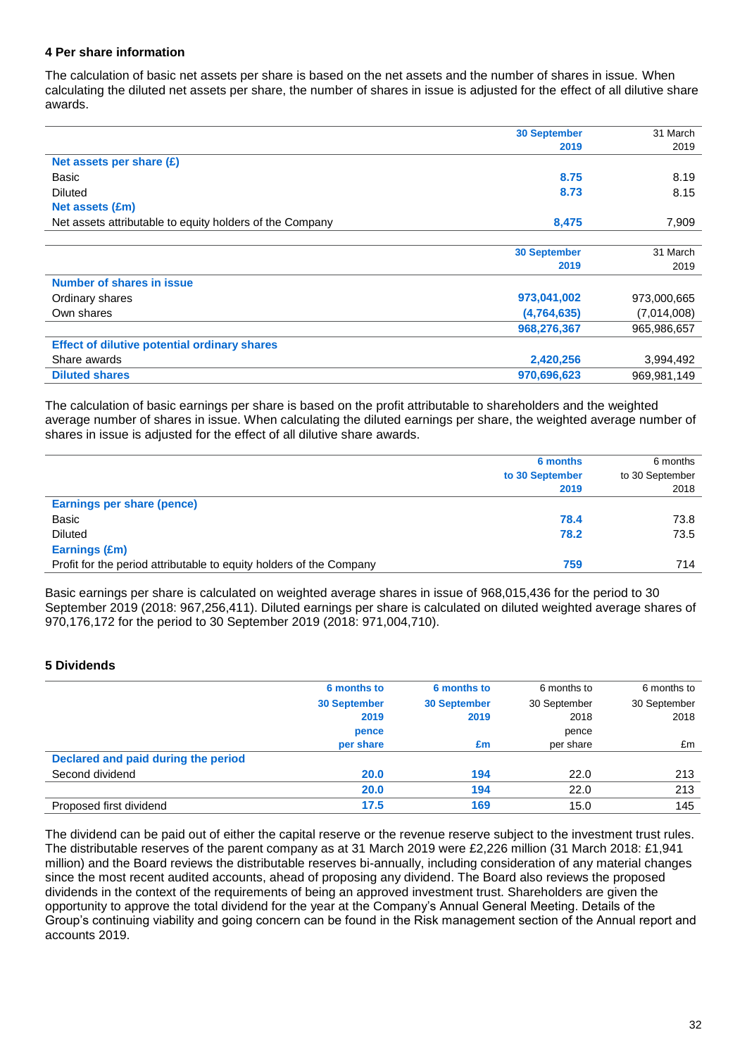### **4 Per share information**

The calculation of basic net assets per share is based on the net assets and the number of shares in issue. When calculating the diluted net assets per share, the number of shares in issue is adjusted for the effect of all dilutive share awards.

|                                                          | <b>30 September</b> | 31 March    |
|----------------------------------------------------------|---------------------|-------------|
|                                                          | 2019                | 2019        |
| Net assets per share (£)                                 |                     |             |
| Basic                                                    | 8.75                | 8.19        |
| <b>Diluted</b>                                           | 8.73                | 8.15        |
| Net assets (£m)                                          |                     |             |
| Net assets attributable to equity holders of the Company | 8,475               | 7,909       |
|                                                          |                     |             |
|                                                          | <b>30 September</b> | 31 March    |
|                                                          | 2019                | 2019        |
| Number of shares in issue                                |                     |             |
| Ordinary shares                                          | 973,041,002         | 973,000,665 |
| Own shares                                               | (4,764,635)         | (7,014,008) |
|                                                          | 968,276,367         | 965,986,657 |
| <b>Effect of dilutive potential ordinary shares</b>      |                     |             |
| Share awards                                             | 2,420,256           | 3,994,492   |
| <b>Diluted shares</b>                                    | 970,696,623         | 969,981,149 |

The calculation of basic earnings per share is based on the profit attributable to shareholders and the weighted average number of shares in issue. When calculating the diluted earnings per share, the weighted average number of shares in issue is adjusted for the effect of all dilutive share awards.

|                                                                     | 6 months<br>to 30 September<br>2019 | 6 months<br>to 30 September<br>2018 |
|---------------------------------------------------------------------|-------------------------------------|-------------------------------------|
| Earnings per share (pence)                                          |                                     |                                     |
| Basic                                                               | 78.4                                | 73.8                                |
| <b>Diluted</b>                                                      | 78.2                                | 73.5                                |
| Earnings (£m)                                                       |                                     |                                     |
| Profit for the period attributable to equity holders of the Company | 759                                 | 714                                 |

Basic earnings per share is calculated on weighted average shares in issue of 968,015,436 for the period to 30 September 2019 (2018: 967,256,411). Diluted earnings per share is calculated on diluted weighted average shares of 970,176,172 for the period to 30 September 2019 (2018: 971,004,710).

### **5 Dividends**

|                                     | 6 months to         | 6 months to         | 6 months to  | 6 months to  |
|-------------------------------------|---------------------|---------------------|--------------|--------------|
|                                     | <b>30 September</b> | <b>30 September</b> | 30 September | 30 September |
|                                     | 2019                | 2019                | 2018         | 2018         |
|                                     | pence               |                     | pence        |              |
|                                     | per share           | £m                  | per share    | £m           |
| Declared and paid during the period |                     |                     |              |              |
| Second dividend                     | <b>20.0</b>         | 194                 | 22.0         | 213          |
|                                     | 20.0                | 194                 | 22.0         | 213          |
| Proposed first dividend             | 17.5                | 169                 | 15.0         | 145          |

The dividend can be paid out of either the capital reserve or the revenue reserve subject to the investment trust rules. The distributable reserves of the parent company as at 31 March 2019 were £2,226 million (31 March 2018: £1,941 million) and the Board reviews the distributable reserves bi-annually, including consideration of any material changes since the most recent audited accounts, ahead of proposing any dividend. The Board also reviews the proposed dividends in the context of the requirements of being an approved investment trust. Shareholders are given the opportunity to approve the total dividend for the year at the Company's Annual General Meeting. Details of the Group's continuing viability and going concern can be found in the Risk management section of the Annual report and accounts 2019.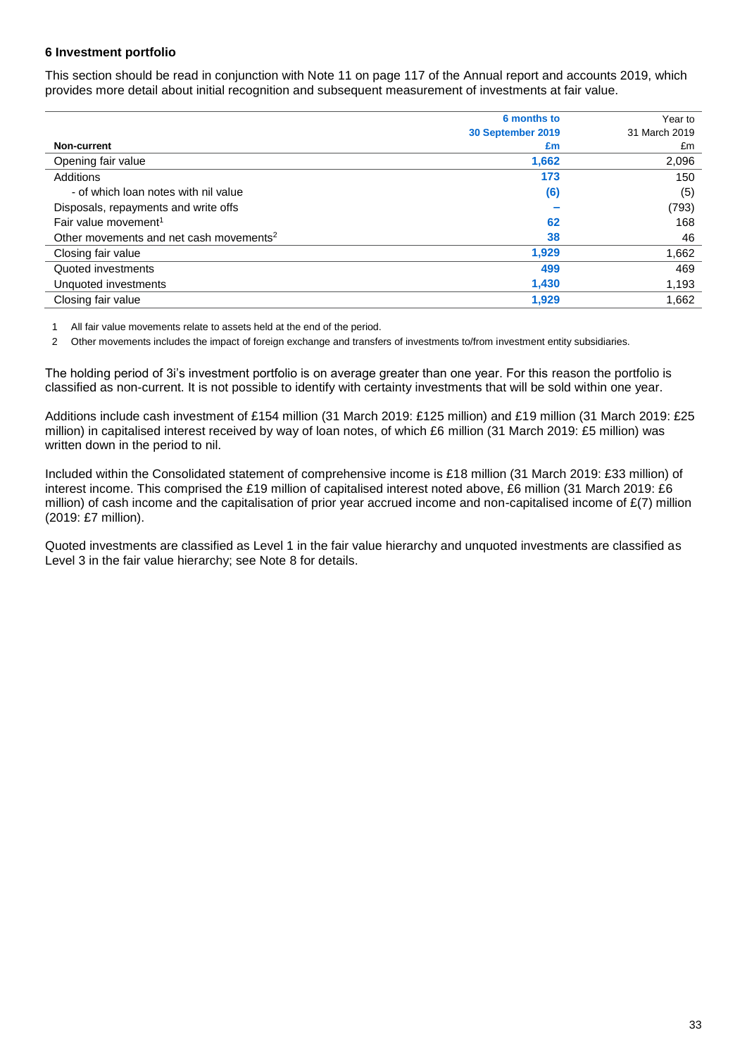### **6 Investment portfolio**

This section should be read in conjunction with Note 11 on page 117 of the Annual report and accounts 2019, which provides more detail about initial recognition and subsequent measurement of investments at fair value.

|                                                     | 6 months to       | Year to       |
|-----------------------------------------------------|-------------------|---------------|
|                                                     | 30 September 2019 | 31 March 2019 |
| <b>Non-current</b>                                  | £m                | £m            |
| Opening fair value                                  | 1,662             | 2,096         |
| Additions                                           | 173               | 150           |
| - of which loan notes with nil value                | (6)               | (5)           |
| Disposals, repayments and write offs                |                   | (793)         |
| Fair value movement <sup>1</sup>                    | 62                | 168           |
| Other movements and net cash movements <sup>2</sup> | 38                | 46            |
| Closing fair value                                  | 1,929             | 1,662         |
| Quoted investments                                  | 499               | 469           |
| Unquoted investments                                | 1,430             | 1,193         |
| Closing fair value                                  | 1,929             | 1,662         |

1 All fair value movements relate to assets held at the end of the period.

2 Other movements includes the impact of foreign exchange and transfers of investments to/from investment entity subsidiaries.

The holding period of 3i's investment portfolio is on average greater than one year. For this reason the portfolio is classified as non-current. It is not possible to identify with certainty investments that will be sold within one year.

Additions include cash investment of £154 million (31 March 2019: £125 million) and £19 million (31 March 2019: £25 million) in capitalised interest received by way of loan notes, of which £6 million (31 March 2019: £5 million) was written down in the period to nil.

Included within the Consolidated statement of comprehensive income is £18 million (31 March 2019: £33 million) of interest income. This comprised the £19 million of capitalised interest noted above, £6 million (31 March 2019: £6 million) of cash income and the capitalisation of prior year accrued income and non-capitalised income of  $E(7)$  million (2019: £7 million).

Quoted investments are classified as Level 1 in the fair value hierarchy and unquoted investments are classified as Level 3 in the fair value hierarchy; see Note 8 for details.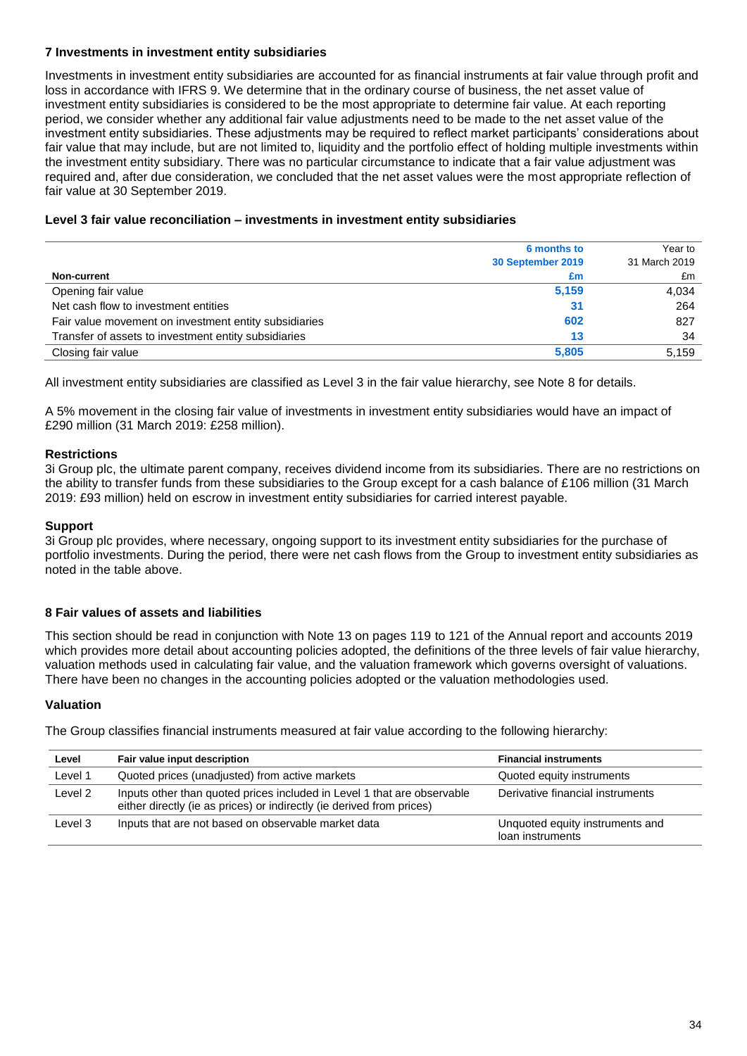## **7 Investments in investment entity subsidiaries**

Investments in investment entity subsidiaries are accounted for as financial instruments at fair value through profit and loss in accordance with IFRS 9. We determine that in the ordinary course of business, the net asset value of investment entity subsidiaries is considered to be the most appropriate to determine fair value. At each reporting period, we consider whether any additional fair value adjustments need to be made to the net asset value of the investment entity subsidiaries. These adjustments may be required to reflect market participants' considerations about fair value that may include, but are not limited to, liquidity and the portfolio effect of holding multiple investments within the investment entity subsidiary. There was no particular circumstance to indicate that a fair value adjustment was required and, after due consideration, we concluded that the net asset values were the most appropriate reflection of fair value at 30 September 2019.

### **Level 3 fair value reconciliation – investments in investment entity subsidiaries**

|                                                       | 6 months to       | Year to       |
|-------------------------------------------------------|-------------------|---------------|
|                                                       | 30 September 2019 | 31 March 2019 |
| Non-current                                           | £m                | £m            |
| Opening fair value                                    | 5,159             | 4.034         |
| Net cash flow to investment entities                  | 31                | 264           |
| Fair value movement on investment entity subsidiaries | 602               | 827           |
| Transfer of assets to investment entity subsidiaries  | 13                | 34            |
| Closing fair value                                    | 5.805             | 5.159         |

All investment entity subsidiaries are classified as Level 3 in the fair value hierarchy, see Note 8 for details.

A 5% movement in the closing fair value of investments in investment entity subsidiaries would have an impact of £290 million (31 March 2019: £258 million).

## **Restrictions**

3i Group plc, the ultimate parent company, receives dividend income from its subsidiaries. There are no restrictions on the ability to transfer funds from these subsidiaries to the Group except for a cash balance of £106 million (31 March 2019: £93 million) held on escrow in investment entity subsidiaries for carried interest payable.

### **Support**

3i Group plc provides, where necessary, ongoing support to its investment entity subsidiaries for the purchase of portfolio investments. During the period, there were net cash flows from the Group to investment entity subsidiaries as noted in the table above.

## **8 Fair values of assets and liabilities**

This section should be read in conjunction with Note 13 on pages 119 to 121 of the Annual report and accounts 2019 which provides more detail about accounting policies adopted, the definitions of the three levels of fair value hierarchy, valuation methods used in calculating fair value, and the valuation framework which governs oversight of valuations. There have been no changes in the accounting policies adopted or the valuation methodologies used.

### **Valuation**

The Group classifies financial instruments measured at fair value according to the following hierarchy:

| Level   | Fair value input description                                                                                                                     | <b>Financial instruments</b>                        |
|---------|--------------------------------------------------------------------------------------------------------------------------------------------------|-----------------------------------------------------|
| Level 1 | Quoted prices (unadjusted) from active markets                                                                                                   | Quoted equity instruments                           |
| Level 2 | Inputs other than quoted prices included in Level 1 that are observable<br>either directly (ie as prices) or indirectly (ie derived from prices) | Derivative financial instruments                    |
| Level 3 | Inputs that are not based on observable market data                                                                                              | Unquoted equity instruments and<br>loan instruments |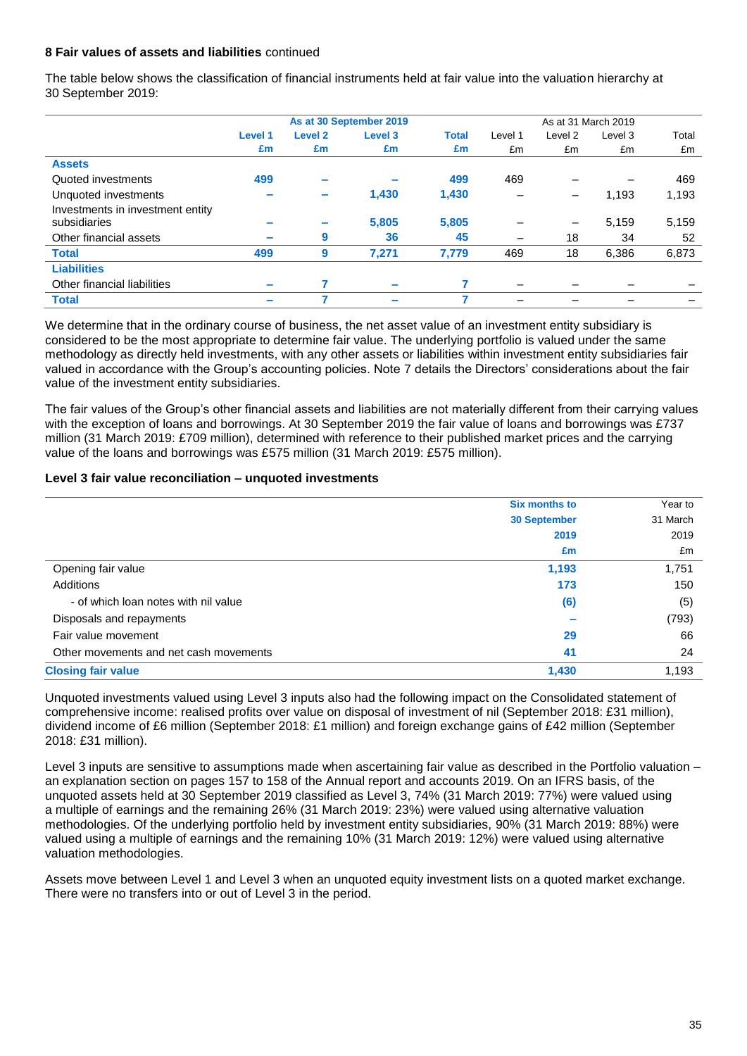### **8 Fair values of assets and liabilities** continued

The table below shows the classification of financial instruments held at fair value into the valuation hierarchy at 30 September 2019:

|                                  | As at 30 September 2019  |                    |                    |              |                          | As at 31 March 2019 |         |       |  |
|----------------------------------|--------------------------|--------------------|--------------------|--------------|--------------------------|---------------------|---------|-------|--|
|                                  | Level 1                  | Level <sub>2</sub> | Level <sub>3</sub> | <b>Total</b> | Level 1                  | Level 2             | Level 3 | Total |  |
|                                  | £m                       | £m                 | £m                 | £m           | £m                       | £m                  | £m      | £m    |  |
| <b>Assets</b>                    |                          |                    |                    |              |                          |                     |         |       |  |
| Quoted investments               | 499                      |                    |                    | 499          | 469                      |                     |         | 469   |  |
| Unquoted investments             |                          |                    | 1,430              | 1,430        | -                        | -                   | 1,193   | 1,193 |  |
| Investments in investment entity |                          |                    |                    |              |                          |                     |         |       |  |
| subsidiaries                     |                          |                    | 5,805              | 5,805        |                          | -                   | 5,159   | 5,159 |  |
| Other financial assets           | $\overline{\phantom{a}}$ | 9                  | 36                 | 45           | —                        | 18                  | 34      | 52    |  |
| <b>Total</b>                     | 499                      | 9                  | 7,271              | 7,779        | 469                      | 18                  | 6,386   | 6,873 |  |
| <b>Liabilities</b>               |                          |                    |                    |              |                          |                     |         |       |  |
| Other financial liabilities      | $\overline{\phantom{a}}$ |                    |                    |              | $\overline{\phantom{0}}$ |                     |         |       |  |
| <b>Total</b>                     | $\overline{\phantom{a}}$ |                    |                    | 7            |                          |                     |         |       |  |

We determine that in the ordinary course of business, the net asset value of an investment entity subsidiary is considered to be the most appropriate to determine fair value. The underlying portfolio is valued under the same methodology as directly held investments, with any other assets or liabilities within investment entity subsidiaries fair valued in accordance with the Group's accounting policies. Note 7 details the Directors' considerations about the fair value of the investment entity subsidiaries.

The fair values of the Group's other financial assets and liabilities are not materially different from their carrying values with the exception of loans and borrowings. At 30 September 2019 the fair value of loans and borrowings was £737 million (31 March 2019: £709 million), determined with reference to their published market prices and the carrying value of the loans and borrowings was £575 million (31 March 2019: £575 million).

#### **Level 3 fair value reconciliation – unquoted investments**

|                                        | <b>Six months to</b> | Year to  |
|----------------------------------------|----------------------|----------|
|                                        | <b>30 September</b>  | 31 March |
|                                        | 2019                 | 2019     |
|                                        | £m                   | £m       |
| Opening fair value                     | 1,193                | 1,751    |
| Additions                              | 173                  | 150      |
| - of which loan notes with nil value   | (6)                  | (5)      |
| Disposals and repayments               |                      | (793)    |
| Fair value movement                    | 29                   | 66       |
| Other movements and net cash movements | 41                   | 24       |
| <b>Closing fair value</b>              | 1,430                | 1,193    |

Unquoted investments valued using Level 3 inputs also had the following impact on the Consolidated statement of comprehensive income: realised profits over value on disposal of investment of nil (September 2018: £31 million), dividend income of £6 million (September 2018: £1 million) and foreign exchange gains of £42 million (September 2018: £31 million).

Level 3 inputs are sensitive to assumptions made when ascertaining fair value as described in the Portfolio valuation – an explanation section on pages 157 to 158 of the Annual report and accounts 2019. On an IFRS basis, of the unquoted assets held at 30 September 2019 classified as Level 3, 74% (31 March 2019: 77%) were valued using a multiple of earnings and the remaining 26% (31 March 2019: 23%) were valued using alternative valuation methodologies. Of the underlying portfolio held by investment entity subsidiaries, 90% (31 March 2019: 88%) were valued using a multiple of earnings and the remaining 10% (31 March 2019: 12%) were valued using alternative valuation methodologies.

Assets move between Level 1 and Level 3 when an unquoted equity investment lists on a quoted market exchange. There were no transfers into or out of Level 3 in the period.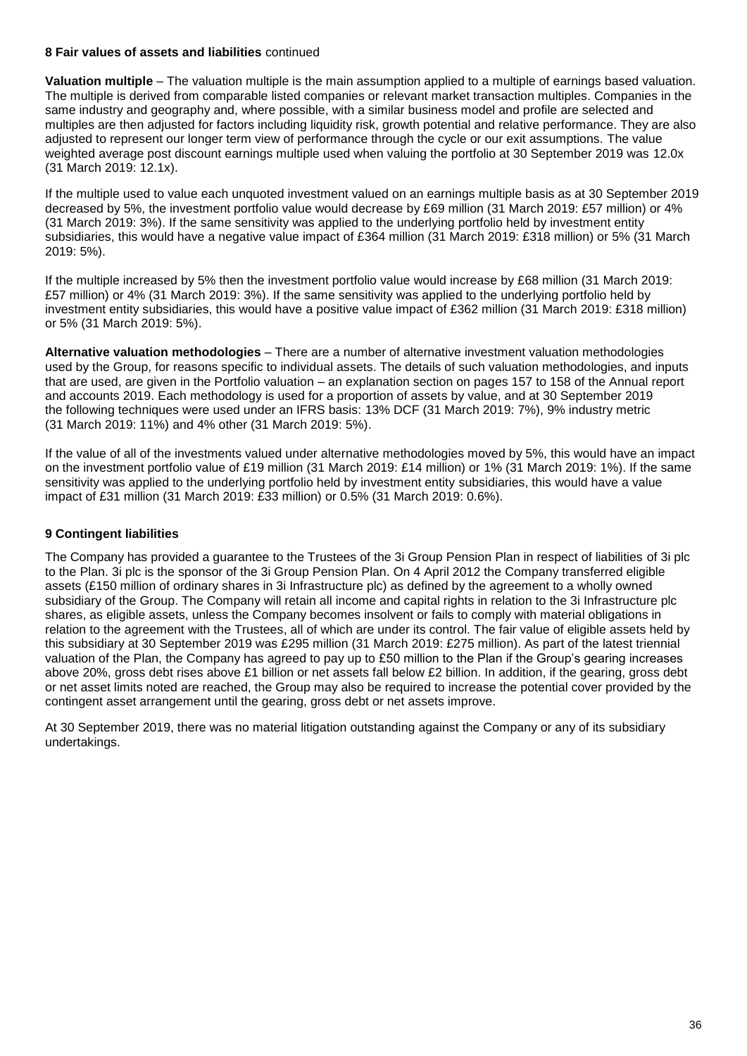### **8 Fair values of assets and liabilities** continued

**Valuation multiple** – The valuation multiple is the main assumption applied to a multiple of earnings based valuation. The multiple is derived from comparable listed companies or relevant market transaction multiples. Companies in the same industry and geography and, where possible, with a similar business model and profile are selected and multiples are then adjusted for factors including liquidity risk, growth potential and relative performance. They are also adjusted to represent our longer term view of performance through the cycle or our exit assumptions. The value weighted average post discount earnings multiple used when valuing the portfolio at 30 September 2019 was 12.0x (31 March 2019: 12.1x).

If the multiple used to value each unquoted investment valued on an earnings multiple basis as at 30 September 2019 decreased by 5%, the investment portfolio value would decrease by £69 million (31 March 2019: £57 million) or 4% (31 March 2019: 3%). If the same sensitivity was applied to the underlying portfolio held by investment entity subsidiaries, this would have a negative value impact of £364 million (31 March 2019: £318 million) or 5% (31 March 2019: 5%).

If the multiple increased by 5% then the investment portfolio value would increase by £68 million (31 March 2019: £57 million) or 4% (31 March 2019: 3%). If the same sensitivity was applied to the underlying portfolio held by investment entity subsidiaries, this would have a positive value impact of £362 million (31 March 2019: £318 million) or 5% (31 March 2019: 5%).

**Alternative valuation methodologies** – There are a number of alternative investment valuation methodologies used by the Group, for reasons specific to individual assets. The details of such valuation methodologies, and inputs that are used, are given in the Portfolio valuation – an explanation section on pages 157 to 158 of the Annual report and accounts 2019. Each methodology is used for a proportion of assets by value, and at 30 September 2019 the following techniques were used under an IFRS basis: 13% DCF (31 March 2019: 7%), 9% industry metric (31 March 2019: 11%) and 4% other (31 March 2019: 5%).

If the value of all of the investments valued under alternative methodologies moved by 5%, this would have an impact on the investment portfolio value of £19 million (31 March 2019: £14 million) or 1% (31 March 2019: 1%). If the same sensitivity was applied to the underlying portfolio held by investment entity subsidiaries, this would have a value impact of £31 million (31 March 2019: £33 million) or 0.5% (31 March 2019: 0.6%).

## **9 Contingent liabilities**

The Company has provided a guarantee to the Trustees of the 3i Group Pension Plan in respect of liabilities of 3i plc to the Plan. 3i plc is the sponsor of the 3i Group Pension Plan. On 4 April 2012 the Company transferred eligible assets (£150 million of ordinary shares in 3i Infrastructure plc) as defined by the agreement to a wholly owned subsidiary of the Group. The Company will retain all income and capital rights in relation to the 3i Infrastructure plc shares, as eligible assets, unless the Company becomes insolvent or fails to comply with material obligations in relation to the agreement with the Trustees, all of which are under its control. The fair value of eligible assets held by this subsidiary at 30 September 2019 was £295 million (31 March 2019: £275 million). As part of the latest triennial valuation of the Plan, the Company has agreed to pay up to £50 million to the Plan if the Group's gearing increases above 20%, gross debt rises above £1 billion or net assets fall below £2 billion. In addition, if the gearing, gross debt or net asset limits noted are reached, the Group may also be required to increase the potential cover provided by the contingent asset arrangement until the gearing, gross debt or net assets improve.

At 30 September 2019, there was no material litigation outstanding against the Company or any of its subsidiary undertakings.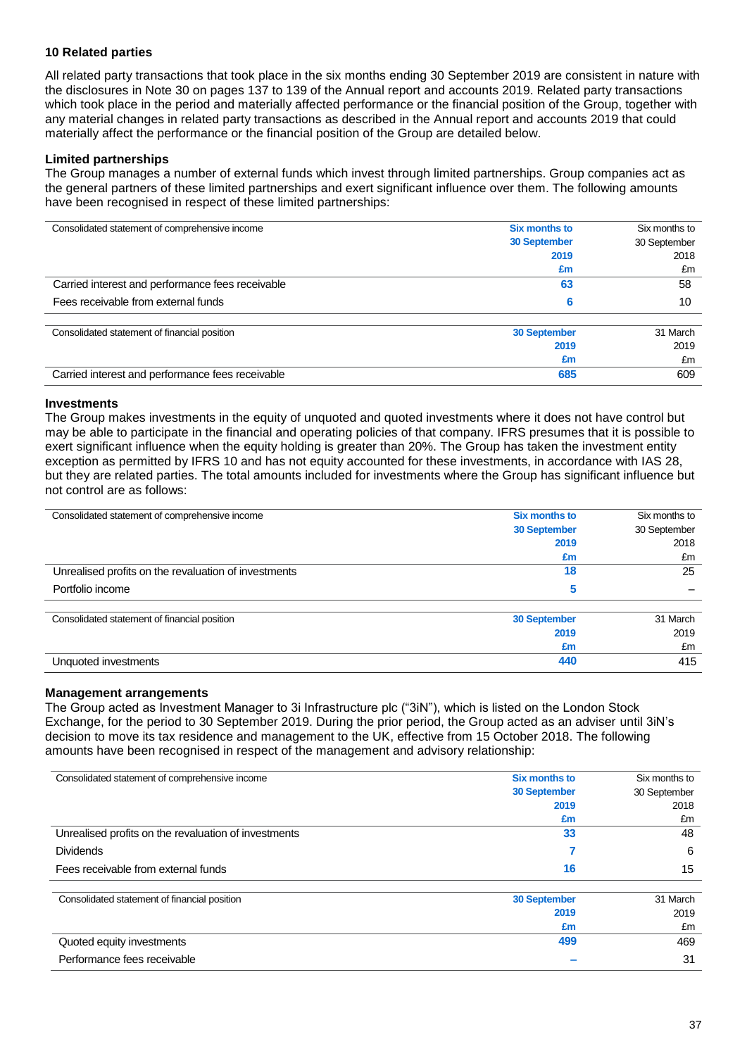## **10 Related parties**

All related party transactions that took place in the six months ending 30 September 2019 are consistent in nature with the disclosures in Note 30 on pages 137 to 139 of the Annual report and accounts 2019. Related party transactions which took place in the period and materially affected performance or the financial position of the Group, together with any material changes in related party transactions as described in the Annual report and accounts 2019 that could materially affect the performance or the financial position of the Group are detailed below.

### **Limited partnerships**

The Group manages a number of external funds which invest through limited partnerships. Group companies act as the general partners of these limited partnerships and exert significant influence over them. The following amounts have been recognised in respect of these limited partnerships:

| Consolidated statement of comprehensive income   | Six months to       | Six months to |  |
|--------------------------------------------------|---------------------|---------------|--|
|                                                  | <b>30 September</b> | 30 September  |  |
|                                                  | 2019                | 2018          |  |
|                                                  | £m                  | £m            |  |
| Carried interest and performance fees receivable | 63                  | 58            |  |
| Fees receivable from external funds              | 6                   | 10            |  |
| Consolidated statement of financial position     | <b>30 September</b> | 31 March      |  |
|                                                  | 2019                | 2019          |  |
|                                                  | £m                  | £m            |  |
| Carried interest and performance fees receivable | 685                 | 609           |  |

#### **Investments**

The Group makes investments in the equity of unquoted and quoted investments where it does not have control but may be able to participate in the financial and operating policies of that company. IFRS presumes that it is possible to exert significant influence when the equity holding is greater than 20%. The Group has taken the investment entity exception as permitted by IFRS 10 and has not equity accounted for these investments, in accordance with IAS 28, but they are related parties. The total amounts included for investments where the Group has significant influence but not control are as follows:

| Consolidated statement of comprehensive income       | <b>Six months to</b> | Six months to |  |
|------------------------------------------------------|----------------------|---------------|--|
|                                                      | <b>30 September</b>  | 30 September  |  |
|                                                      | 2019                 | 2018          |  |
|                                                      | £m                   | £m            |  |
| Unrealised profits on the revaluation of investments | 18                   | 25            |  |
| Portfolio income                                     | 5                    |               |  |
| Consolidated statement of financial position         | <b>30 September</b>  | 31 March      |  |
|                                                      | 2019                 | 2019          |  |
|                                                      | £m                   | £m            |  |
| Unquoted investments                                 | 440                  | 415           |  |

#### **Management arrangements**

The Group acted as Investment Manager to 3i Infrastructure plc ("3iN"), which is listed on the London Stock Exchange, for the period to 30 September 2019. During the prior period, the Group acted as an adviser until 3iN's decision to move its tax residence and management to the UK, effective from 15 October 2018. The following amounts have been recognised in respect of the management and advisory relationship:

| Consolidated statement of comprehensive income       | <b>Six months to</b> | Six months to |
|------------------------------------------------------|----------------------|---------------|
|                                                      | <b>30 September</b>  | 30 September  |
|                                                      | 2019                 | 2018          |
|                                                      | £m                   | £m            |
| Unrealised profits on the revaluation of investments | 33                   | 48            |
| <b>Dividends</b>                                     |                      | 6             |
| Fees receivable from external funds                  | 16                   | 15            |
| Consolidated statement of financial position         | <b>30 September</b>  | 31 March      |
|                                                      | 2019                 | 2019          |
|                                                      | £m                   | £m            |
| Quoted equity investments                            | 499                  | 469           |
| Performance fees receivable                          |                      | 31            |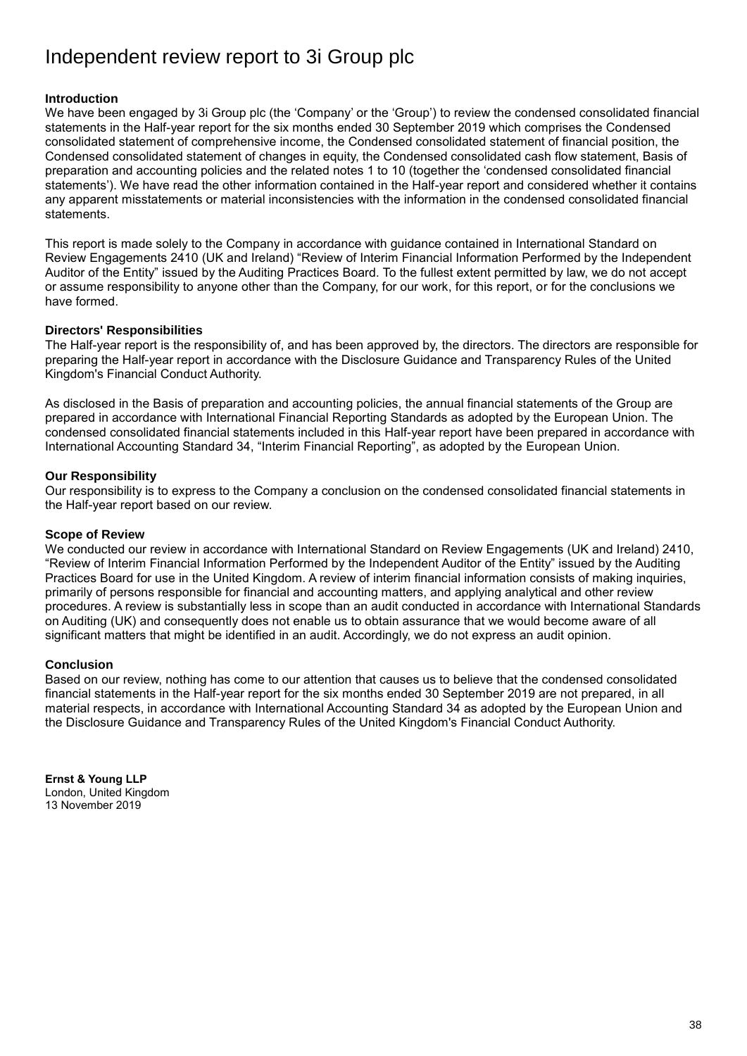## Independent review report to 3i Group plc

## **Introduction**

We have been engaged by 3i Group plc (the 'Company' or the 'Group') to review the condensed consolidated financial statements in the Half-year report for the six months ended 30 September 2019 which comprises the Condensed consolidated statement of comprehensive income, the Condensed consolidated statement of financial position, the Condensed consolidated statement of changes in equity, the Condensed consolidated cash flow statement, Basis of preparation and accounting policies and the related notes 1 to 10 (together the 'condensed consolidated financial statements'). We have read the other information contained in the Half-year report and considered whether it contains any apparent misstatements or material inconsistencies with the information in the condensed consolidated financial statements.

This report is made solely to the Company in accordance with guidance contained in International Standard on Review Engagements 2410 (UK and Ireland) "Review of Interim Financial Information Performed by the Independent Auditor of the Entity" issued by the Auditing Practices Board. To the fullest extent permitted by law, we do not accept or assume responsibility to anyone other than the Company, for our work, for this report, or for the conclusions we have formed.

## **Directors' Responsibilities**

The Half-year report is the responsibility of, and has been approved by, the directors. The directors are responsible for preparing the Half-year report in accordance with the Disclosure Guidance and Transparency Rules of the United Kingdom's Financial Conduct Authority.

As disclosed in the Basis of preparation and accounting policies, the annual financial statements of the Group are prepared in accordance with International Financial Reporting Standards as adopted by the European Union. The condensed consolidated financial statements included in this Half-year report have been prepared in accordance with International Accounting Standard 34, "Interim Financial Reporting", as adopted by the European Union.

## **Our Responsibility**

Our responsibility is to express to the Company a conclusion on the condensed consolidated financial statements in the Half-year report based on our review.

## **Scope of Review**

We conducted our review in accordance with International Standard on Review Engagements (UK and Ireland) 2410, "Review of Interim Financial Information Performed by the Independent Auditor of the Entity" issued by the Auditing Practices Board for use in the United Kingdom. A review of interim financial information consists of making inquiries, primarily of persons responsible for financial and accounting matters, and applying analytical and other review procedures. A review is substantially less in scope than an audit conducted in accordance with International Standards on Auditing (UK) and consequently does not enable us to obtain assurance that we would become aware of all significant matters that might be identified in an audit. Accordingly, we do not express an audit opinion.

## **Conclusion**

Based on our review, nothing has come to our attention that causes us to believe that the condensed consolidated financial statements in the Half-year report for the six months ended 30 September 2019 are not prepared, in all material respects, in accordance with International Accounting Standard 34 as adopted by the European Union and the Disclosure Guidance and Transparency Rules of the United Kingdom's Financial Conduct Authority.

**Ernst & Young LLP** London, United Kingdom 13 November 2019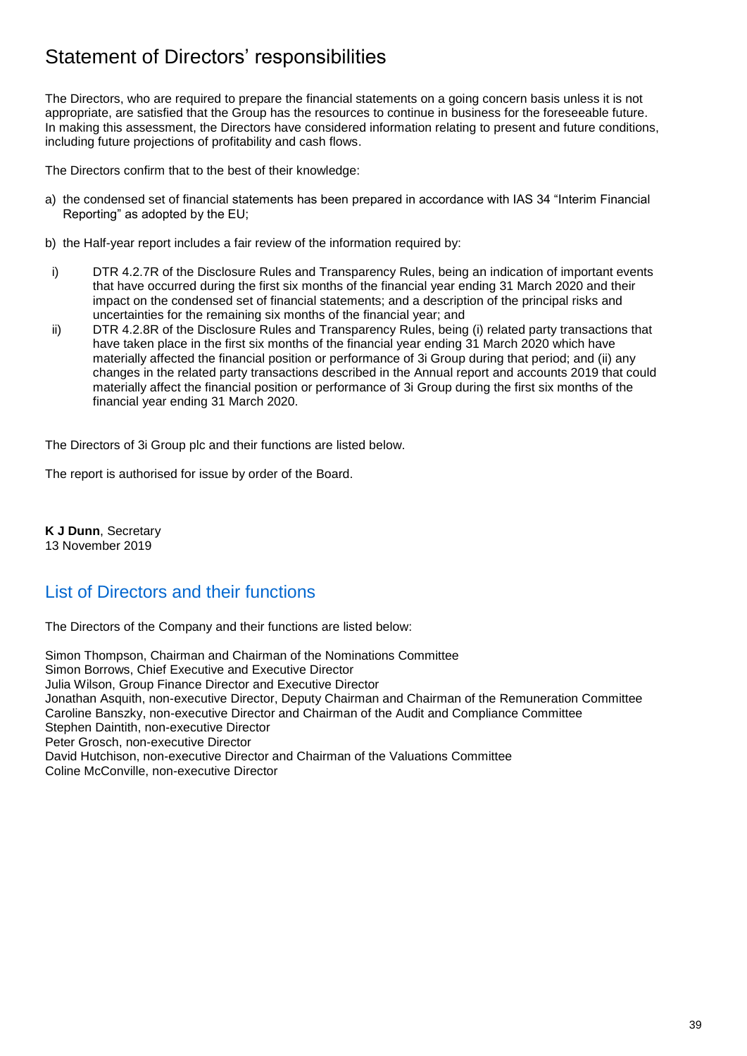## Statement of Directors' responsibilities

The Directors, who are required to prepare the financial statements on a going concern basis unless it is not appropriate, are satisfied that the Group has the resources to continue in business for the foreseeable future. In making this assessment, the Directors have considered information relating to present and future conditions, including future projections of profitability and cash flows.

The Directors confirm that to the best of their knowledge:

- a) the condensed set of financial statements has been prepared in accordance with IAS 34 "Interim Financial Reporting" as adopted by the EU;
- b) the Half-year report includes a fair review of the information required by:
- i) DTR 4.2.7R of the Disclosure Rules and Transparency Rules, being an indication of important events that have occurred during the first six months of the financial year ending 31 March 2020 and their impact on the condensed set of financial statements; and a description of the principal risks and uncertainties for the remaining six months of the financial year; and
- ii) DTR 4.2.8R of the Disclosure Rules and Transparency Rules, being (i) related party transactions that have taken place in the first six months of the financial year ending 31 March 2020 which have materially affected the financial position or performance of 3i Group during that period; and (ii) any changes in the related party transactions described in the Annual report and accounts 2019 that could materially affect the financial position or performance of 3i Group during the first six months of the financial year ending 31 March 2020.

The Directors of 3i Group plc and their functions are listed below.

The report is authorised for issue by order of the Board.

**K J Dunn**, Secretary 13 November 2019

## List of Directors and their functions

The Directors of the Company and their functions are listed below:

Simon Thompson, Chairman and Chairman of the Nominations Committee Simon Borrows, Chief Executive and Executive Director Julia Wilson, Group Finance Director and Executive Director Jonathan Asquith, non-executive Director, Deputy Chairman and Chairman of the Remuneration Committee Caroline Banszky, non-executive Director and Chairman of the Audit and Compliance Committee Stephen Daintith, non-executive Director Peter Grosch, non-executive Director David Hutchison, non-executive Director and Chairman of the Valuations Committee Coline McConville, non-executive Director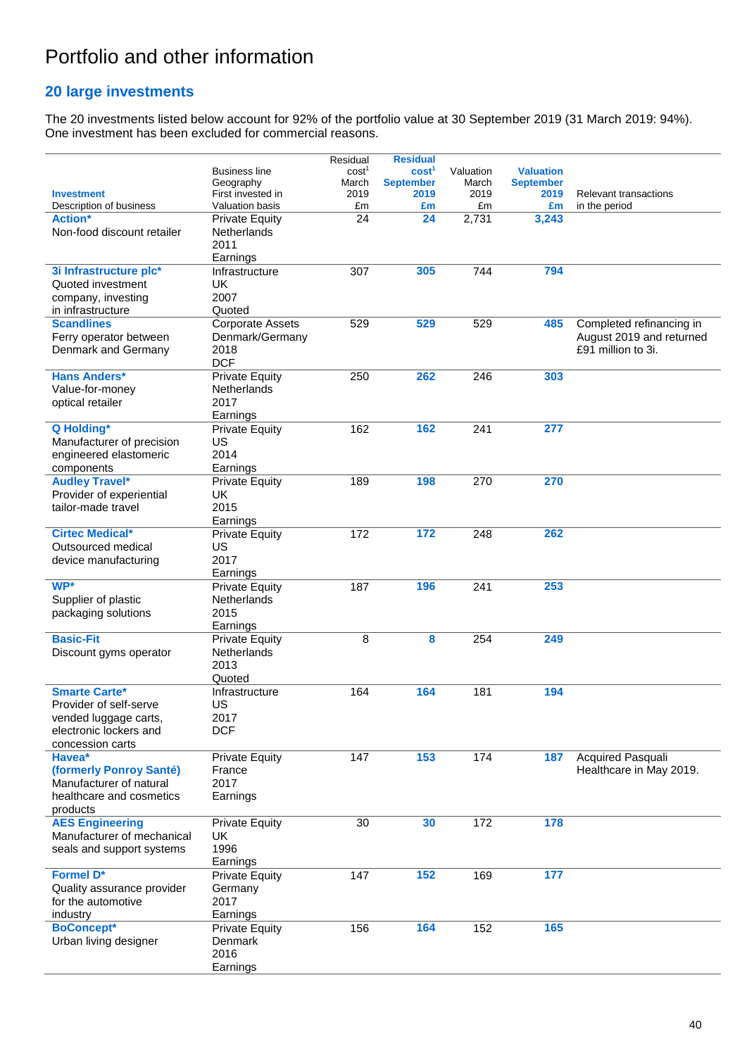# Portfolio and other information

## **20 large investments**

The 20 investments listed below account for 92% of the portfolio value at 30 September 2019 (31 March 2019: 94%). One investment has been excluded for commercial reasons.

|                                               |                         | Residual          | <b>Residual</b>   |           |                  |                                                      |
|-----------------------------------------------|-------------------------|-------------------|-------------------|-----------|------------------|------------------------------------------------------|
|                                               | <b>Business line</b>    | cost <sup>1</sup> | cost <sup>1</sup> | Valuation | <b>Valuation</b> |                                                      |
|                                               | Geography               | March             | <b>September</b>  | March     | <b>September</b> |                                                      |
| <b>Investment</b>                             | First invested in       | 2019              | 2019              | 2019      | 2019             | Relevant transactions                                |
| Description of business                       | Valuation basis         | £m                | £m                | £m        | £m               | in the period                                        |
| <b>Action*</b>                                | <b>Private Equity</b>   | 24                | 24                | 2,731     | 3,243            |                                                      |
| Non-food discount retailer                    | Netherlands             |                   |                   |           |                  |                                                      |
|                                               | 2011                    |                   |                   |           |                  |                                                      |
|                                               | Earnings                |                   |                   |           |                  |                                                      |
| 3i Infrastructure plc*                        | Infrastructure          | 307               | 305               | 744       | 794              |                                                      |
| Quoted investment                             | <b>UK</b><br>2007       |                   |                   |           |                  |                                                      |
| company, investing                            | Quoted                  |                   |                   |           |                  |                                                      |
| in infrastructure<br><b>Scandlines</b>        |                         |                   |                   |           |                  |                                                      |
|                                               | <b>Corporate Assets</b> | 529               | 529               | 529       | 485              | Completed refinancing in<br>August 2019 and returned |
| Ferry operator between<br>Denmark and Germany | Denmark/Germany<br>2018 |                   |                   |           |                  | £91 million to 3i.                                   |
|                                               | <b>DCF</b>              |                   |                   |           |                  |                                                      |
| <b>Hans Anders*</b>                           | <b>Private Equity</b>   | 250               | 262               | 246       | 303              |                                                      |
| Value-for-money                               | Netherlands             |                   |                   |           |                  |                                                      |
| optical retailer                              | 2017                    |                   |                   |           |                  |                                                      |
|                                               | Earnings                |                   |                   |           |                  |                                                      |
| Q Holding*                                    | <b>Private Equity</b>   | 162               | 162               | 241       | 277              |                                                      |
| Manufacturer of precision                     | US                      |                   |                   |           |                  |                                                      |
| engineered elastomeric                        | 2014                    |                   |                   |           |                  |                                                      |
| components                                    | Earnings                |                   |                   |           |                  |                                                      |
| <b>Audley Travel*</b>                         | <b>Private Equity</b>   | 189               | 198               | 270       | 270              |                                                      |
| Provider of experiential                      | UK                      |                   |                   |           |                  |                                                      |
| tailor-made travel                            | 2015                    |                   |                   |           |                  |                                                      |
|                                               | Earnings                |                   |                   |           |                  |                                                      |
| <b>Cirtec Medical*</b>                        | <b>Private Equity</b>   | 172               | $\overline{172}$  | 248       | 262              |                                                      |
| Outsourced medical                            | US                      |                   |                   |           |                  |                                                      |
| device manufacturing                          | 2017                    |                   |                   |           |                  |                                                      |
|                                               | Earnings                |                   |                   |           |                  |                                                      |
| WP*                                           | <b>Private Equity</b>   | 187               | 196               | 241       | 253              |                                                      |
| Supplier of plastic                           | <b>Netherlands</b>      |                   |                   |           |                  |                                                      |
| packaging solutions                           | 2015                    |                   |                   |           |                  |                                                      |
|                                               | Earnings                |                   |                   |           |                  |                                                      |
| <b>Basic-Fit</b>                              | <b>Private Equity</b>   | 8                 | 8                 | 254       | 249              |                                                      |
| Discount gyms operator                        | Netherlands             |                   |                   |           |                  |                                                      |
|                                               | 2013                    |                   |                   |           |                  |                                                      |
|                                               | Quoted                  |                   |                   |           |                  |                                                      |
| <b>Smarte Carte*</b>                          | Infrastructure          | 164               | 164               | 181       | 194              |                                                      |
| Provider of self-serve                        | US                      |                   |                   |           |                  |                                                      |
| vended luggage carts,                         | 2017                    |                   |                   |           |                  |                                                      |
| electronic lockers and                        | <b>DCF</b>              |                   |                   |           |                  |                                                      |
| concession carts                              |                         |                   |                   |           |                  |                                                      |
| Havea*                                        | <b>Private Equity</b>   | 147               | 153               | 174       | 187              | <b>Acquired Pasquali</b>                             |
| (formerly Ponroy Santé)                       | France                  |                   |                   |           |                  | Healthcare in May 2019.                              |
| Manufacturer of natural                       | 2017                    |                   |                   |           |                  |                                                      |
| healthcare and cosmetics                      | Earnings                |                   |                   |           |                  |                                                      |
| products                                      |                         |                   |                   |           |                  |                                                      |
| <b>AES Engineering</b>                        | <b>Private Equity</b>   | 30                | 30                | 172       | 178              |                                                      |
| Manufacturer of mechanical                    | UK                      |                   |                   |           |                  |                                                      |
| seals and support systems                     | 1996                    |                   |                   |           |                  |                                                      |
|                                               | Earnings                |                   |                   |           |                  |                                                      |
| <b>Formel D*</b>                              | <b>Private Equity</b>   | 147               | 152               | 169       | 177              |                                                      |
| Quality assurance provider                    | Germany                 |                   |                   |           |                  |                                                      |
| for the automotive                            | 2017                    |                   |                   |           |                  |                                                      |
| industry                                      | Earnings                |                   |                   |           |                  |                                                      |
| <b>BoConcept*</b>                             | <b>Private Equity</b>   | 156               | 164               | 152       | 165              |                                                      |
| Urban living designer                         | Denmark                 |                   |                   |           |                  |                                                      |
|                                               | 2016                    |                   |                   |           |                  |                                                      |
|                                               | Earnings                |                   |                   |           |                  |                                                      |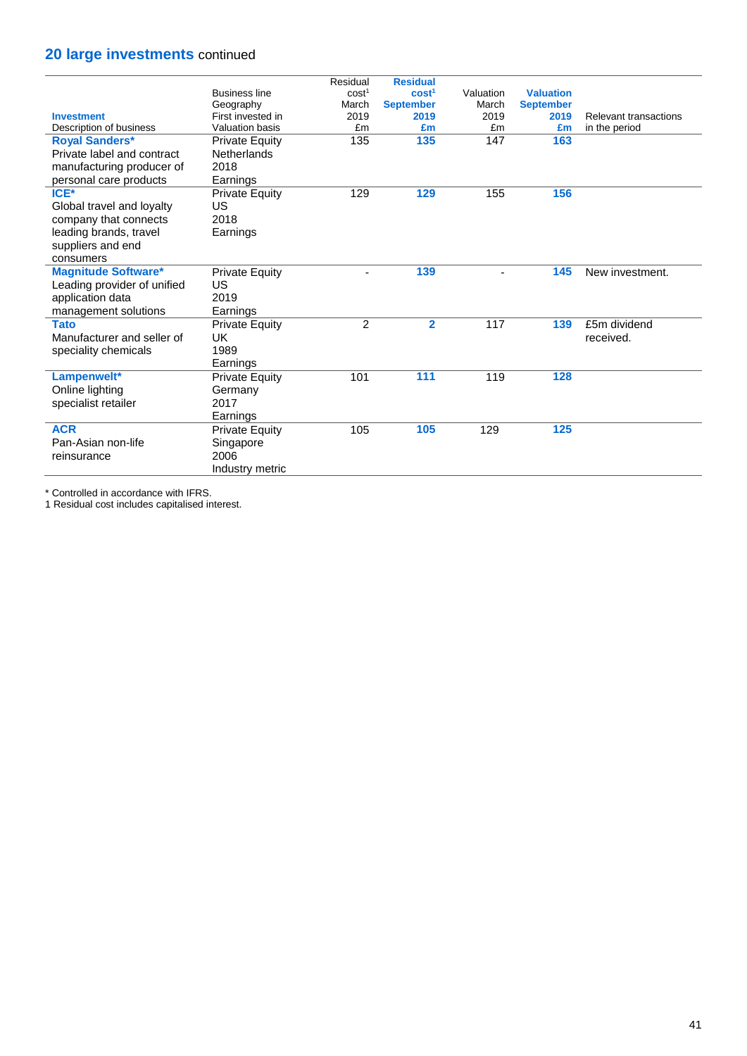## **20 large investments** continued

|                             |                        | Residual          | <b>Residual</b>   |           |                  |                       |
|-----------------------------|------------------------|-------------------|-------------------|-----------|------------------|-----------------------|
|                             | <b>Business line</b>   | cost <sup>1</sup> | cost <sup>1</sup> | Valuation | <b>Valuation</b> |                       |
|                             | Geography              | March             | <b>September</b>  | March     | <b>September</b> |                       |
| <b>Investment</b>           | First invested in      | 2019              | 2019              | 2019      | 2019             | Relevant transactions |
| Description of business     | <b>Valuation basis</b> | £m                | £m                | £m        | £m               | in the period         |
| <b>Royal Sanders*</b>       | <b>Private Equity</b>  | 135               | 135               | 147       | 163              |                       |
| Private label and contract  | <b>Netherlands</b>     |                   |                   |           |                  |                       |
| manufacturing producer of   | 2018                   |                   |                   |           |                  |                       |
| personal care products      | Earnings               |                   |                   |           |                  |                       |
| ICE*                        | <b>Private Equity</b>  | 129               | 129               | 155       | 156              |                       |
| Global travel and loyalty   | US                     |                   |                   |           |                  |                       |
| company that connects       | 2018                   |                   |                   |           |                  |                       |
| leading brands, travel      | Earnings               |                   |                   |           |                  |                       |
| suppliers and end           |                        |                   |                   |           |                  |                       |
| consumers                   |                        |                   |                   |           |                  |                       |
| <b>Magnitude Software*</b>  | <b>Private Equity</b>  | $\blacksquare$    | 139               |           | 145              | New investment.       |
| Leading provider of unified | US                     |                   |                   |           |                  |                       |
| application data            | 2019                   |                   |                   |           |                  |                       |
| management solutions        | Earnings               |                   |                   |           |                  |                       |
| <b>Tato</b>                 | <b>Private Equity</b>  | $\overline{2}$    | $\overline{2}$    | 117       | 139              | £5m dividend          |
| Manufacturer and seller of  | UK                     |                   |                   |           |                  | received.             |
| speciality chemicals        | 1989                   |                   |                   |           |                  |                       |
|                             | Earnings               |                   |                   |           |                  |                       |
| Lampenwelt*                 | <b>Private Equity</b>  | 101               | $\overline{111}$  | 119       | 128              |                       |
| Online lighting             | Germany                |                   |                   |           |                  |                       |
| specialist retailer         | 2017                   |                   |                   |           |                  |                       |
|                             | Earnings               |                   |                   |           |                  |                       |
| <b>ACR</b>                  | <b>Private Equity</b>  | 105               | 105               | 129       | 125              |                       |
| Pan-Asian non-life          | Singapore              |                   |                   |           |                  |                       |
| reinsurance                 | 2006                   |                   |                   |           |                  |                       |
|                             | Industry metric        |                   |                   |           |                  |                       |
|                             |                        |                   |                   |           |                  |                       |

\* Controlled in accordance with IFRS.

1 Residual cost includes capitalised interest.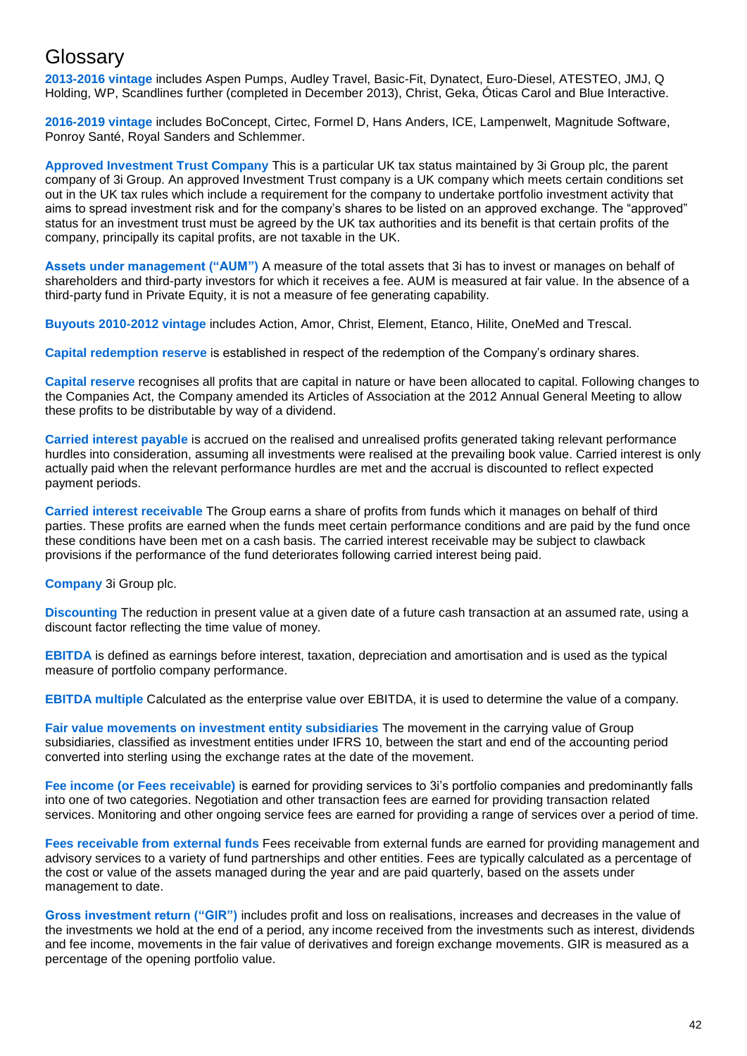## **Glossary**

**2013-2016 vintage** includes Aspen Pumps, Audley Travel, Basic-Fit, Dynatect, Euro-Diesel, ATESTEO, JMJ, Q Holding, WP, Scandlines further (completed in December 2013), Christ, Geka, Óticas Carol and Blue Interactive.

**2016-2019 vintage** includes BoConcept, Cirtec, Formel D, Hans Anders, ICE, Lampenwelt, Magnitude Software, Ponroy Santé, Royal Sanders and Schlemmer.

**Approved Investment Trust Company** This is a particular UK tax status maintained by 3i Group plc, the parent company of 3i Group. An approved Investment Trust company is a UK company which meets certain conditions set out in the UK tax rules which include a requirement for the company to undertake portfolio investment activity that aims to spread investment risk and for the company's shares to be listed on an approved exchange. The "approved" status for an investment trust must be agreed by the UK tax authorities and its benefit is that certain profits of the company, principally its capital profits, are not taxable in the UK.

**Assets under management ("AUM")** A measure of the total assets that 3i has to invest or manages on behalf of shareholders and third-party investors for which it receives a fee. AUM is measured at fair value. In the absence of a third-party fund in Private Equity, it is not a measure of fee generating capability.

**Buyouts 2010-2012 vintage** includes Action, Amor, Christ, Element, Etanco, Hilite, OneMed and Trescal.

**Capital redemption reserve** is established in respect of the redemption of the Company's ordinary shares.

**Capital reserve** recognises all profits that are capital in nature or have been allocated to capital. Following changes to the Companies Act, the Company amended its Articles of Association at the 2012 Annual General Meeting to allow these profits to be distributable by way of a dividend.

**Carried interest payable** is accrued on the realised and unrealised profits generated taking relevant performance hurdles into consideration, assuming all investments were realised at the prevailing book value. Carried interest is only actually paid when the relevant performance hurdles are met and the accrual is discounted to reflect expected payment periods.

**Carried interest receivable** The Group earns a share of profits from funds which it manages on behalf of third parties. These profits are earned when the funds meet certain performance conditions and are paid by the fund once these conditions have been met on a cash basis. The carried interest receivable may be subject to clawback provisions if the performance of the fund deteriorates following carried interest being paid.

**Company** 3i Group plc.

**Discounting** The reduction in present value at a given date of a future cash transaction at an assumed rate, using a discount factor reflecting the time value of money.

**EBITDA** is defined as earnings before interest, taxation, depreciation and amortisation and is used as the typical measure of portfolio company performance.

**EBITDA multiple** Calculated as the enterprise value over EBITDA, it is used to determine the value of a company.

**Fair value movements on investment entity subsidiaries** The movement in the carrying value of Group subsidiaries, classified as investment entities under IFRS 10, between the start and end of the accounting period converted into sterling using the exchange rates at the date of the movement.

**Fee income (or Fees receivable)** is earned for providing services to 3i's portfolio companies and predominantly falls into one of two categories. Negotiation and other transaction fees are earned for providing transaction related services. Monitoring and other ongoing service fees are earned for providing a range of services over a period of time.

**Fees receivable from external funds** Fees receivable from external funds are earned for providing management and advisory services to a variety of fund partnerships and other entities. Fees are typically calculated as a percentage of the cost or value of the assets managed during the year and are paid quarterly, based on the assets under management to date.

**Gross investment return ("GIR")** includes profit and loss on realisations, increases and decreases in the value of the investments we hold at the end of a period, any income received from the investments such as interest, dividends and fee income, movements in the fair value of derivatives and foreign exchange movements. GIR is measured as a percentage of the opening portfolio value.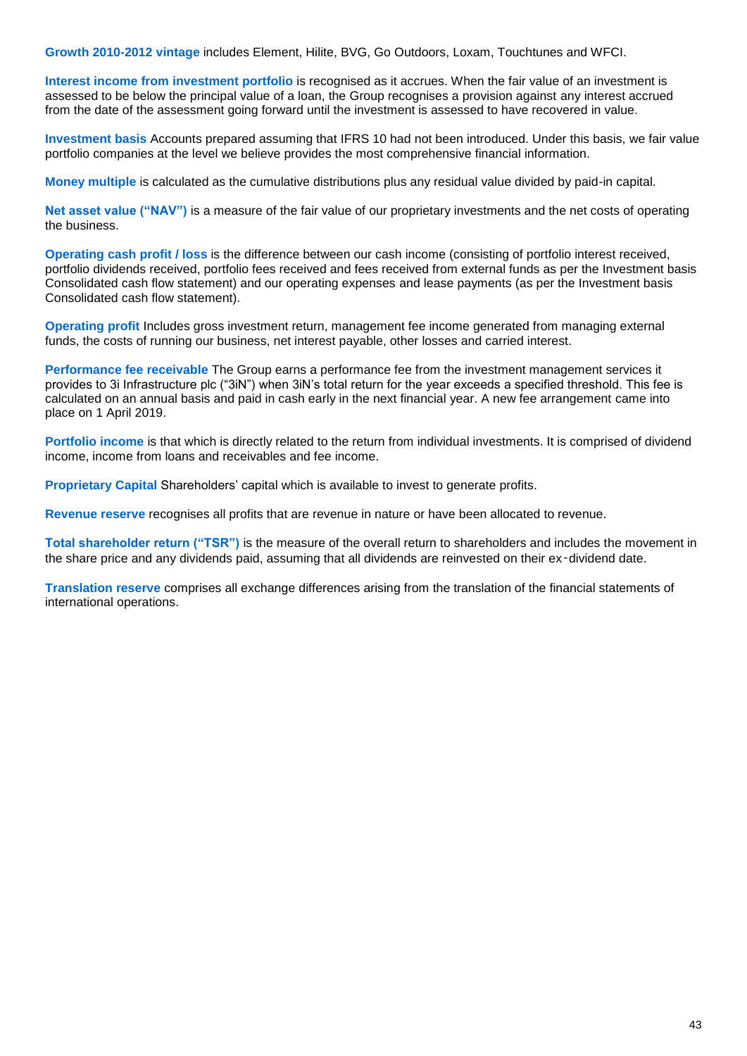**Growth 2010-2012 vintage** includes Element, Hilite, BVG, Go Outdoors, Loxam, Touchtunes and WFCI.

**Interest income from investment portfolio** is recognised as it accrues. When the fair value of an investment is assessed to be below the principal value of a loan, the Group recognises a provision against any interest accrued from the date of the assessment going forward until the investment is assessed to have recovered in value.

**Investment basis** Accounts prepared assuming that IFRS 10 had not been introduced. Under this basis, we fair value portfolio companies at the level we believe provides the most comprehensive financial information.

**Money multiple** is calculated as the cumulative distributions plus any residual value divided by paid-in capital.

**Net asset value ("NAV")** is a measure of the fair value of our proprietary investments and the net costs of operating the business.

**Operating cash profit / loss** is the difference between our cash income (consisting of portfolio interest received, portfolio dividends received, portfolio fees received and fees received from external funds as per the Investment basis Consolidated cash flow statement) and our operating expenses and lease payments (as per the Investment basis Consolidated cash flow statement).

**Operating profit** Includes gross investment return, management fee income generated from managing external funds, the costs of running our business, net interest payable, other losses and carried interest.

**Performance fee receivable** The Group earns a performance fee from the investment management services it provides to 3i Infrastructure plc ("3iN") when 3iN's total return for the year exceeds a specified threshold. This fee is calculated on an annual basis and paid in cash early in the next financial year. A new fee arrangement came into place on 1 April 2019.

**Portfolio income** is that which is directly related to the return from individual investments. It is comprised of dividend income, income from loans and receivables and fee income.

**Proprietary Capital** Shareholders' capital which is available to invest to generate profits.

**Revenue reserve** recognises all profits that are revenue in nature or have been allocated to revenue.

**Total shareholder return ("TSR")** is the measure of the overall return to shareholders and includes the movement in the share price and any dividends paid, assuming that all dividends are reinvested on their ex-dividend date.

**Translation reserve** comprises all exchange differences arising from the translation of the financial statements of international operations.